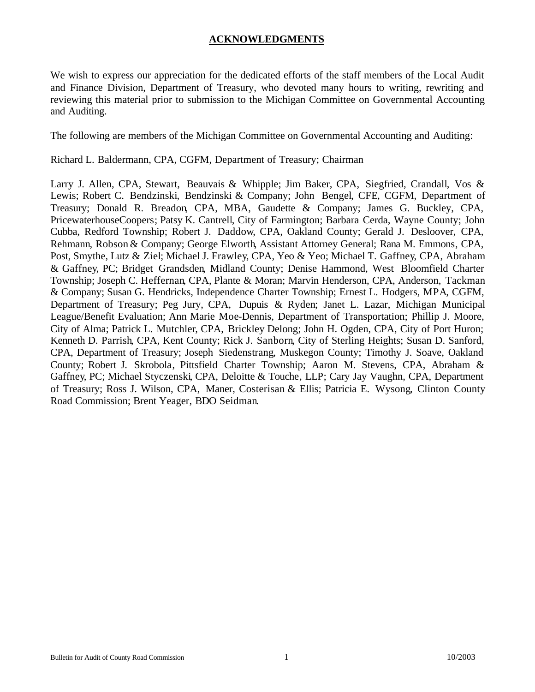## **ACKNOWLEDGMENTS**

We wish to express our appreciation for the dedicated efforts of the staff members of the Local Audit and Finance Division, Department of Treasury, who devoted many hours to writing, rewriting and reviewing this material prior to submission to the Michigan Committee on Governmental Accounting and Auditing.

The following are members of the Michigan Committee on Governmental Accounting and Auditing:

Richard L. Baldermann, CPA, CGFM, Department of Treasury; Chairman

Larry J. Allen, CPA, Stewart, Beauvais & Whipple; Jim Baker, CPA, Siegfried, Crandall, Vos & Lewis; Robert C. Bendzinski, Bendzinski & Company; John Bengel, CFE, CGFM, Department of Treasury; Donald R. Breadon, CPA, MBA, Gaudette & Company; James G. Buckley, CPA, PricewaterhouseCoopers; Patsy K. Cantrell, City of Farmington; Barbara Cerda, Wayne County; John Cubba, Redford Township; Robert J. Daddow, CPA, Oakland County; Gerald J. Desloover, CPA, Rehmann, Robson & Company; George Elworth, Assistant Attorney General; Rana M. Emmons, CPA, Post, Smythe, Lutz & Ziel; Michael J. Frawley, CPA, Yeo & Yeo; Michael T. Gaffney, CPA, Abraham & Gaffney, PC; Bridget Grandsden, Midland County; Denise Hammond, West Bloomfield Charter Township; Joseph C. Heffernan, CPA, Plante & Moran; Marvin Henderson, CPA, Anderson, Tackman & Company; Susan G. Hendricks, Independence Charter Township; Ernest L. Hodgers, MPA, CGFM, Department of Treasury; Peg Jury, CPA, Dupuis & Ryden; Janet L. Lazar, Michigan Municipal League/Benefit Evaluation; Ann Marie Moe-Dennis, Department of Transportation; Phillip J. Moore, City of Alma; Patrick L. Mutchler, CPA, Brickley Delong; John H. Ogden, CPA, City of Port Huron; Kenneth D. Parrish, CPA, Kent County; Rick J. Sanborn, City of Sterling Heights; Susan D. Sanford, CPA, Department of Treasury; Joseph Siedenstrang, Muskegon County; Timothy J. Soave, Oakland County; Robert J. Skrobola, Pittsfield Charter Township; Aaron M. Stevens, CPA, Abraham & Gaffney, PC; Michael Styczenski, CPA, Deloitte & Touche, LLP; Cary Jay Vaughn, CPA, Department of Treasury; Ross J. Wilson, CPA, Maner, Costerisan & Ellis; Patricia E. Wysong, Clinton County Road Commission; Brent Yeager, BDO Seidman.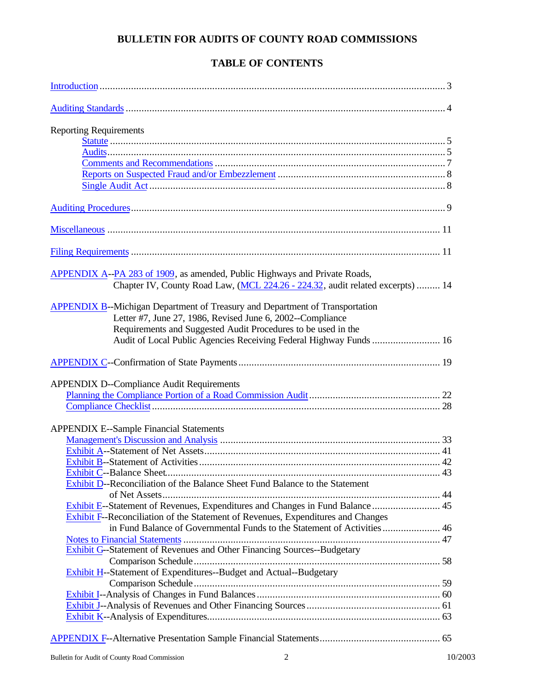## **BULLETIN FOR AUDITS OF COUNTY ROAD COMMISSIONS**

## **TABLE OF CONTENTS**

| <b>Reporting Requirements</b>                                                                                                                                                                                                                                                            |
|------------------------------------------------------------------------------------------------------------------------------------------------------------------------------------------------------------------------------------------------------------------------------------------|
|                                                                                                                                                                                                                                                                                          |
|                                                                                                                                                                                                                                                                                          |
|                                                                                                                                                                                                                                                                                          |
|                                                                                                                                                                                                                                                                                          |
| APPENDIX A--PA 283 of 1909, as amended, Public Highways and Private Roads,<br>Chapter IV, County Road Law, (MCL 224.26 - 224.32, audit related excerpts)  14                                                                                                                             |
| <b>APPENDIX B--Michigan Department of Treasury and Department of Transportation</b><br>Letter #7, June 27, 1986, Revised June 6, 2002--Compliance<br>Requirements and Suggested Audit Procedures to be used in the<br>Audit of Local Public Agencies Receiving Federal Highway Funds  16 |
|                                                                                                                                                                                                                                                                                          |
| <b>APPENDIX D--Compliance Audit Requirements</b>                                                                                                                                                                                                                                         |
|                                                                                                                                                                                                                                                                                          |
|                                                                                                                                                                                                                                                                                          |
| <b>APPENDIX E--Sample Financial Statements</b>                                                                                                                                                                                                                                           |
|                                                                                                                                                                                                                                                                                          |
|                                                                                                                                                                                                                                                                                          |
|                                                                                                                                                                                                                                                                                          |
|                                                                                                                                                                                                                                                                                          |
| Exhibit D--Reconciliation of the Balance Sheet Fund Balance to the Statement                                                                                                                                                                                                             |
|                                                                                                                                                                                                                                                                                          |
| Exhibit E--Statement of Revenues, Expenditures and Changes in Fund Balance  45<br><b>Exhibit F--Reconciliation of the Statement of Revenues, Expenditures and Changes</b>                                                                                                                |
| in Fund Balance of Governmental Funds to the Statement of Activities 46                                                                                                                                                                                                                  |
|                                                                                                                                                                                                                                                                                          |
| <b>Exhibit G--Statement of Revenues and Other Financing Sources--Budgetary</b>                                                                                                                                                                                                           |
|                                                                                                                                                                                                                                                                                          |
| Exhibit H--Statement of Expenditures--Budget and Actual--Budgetary                                                                                                                                                                                                                       |
|                                                                                                                                                                                                                                                                                          |
|                                                                                                                                                                                                                                                                                          |
|                                                                                                                                                                                                                                                                                          |
|                                                                                                                                                                                                                                                                                          |
|                                                                                                                                                                                                                                                                                          |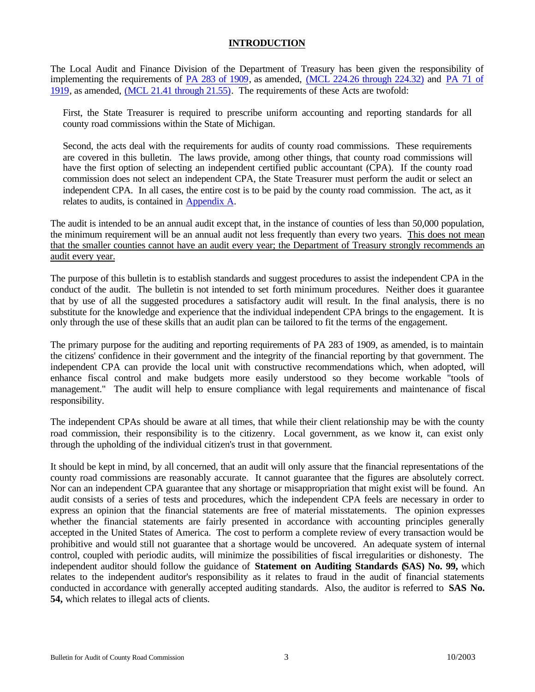## **INTRODUCTION**

<span id="page-2-0"></span>The Local Audit and Finance Division of the Department of Treasury has been given the responsibility of implementing the requirements of [PA 283 of 1909,](http://www.michiganlegislature.org/mileg.asp?page=getObject&objName=mcl-Act-283-of-1909&queryid=4950616&highlight=) as amended, [\(MCL 224.26 through 224.32\)](http://www.michiganlegislature.org/mileg.asp?page=getObject&objName=mcl-224-26) and [PA 71 of](http://www.michiganlegislature.org/mileg.asp?page=getObject&objName=mcl-Act-71-of-1919&queryid=4950669&highlight=) [1919, a](http://www.michiganlegislature.org/mileg.asp?page=getObject&objName=mcl-Act-71-of-1919&queryid=4950669&highlight=)s amended, [\(MCL 21.41 through 21.55\).](http://www.michiganlegislature.org/mileg.asp?page=getObject&objName=mcl-21-41) The requirements of these Acts are twofold:

First, the State Treasurer is required to prescribe uniform accounting and reporting standards for all county road commissions within the State of Michigan.

Second, the acts deal with the requirements for audits of county road commissions. These requirements are covered in this bulletin. The laws provide, among other things, that county road commissions will have the first option of selecting an independent certified public accountant (CPA). If the county road commission does not select an independent CPA, the State Treasurer must perform the audit or select an independent CPA. In all cases, the entire cost is to be paid by the county road commission. The act, as it relates to audits, is contained in [Appendix A.](#page-13-0)

The audit is intended to be an annual audit except that, in the instance of counties of less than 50,000 population, the minimum requirement will be an annual audit not less frequently than every two years. This does not mean that the smaller counties cannot have an audit every year; the Department of Treasury strongly recommends an audit every year.

The purpose of this bulletin is to establish standards and suggest procedures to assist the independent CPA in the conduct of the audit. The bulletin is not intended to set forth minimum procedures. Neither does it guarantee that by use of all the suggested procedures a satisfactory audit will result. In the final analysis, there is no substitute for the knowledge and experience that the individual independent CPA brings to the engagement. It is only through the use of these skills that an audit plan can be tailored to fit the terms of the engagement.

The primary purpose for the auditing and reporting requirements of PA 283 of 1909, as amended, is to maintain the citizens' confidence in their government and the integrity of the financial reporting by that government. The independent CPA can provide the local unit with constructive recommendations which, when adopted, will enhance fiscal control and make budgets more easily understood so they become workable "tools of management." The audit will help to ensure compliance with legal requirements and maintenance of fiscal responsibility.

The independent CPAs should be aware at all times, that while their client relationship may be with the county road commission, their responsibility is to the citizenry. Local government, as we know it, can exist only through the upholding of the individual citizen's trust in that government.

It should be kept in mind, by all concerned, that an audit will only assure that the financial representations of the county road commissions are reasonably accurate. It cannot guarantee that the figures are absolutely correct. Nor can an independent CPA guarantee that any shortage or misappropriation that might exist will be found. An audit consists of a series of tests and procedures, which the independent CPA feels are necessary in order to express an opinion that the financial statements are free of material misstatements. The opinion expresses whether the financial statements are fairly presented in accordance with accounting principles generally accepted in the United States of America. The cost to perform a complete review of every transaction would be prohibitive and would still not guarantee that a shortage would be uncovered. An adequate system of internal control, coupled with periodic audits, will minimize the possibilities of fiscal irregularities or dishonesty. The independent auditor should follow the guidance of **Statement on Auditing Standards (SAS) No. 99,** which relates to the independent auditor's responsibility as it relates to fraud in the audit of financial statements conducted in accordance with generally accepted auditing standards. Also, the auditor is referred to **SAS No. 54,** which relates to illegal acts of clients.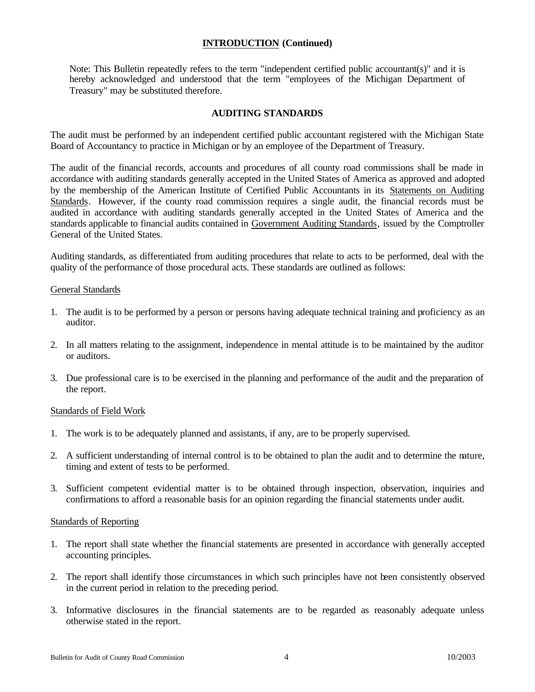## **INTRODUCTION (Continued)**

<span id="page-3-0"></span>Note: This Bulletin repeatedly refers to the term "independent certified public accountant(s)" and it is hereby acknowledged and understood that the term "employees of the Michigan Department of Treasury" may be substituted therefore.

### **AUDITING STANDARDS**

The audit must be performed by an independent certified public accountant registered with the Michigan State Board of Accountancy to practice in Michigan or by an employee of the Department of Treasury.

The audit of the financial records, accounts and procedures of all county road commissions shall be made in accordance with auditing standards generally accepted in the United States of America as approved and adopted by the membership of the American Institute of Certified Public Accountants in its Statements on Auditing Standards. However, if the county road commission requires a single audit, the financial records must be audited in accordance with auditing standards generally accepted in the United States of America and the standards applicable to financial audits contained in Government Auditing Standards, issued by the Comptroller General of the United States.

Auditing standards, as differentiated from auditing procedures that relate to acts to be performed, deal with the quality of the performance of those procedural acts. These standards are outlined as follows:

#### General Standards

- 1. The audit is to be performed by a person or persons having adequate technical training and proficiency as an auditor.
- 2. In all matters relating to the assignment, independence in mental attitude is to be maintained by the auditor or auditors.
- 3. Due professional care is to be exercised in the planning and performance of the audit and the preparation of the report.

## Standards of Field Work

- 1. The work is to be adequately planned and assistants, if any, are to be properly supervised.
- 2. A sufficient understanding of internal control is to be obtained to plan the audit and to determine the nature, timing and extent of tests to be performed.
- 3. Sufficient competent evidential matter is to be obtained through inspection, observation, inquiries and confirmations to afford a reasonable basis for an opinion regarding the financial statements under audit.

#### Standards of Reporting

- 1. The report shall state whether the financial statements are presented in accordance with generally accepted accounting principles.
- 2. The report shall identify those circumstances in which such principles have not been consistently observed in the current period in relation to the preceding period.
- 3. Informative disclosures in the financial statements are to be regarded as reasonably adequate unless otherwise stated in the report.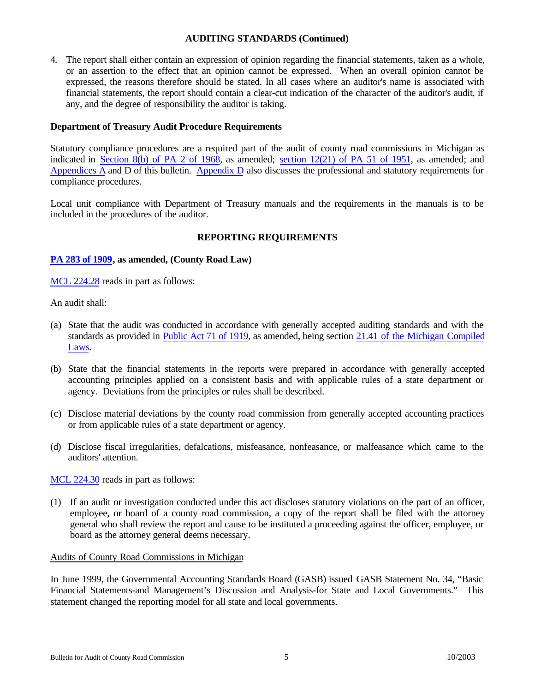## **AUDITING STANDARDS (Continued)**

<span id="page-4-0"></span>4. The report shall either contain an expression of opinion regarding the financial statements, taken as a whole, or an assertion to the effect that an opinion cannot be expressed. When an overall opinion cannot be expressed, the reasons therefore should be stated. In all cases where an auditor's name is associated with financial statements, the report should contain a clear-cut indication of the character of the auditor's audit, if any, and the degree of responsibility the auditor is taking.

## **Department of Treasury Audit Procedure Requirements**

Statutory compliance procedures are a required part of the audit of county road commissions in Michigan as indicated in [Section 8\(b\) of PA 2 of 1968, a](http://www.michiganlegislature.org/mileg.asp?page=getObject&objName=mcl-141-428&highlight=)s amended; [section 12\(21\) of PA 51 of 1951,](http://www.michiganlegislature.org/mileg.asp?page=getObject&objName=mcl-247-662&queryid=3891554&highlight=) as amended; and [Appendices A a](#page-13-0)nd D of this bulletin. [Appendix D a](#page-21-0)lso discusses the professional and statutory requirements for compliance procedures.

Local unit compliance with Department of Treasury manuals and the requirements in the manuals is to be included in the procedures of the auditor.

## **REPORTING REQUIREMENTS**

## **[PA 283 of 1909,](http://www.michiganlegislature.org/mileg.asp?page=getObject&objName=mcl-Act-283-of-1909&queryid=4950616&highlight=) as amended, (County Road Law)**

[MCL 224.28 r](http://www.michiganlegislature.org/mileg.asp?page=getObject&objName=mcl-224-28)eads in part as follows:

An audit shall:

- (a) State that the audit was conducted in accordance with generally accepted auditing standards and with the standards as provided i[n Public Act 71 of 1919, a](http://www.michiganlegislature.org/mileg.asp?page=getObject&objName=mcl-Act-71-of-1919&queryid=4950669&highlight=)s amended, being section [21.41 of the Michigan Compiled](http://www.michiganlegislature.org/mileg.asp?page=getObject&objName=mcl-21-41) [Laws.](http://www.michiganlegislature.org/mileg.asp?page=getObject&objName=mcl-21-41)
- (b) State that the financial statements in the reports were prepared in accordance with generally accepted accounting principles applied on a consistent basis and with applicable rules of a state department or agency. Deviations from the principles or rules shall be described.
- (c) Disclose material deviations by the county road commission from generally accepted accounting practices or from applicable rules of a state department or agency.
- (d) Disclose fiscal irregularities, defalcations, misfeasance, nonfeasance, or malfeasance which came to the auditors' attention.

[MCL 224.30 r](http://www.michiganlegislature.org/mileg.asp?page=getObject&objName=mcl-224-30)eads in part as follows:

(1) If an audit or investigation conducted under this act discloses statutory violations on the part of an officer, employee, or board of a county road commission, a copy of the report shall be filed with the attorney general who shall review the report and cause to be instituted a proceeding against the officer, employee, or board as the attorney general deems necessary.

## Audits of County Road Commissions in Michigan

In June 1999, the Governmental Accounting Standards Board (GASB) issued GASB Statement No. 34, "Basic Financial Statements-and Management's Discussion and Analysis-for State and Local Governments." This statement changed the reporting model for all state and local governments.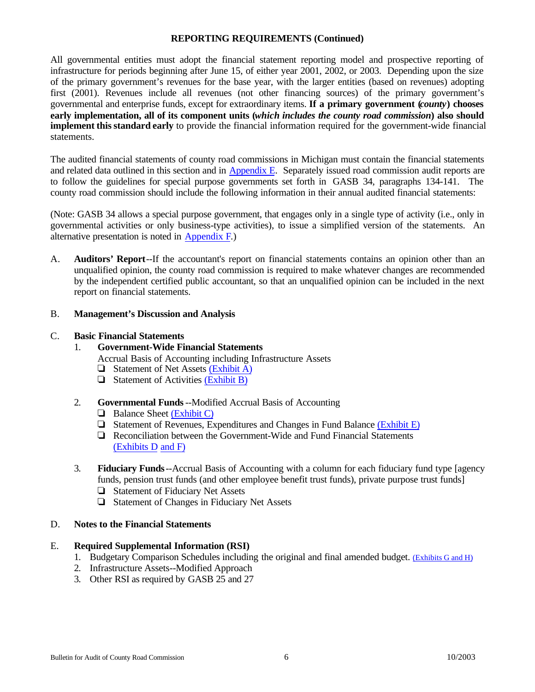## **REPORTING REQUIREMENTS (Continued)**

All governmental entities must adopt the financial statement reporting model and prospective reporting of infrastructure for periods beginning after June 15, of either year 2001, 2002, or 2003. Depending upon the size of the primary government's revenues for the base year, with the larger entities (based on revenues) adopting first (2001). Revenues include all revenues (not other financing sources) of the primary government's governmental and enterprise funds, except for extraordinary items. **If a primary government (***county***) chooses early implementation, all of its component units (***which includes the county road commission***) also should implement this standard early** to provide the financial information required for the government-wide financial statements.

The audited financial statements of county road commissions in Michigan must contain the financial statements and related data outlined in this section and in Appendix E. Separately issued road commission audit reports are to follow the guidelines for special purpose governments set forth in GASB 34, paragraphs 134-141. The county road commission should include the following information in their annual audited financial statements:

(Note: GASB 34 allows a special purpose government, that engages only in a single type of activity (i.e., only in governmental activities or only business-type activities), to issue a simplified version of the statements. An alternative presentation is noted in [Appendix F.\)](#page-64-0)

A. **Auditors' Report**--If the accountant's report on financial statements contains an opinion other than an unqualified opinion, the county road commission is required to make whatever changes are recommended by the independent certified public accountant, so that an unqualified opinion can be included in the next report on financial statements.

#### B. **Management's Discussion and Analysis**

#### C. **Basic Financial Statements**

## 1. **Government-Wide Financial Statements**

- Accrual Basis of Accounting including Infrastructure Assets
- $\Box$  Statement of Net Assets [\(Exhibit A\)](#page-40-0)
- $\Box$  Statement of Activities [\(Exhibit B\)](#page-41-0)
- 2. **Governmental Funds**--Modified Accrual Basis of Accounting
	- $\Box$  Balance Sheet [\(Exhibit C\)](#page-42-0)
	- $\Box$  Statement of Revenues, Expenditures and Changes in Fund Balance [\(Exhibit E\)](#page-44-0)
	- $\Box$  Reconciliation between the Government-Wide and Fund Financial Statements [\(Exhibits D](#page-43-0) [and F\)](#page-45-0)
- 3. **Fiduciary Funds**--Accrual Basis of Accounting with a column for each fiduciary fund type [agency funds, pension trust funds (and other employee benefit trust funds), private purpose trust funds]
	- $\Box$  Statement of Fiduciary Net Assets
	- $\Box$  Statement of Changes in Fiduciary Net Assets

#### D. **Notes to the Financial Statements**

## E. **Required Supplemental Information (RSI)**

- 1. Budgetary Comparison Schedules including the original and final amended budget. [\(Exhibits G and H\)](#page-57-0)
- 2. Infrastructure Assets--Modified Approach
- 3. Other RSI as required by GASB 25 and 27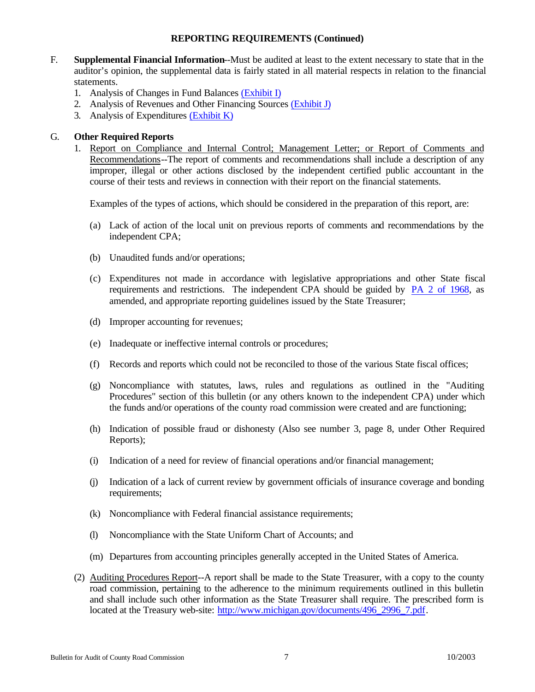## **REPORTING REQUIREMENTS (Continued)**

- <span id="page-6-0"></span>F. **Supplemental Financial Information**--Must be audited at least to the extent necessary to state that in the auditor's opinion, the supplemental data is fairly stated in all material respects in relation to the financial statements.
	- 1. Analysis of Changes in Fund Balance[s \(Exhibit I\)](#page-59-0)
	- 2. Analysis of Revenues and Other Financing Sources [\(Exhibit J\)](#page-60-0)
	- 3. Analysis of Expenditure[s \(Exhibit K\)](#page-62-0)

## G. **Other Required Reports**

1. Report on Compliance and Internal Control; Management Letter; or Report of Comments and Recommendations--The report of comments and recommendations shall include a description of any improper, illegal or other actions disclosed by the independent certified public accountant in the course of their tests and reviews in connection with their report on the financial statements.

Examples of the types of actions, which should be considered in the preparation of this report, are:

- (a) Lack of action of the local unit on previous reports of comments and recommendations by the independent CPA;
- (b) Unaudited funds and/or operations;
- (c) Expenditures not made in accordance with legislative appropriations and other State fiscal requirements and restrictions. The independent CPA should be guided by [PA 2 of 1968,](http://www.michiganlegislature.org/mileg.asp?page=getObject&objName=mcl-Act-2-of-1968&queryid=4950720&highlight=) as amended, and appropriate reporting guidelines issued by the State Treasurer;
- (d) Improper accounting for revenues;
- (e) Inadequate or ineffective internal controls or procedures;
- (f) Records and reports which could not be reconciled to those of the various State fiscal offices;
- (g) Noncompliance with statutes, laws, rules and regulations as outlined in the "Auditing Procedures" section of this bulletin (or any others known to the independent CPA) under which the funds and/or operations of the county road commission were created and are functioning;
- (h) Indication of possible fraud or dishonesty (Also see number 3, page 8, under Other Required Reports);
- (i) Indication of a need for review of financial operations and/or financial management;
- (j) Indication of a lack of current review by government officials of insurance coverage and bonding requirements;
- (k) Noncompliance with Federal financial assistance requirements;
- (l) Noncompliance with the State Uniform Chart of Accounts; and
- (m) Departures from accounting principles generally accepted in the United States of America.
- (2) Auditing Procedures Report--A report shall be made to the State Treasurer, with a copy to the county road commission, pertaining to the adherence to the minimum requirements outlined in this bulletin and shall include such other information as the State Treasurer shall require. The prescribed form is located at the Treasury web-site: [http://www.michigan.gov/documents/496\\_2996\\_7.pdf.](http://www.michigan.gov/documents/496_2996_7.pdf)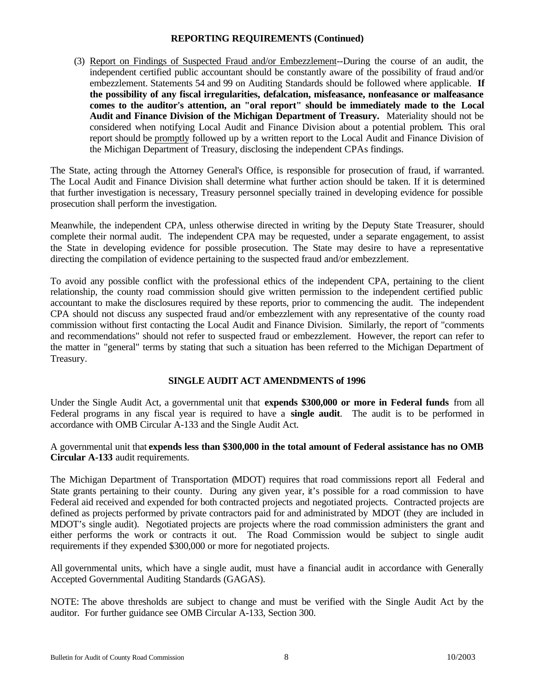## **REPORTING REQUIREMENTS (Continued)**

<span id="page-7-0"></span>(3) Report on Findings of Suspected Fraud and/or Embezzlement--During the course of an audit, the independent certified public accountant should be constantly aware of the possibility of fraud and/or embezzlement. Statements 54 and 99 on Auditing Standards should be followed where applicable. **If the possibility of any fiscal irregularities, defalcation, misfeasance, nonfeasance or malfeasance comes to the auditor's attention, an "oral report" should be immediately made to the Local Audit and Finance Division of the Michigan Department of Treasury.** Materiality should not be considered when notifying Local Audit and Finance Division about a potential problem. This oral report should be promptly followed up by a written report to the Local Audit and Finance Division of the Michigan Department of Treasury, disclosing the independent CPAs findings.

The State, acting through the Attorney General's Office, is responsible for prosecution of fraud, if warranted. The Local Audit and Finance Division shall determine what further action should be taken. If it is determined that further investigation is necessary, Treasury personnel specially trained in developing evidence for possible prosecution shall perform the investigation.

Meanwhile, the independent CPA, unless otherwise directed in writing by the Deputy State Treasurer, should complete their normal audit. The independent CPA may be requested, under a separate engagement, to assist the State in developing evidence for possible prosecution. The State may desire to have a representative directing the compilation of evidence pertaining to the suspected fraud and/or embezzlement.

To avoid any possible conflict with the professional ethics of the independent CPA, pertaining to the client relationship, the county road commission should give written permission to the independent certified public accountant to make the disclosures required by these reports, prior to commencing the audit. The independent CPA should not discuss any suspected fraud and/or embezzlement with any representative of the county road commission without first contacting the Local Audit and Finance Division. Similarly, the report of "comments and recommendations" should not refer to suspected fraud or embezzlement. However, the report can refer to the matter in "general" terms by stating that such a situation has been referred to the Michigan Department of Treasury.

## **SINGLE AUDIT ACT AMENDMENTS of 1996**

Under the Single Audit Act, a governmental unit that **expends \$300,000 or more in Federal funds** from all Federal programs in any fiscal year is required to have a **single audit**. The audit is to be performed in accordance with OMB Circular A-133 and the Single Audit Act.

A governmental unit that **expends less than \$300,000 in the total amount of Federal assistance has no OMB Circular A-133** audit requirements.

The Michigan Department of Transportation (MDOT) requires that road commissions report all Federal and State grants pertaining to their county. During any given year, it's possible for a road commission to have Federal aid received and expended for both contracted projects and negotiated projects. Contracted projects are defined as projects performed by private contractors paid for and administrated by MDOT (they are included in MDOT's single audit). Negotiated projects are projects where the road commission administers the grant and either performs the work or contracts it out. The Road Commission would be subject to single audit requirements if they expended \$300,000 or more for negotiated projects.

All governmental units, which have a single audit, must have a financial audit in accordance with Generally Accepted Governmental Auditing Standards (GAGAS).

NOTE: The above thresholds are subject to change and must be verified with the Single Audit Act by the auditor. For further guidance see OMB Circular A-133, Section 300.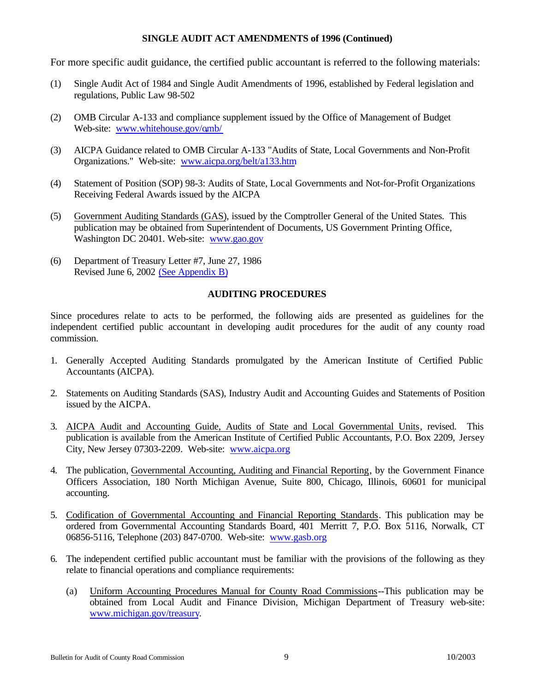## **SINGLE AUDIT ACT AMENDMENTS of 1996 (Continued)**

<span id="page-8-0"></span>For more specific audit guidance, the certified public accountant is referred to the following materials:

- (1) Single Audit Act of 1984 and Single Audit Amendments of 1996, established by Federal legislation and regulations, Public Law 98-502
- (2) OMB Circular A-133 and compliance supplement issued by the Office of Management of Budget Web-site: [www.whitehouse.gov/omb/](www.whitehouse.gov/OMB)
- (3) AICPA Guidance related to OMB Circular A-133 "Audits of State, Local Governments and Non-Profit Organizations." Web-site:<www.aicpa.org/belt/a133.htm>
- (4) Statement of Position (SOP) 98-3: Audits of State, Local Governments and Not-for-Profit Organizations Receiving Federal Awards issued by the AICPA
- (5) Government Auditing Standards (GAS), issued by the Comptroller General of the United States. This publication may be obtained from Superintendent of Documents, US Government Printing Office, Washington DC 20401. Web-site: <www.gao.gov>
- (6) Department of Treasury Letter #7, June 27, 1986 Revised June 6, 2002 [\(See Appendix B\)](#page-15-0)

#### **AUDITING PROCEDURES**

Since procedures relate to acts to be performed, the following aids are presented as guidelines for the independent certified public accountant in developing audit procedures for the audit of any county road commission.

- 1. Generally Accepted Auditing Standards promulgated by the American Institute of Certified Public Accountants (AICPA).
- 2. Statements on Auditing Standards (SAS), Industry Audit and Accounting Guides and Statements of Position issued by the AICPA.
- 3. AICPA Audit and Accounting Guide, Audits of State and Local Governmental Units, revised. This publication is available from the American Institute of Certified Public Accountants, P.O. Box 2209, Jersey City, New Jersey 07303-2209. Web-site: <www.aicpa.org>
- 4. The publication, Governmental Accounting, Auditing and Financial Reporting, by the Government Finance Officers Association, 180 North Michigan Avenue, Suite 800, Chicago, Illinois, 60601 for municipal accounting.
- 5. Codification of Governmental Accounting and Financial Reporting Standards. This publication may be ordered from Governmental Accounting Standards Board, 401 Merritt 7, P.O. Box 5116, Norwalk, CT 06856-5116, Telephone (203) 847-0700. Web-site:<www.gasb.org>
- 6. The independent certified public accountant must be familiar with the provisions of the following as they relate to financial operations and compliance requirements:
	- (a) Uniform Accounting Procedures Manual for County Road Commissions--This publication may be obtained from Local Audit and Finance Division, Michigan Department of Treasury web-site: [www.michigan.gov/treasury.](www.michigan.gov/treasury)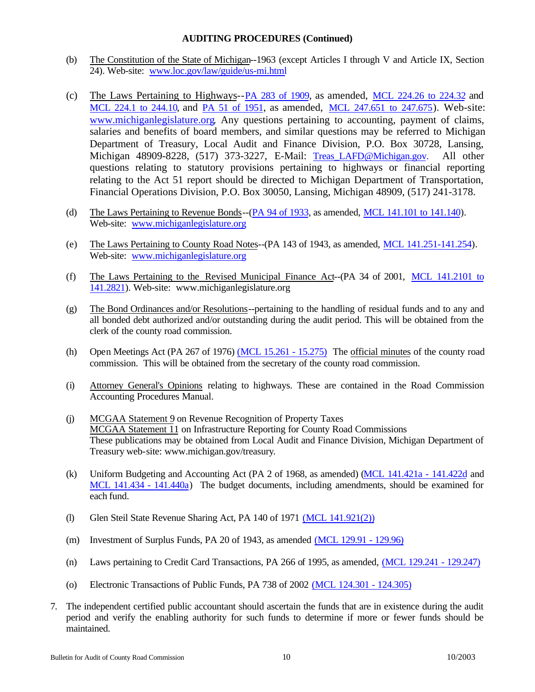## **AUDITING PROCEDURES (Continued)**

- (b) The Constitution of the State of Michigan--1963 (except Articles I through V and Article IX, Section 24). Web-site: <www.loc.gov/law/guide/us-mi.html>
- (c) The Laws Pertaining to Highways-[-PA 283 of 1909, a](http://www.michiganlegislature.org/mileg.asp?page=getObject&objName=mcl-Act-283-of-1909&queryid=4951314&highlight=)s amended, [MCL 224.26 to 224.32 a](http://www.michiganlegislature.org/mileg.asp?page=getObject&objName=mcl-224-26)nd [MCL 224.1 to 244.10, a](http://www.michiganlegislature.org/mileg.asp?page=getObject&objName=mcl-224-1)nd [PA 51 of 1951, a](http://www.michiganlegislature.org/mileg.asp?page=getObject&objName=mcl-Act-51-of-1951&queryid=4951326&highlight=)s amended, [MCL 247.651 to 247.675\).](http://www.michiganlegislature.org/mileg.asp?page=getObject&objName=mcl-247-651) Web-site: [www.michiganlegislature.org.](www.michiganlegislature.org) Any questions pertaining to accounting, payment of claims, salaries and benefits of board members, and similar questions may be referred to Michigan Department of Treasury, Local Audit and Finance Division, P.O. Box 30728, Lansing, Michigan 48909-8228, (517) 373-3227, E-Mail: Treas LAFD@Michigan.gov. All other questions relating to statutory provisions pertaining to highways or financial reporting relating to the Act 51 report should be directed to Michigan Department of Transportation, Financial Operations Division, P.O. Box 30050, Lansing, Michigan 48909, (517) 241-3178.
- (d) The Laws Pertaining to Revenue Bonds-[-\(PA 94 of 1933, a](http://www.michiganlegislature.org/mileg.asp?page=getObject&objName=mcl-Act-94-of-1933&queryid=4951335&highlight=)s amended, [MCL 141.101 to 141.140\).](http://www.michiganlegislature.org/mileg.asp?page=getObject&objName=mcl-141-101) Web-site[: www.michiganlegislature.org](www.michiganlegislature.org)
- (e) The Laws Pertaining to County Road Notes--(PA 143 of 1943, as amended, [MCL 141.251-141.254\).](http://www.michiganlegislature.org/mileg.asp?page=getObject&objName=mcl-141-251) Web-site: <www.michiganlegislature.org>
- (f) The Laws Pertaining to the Revised Municipal Finance Act--(PA 34 of 2001, [MCL 141.2101 to](http://www.michiganlegislature.org/mileg.asp?page=getObject&objName=mcl-141-2101) [141.2821\).](http://www.michiganlegislature.org/mileg.asp?page=getObject&objName=mcl-141-2821) Web-site: www.michiganlegislature.org
- (g) The Bond Ordinances and/or Resolutions--pertaining to the handling of residual funds and to any and all bonded debt authorized and/or outstanding during the audit period. This will be obtained from the clerk of the county road commission.
- (h) Open Meetings Act (PA 267 of 1976) [\(MCL 15.261 15.275\)](http://www.michiganlegislature.org/mileg.asp?page=getObject&objName=mcl-15-261) The official minutes of the county road commission. This will be obtained from the secretary of the county road commission.
- (i) Attorney General's Opinions relating to highways. These are contained in the Road Commission Accounting Procedures Manual.
- (j) MCGAA Statement 9 on Revenue Recognition of Property Taxes MCGAA Statement 11 on Infrastructure Reporting for County Road Commissions These publications may be obtained from Local Audit and Finance Division, Michigan Department of Treasury web-site: www.michigan.gov/treasury.
- (k) Uniform Budgeting and Accounting Act (PA 2 of 1968, as amended) [\(MCL 141.421a 141.422d a](http://www.michiganlegislature.org/mileg.asp?page=getObject&objName=mcl-141-421a)nd [MCL 141.434 - 141.440a\)](http://www.michiganlegislature.org/mileg.asp?page=getObject&objName=mcl-141-434) The budget documents, including amendments, should be examined for each fund.
- (l) Glen Steil State Revenue Sharing Act, PA 140 of 197[1 \(MCL 141.921\(2\)\)](http://www.michiganlegislature.org/mileg.asp?page=getObject&objName=mcl-141-921)
- (m) Investment of Surplus Funds, PA 20 of 1943, as amended [\(MCL 129.91 129.96\)](http://www.michiganlegislature.org/mileg.asp?page=getObject&objName=mcl-129-91)
- (n) Laws pertaining to Credit Card Transactions, PA 266 of 1995, as amended, [\(MCL 129.241 129.247\)](http://www.michiganlegislature.org/mileg.asp?page=getObject&objName=mcl-129-241)
- (o) Electronic Transactions of Public Funds, PA 738 of 2002 [\(MCL 124.301 124.305\)](http://www.michiganlegislature.org/mileg.asp?page=getObject&objName=mcl-124-301)
- 7. The independent certified public accountant should ascertain the funds that are in existence during the audit period and verify the enabling authority for such funds to determine if more or fewer funds should be maintained.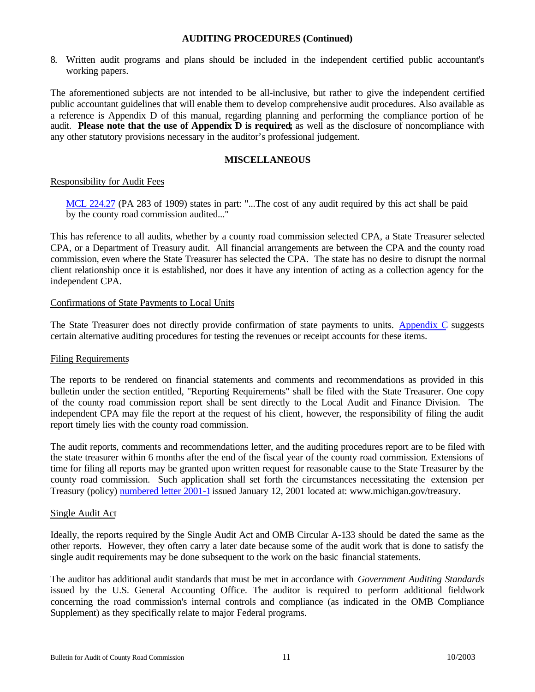## **AUDITING PROCEDURES (Continued)**

<span id="page-10-0"></span>8. Written audit programs and plans should be included in the independent certified public accountant's working papers.

The aforementioned subjects are not intended to be all-inclusive, but rather to give the independent certified public accountant guidelines that will enable them to develop comprehensive audit procedures. Also available as a reference is Appendix D of this manual, regarding planning and performing the compliance portion of he audit. **Please note that the use of Appendix D is required;** as well as the disclosure of noncompliance with any other statutory provisions necessary in the auditor's professional judgement.

### **MISCELLANEOUS**

#### Responsibility for Audit Fees

[MCL 224.27 \(P](http://www.michiganlegislature.org/mileg.asp?page=getObject&objName=mcl-224-27)A 283 of 1909) states in part: "...The cost of any audit required by this act shall be paid by the county road commission audited..."

This has reference to all audits, whether by a county road commission selected CPA, a State Treasurer selected CPA, or a Department of Treasury audit. All financial arrangements are between the CPA and the county road commission, even where the State Treasurer has selected the CPA. The state has no desire to disrupt the normal client relationship once it is established, nor does it have any intention of acting as a collection agency for the independent CPA.

#### Confirmations of State Payments to Local Units

The State Treasurer does not directly provide confirmation of state payments to units[. Appendix C s](#page-18-0)uggests certain alternative auditing procedures for testing the revenues or receipt accounts for these items.

## Filing Requirements

The reports to be rendered on financial statements and comments and recommendations as provided in this bulletin under the section entitled, "Reporting Requirements" shall be filed with the State Treasurer. One copy of the county road commission report shall be sent directly to the Local Audit and Finance Division. The independent CPA may file the report at the request of his client, however, the responsibility of filing the audit report timely lies with the county road commission.

The audit reports, comments and recommendations letter, and the auditing procedures report are to be filed with the state treasurer within 6 months after the end of the fiscal year of the county road commission. Extensions of time for filing all reports may be granted upon written request for reasonable cause to the State Treasurer by the county road commission. Such application shall set forth the circumstances necessitating the extension per Treasury (policy[\) numbered letter 2001-1 is](http://www.michigan.gov/treasury/1,1607,7-121-1751_2194-6003--,00.html)sued January 12, 2001 located at: www.michigan.gov/treasury.

#### Single Audit Act

Ideally, the reports required by the Single Audit Act and OMB Circular A-133 should be dated the same as the other reports. However, they often carry a later date because some of the audit work that is done to satisfy the single audit requirements may be done subsequent to the work on the basic financial statements.

The auditor has additional audit standards that must be met in accordance with *Government Auditing Standards* issued by the U.S. General Accounting Office. The auditor is required to perform additional fieldwork concerning the road commission's internal controls and compliance (as indicated in the OMB Compliance Supplement) as they specifically relate to major Federal programs.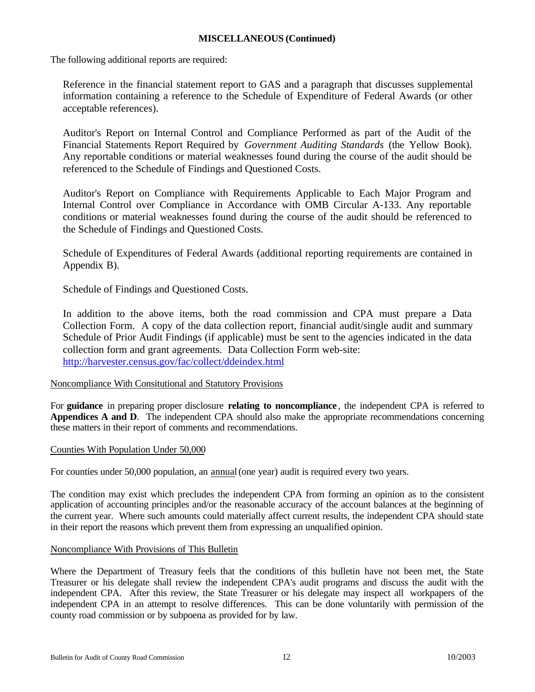## **MISCELLANEOUS (Continued)**

The following additional reports are required:

Reference in the financial statement report to GAS and a paragraph that discusses supplemental information containing a reference to the Schedule of Expenditure of Federal Awards (or other acceptable references).

Auditor's Report on Internal Control and Compliance Performed as part of the Audit of the Financial Statements Report Required by *Government Auditing Standards* (the Yellow Book). Any reportable conditions or material weaknesses found during the course of the audit should be referenced to the Schedule of Findings and Questioned Costs.

Auditor's Report on Compliance with Requirements Applicable to Each Major Program and Internal Control over Compliance in Accordance with OMB Circular A-133. Any reportable conditions or material weaknesses found during the course of the audit should be referenced to the Schedule of Findings and Questioned Costs.

Schedule of Expenditures of Federal Awards (additional reporting requirements are contained in Appendix B).

Schedule of Findings and Questioned Costs.

In addition to the above items, both the road commission and CPA must prepare a Data Collection Form. A copy of the data collection report, financial audit/single audit and summary Schedule of Prior Audit Findings (if applicable) must be sent to the agencies indicated in the data collection form and grant agreements. Data Collection Form web-site: <http://harvester.census.gov/fac/collect/ddeindex.html>

## Noncompliance With Consitutional and Statutory Provisions

For **guidance** in preparing proper disclosure **relating to noncompliance** , the independent CPA is referred to **Appendices A and D**. The independent CPA should also make the appropriate recommendations concerning these matters in their report of comments and recommendations.

## Counties With Population Under 50,000

For counties under 50,000 population, an annual (one year) audit is required every two years.

The condition may exist which precludes the independent CPA from forming an opinion as to the consistent application of accounting principles and/or the reasonable accuracy of the account balances at the beginning of the current year. Where such amounts could materially affect current results, the independent CPA should state in their report the reasons which prevent them from expressing an unqualified opinion.

#### Noncompliance With Provisions of This Bulletin

Where the Department of Treasury feels that the conditions of this bulletin have not been met, the State Treasurer or his delegate shall review the independent CPA's audit programs and discuss the audit with the independent CPA. After this review, the State Treasurer or his delegate may inspect all workpapers of the independent CPA in an attempt to resolve differences. This can be done voluntarily with permission of the county road commission or by subpoena as provided for by law.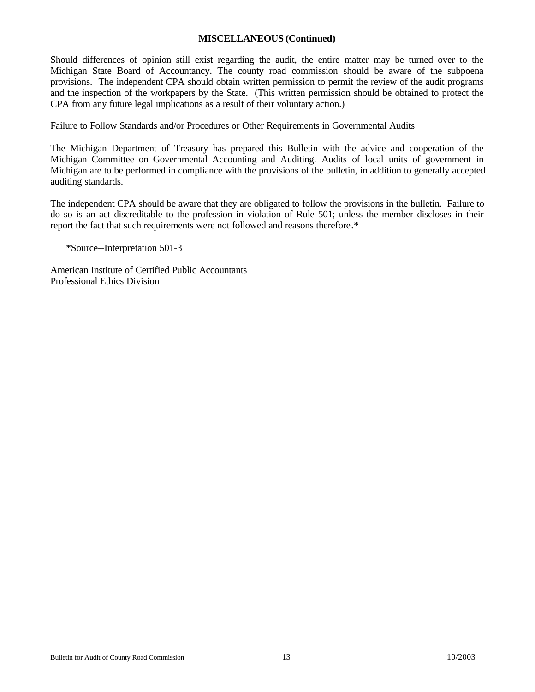## **MISCELLANEOUS (Continued)**

Should differences of opinion still exist regarding the audit, the entire matter may be turned over to the Michigan State Board of Accountancy. The county road commission should be aware of the subpoena provisions. The independent CPA should obtain written permission to permit the review of the audit programs and the inspection of the workpapers by the State. (This written permission should be obtained to protect the CPA from any future legal implications as a result of their voluntary action.)

### Failure to Follow Standards and/or Procedures or Other Requirements in Governmental Audits

The Michigan Department of Treasury has prepared this Bulletin with the advice and cooperation of the Michigan Committee on Governmental Accounting and Auditing. Audits of local units of government in Michigan are to be performed in compliance with the provisions of the bulletin, in addition to generally accepted auditing standards.

The independent CPA should be aware that they are obligated to follow the provisions in the bulletin. Failure to do so is an act discreditable to the profession in violation of Rule 501; unless the member discloses in their report the fact that such requirements were not followed and reasons therefore.\*

\*Source--Interpretation 501-3

American Institute of Certified Public Accountants Professional Ethics Division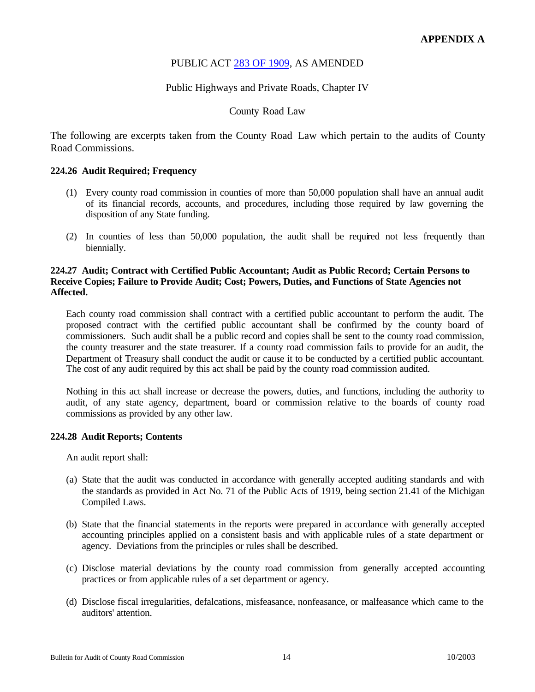## PUBLIC ACT [283 OF 1909, A](http://www.michiganlegislature.org/mileg.asp?page=getObject&objName=mcl-Act-283-of-1909&queryid=4951314&highlight=)S AMENDED

## Public Highways and Private Roads, Chapter IV

## County Road Law

<span id="page-13-0"></span>The following are excerpts taken from the County Road Law which pertain to the audits of County Road Commissions.

#### **224.26 Audit Required; Frequency**

- (1) Every county road commission in counties of more than 50,000 population shall have an annual audit of its financial records, accounts, and procedures, including those required by law governing the disposition of any State funding.
- (2) In counties of less than 50,000 population, the audit shall be required not less frequently than biennially.

#### **224.27 Audit; Contract with Certified Public Accountant; Audit as Public Record; Certain Persons to Receive Copies; Failure to Provide Audit; Cost; Powers, Duties, and Functions of State Agencies not Affected.**

Each county road commission shall contract with a certified public accountant to perform the audit. The proposed contract with the certified public accountant shall be confirmed by the county board of commissioners. Such audit shall be a public record and copies shall be sent to the county road commission, the county treasurer and the state treasurer. If a county road commission fails to provide for an audit, the Department of Treasury shall conduct the audit or cause it to be conducted by a certified public accountant. The cost of any audit required by this act shall be paid by the county road commission audited.

Nothing in this act shall increase or decrease the powers, duties, and functions, including the authority to audit, of any state agency, department, board or commission relative to the boards of county road commissions as provided by any other law.

#### **224.28 Audit Reports; Contents**

An audit report shall:

- (a) State that the audit was conducted in accordance with generally accepted auditing standards and with the standards as provided in Act No. 71 of the Public Acts of 1919, being section 21.41 of the Michigan Compiled Laws.
- (b) State that the financial statements in the reports were prepared in accordance with generally accepted accounting principles applied on a consistent basis and with applicable rules of a state department or agency. Deviations from the principles or rules shall be described.
- (c) Disclose material deviations by the county road commission from generally accepted accounting practices or from applicable rules of a set department or agency.
- (d) Disclose fiscal irregularities, defalcations, misfeasance, nonfeasance, or malfeasance which came to the auditors' attention.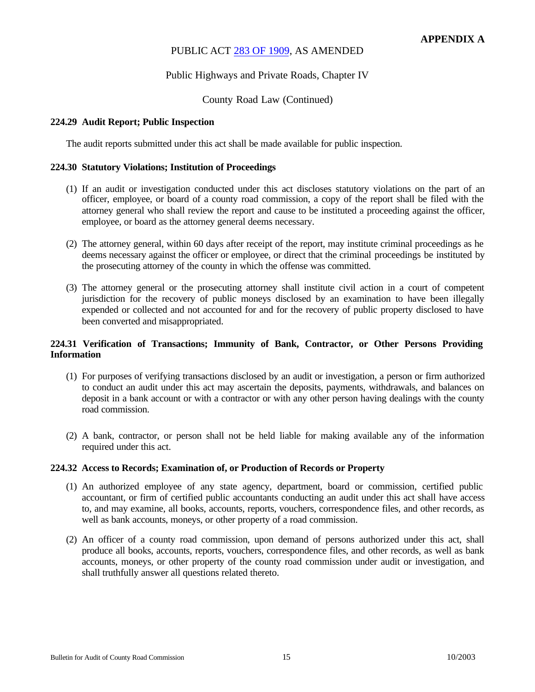## PUBLIC ACT [283 OF 1909, A](http://www.michiganlegislature.org/mileg.asp?page=getObject&objName=mcl-Act-283-of-1909&queryid=4951314&highlight=)S AMENDED

## Public Highways and Private Roads, Chapter IV

## County Road Law (Continued)

### **224.29 Audit Report; Public Inspection**

The audit reports submitted under this act shall be made available for public inspection.

#### **224.30 Statutory Violations; Institution of Proceedings**

- (1) If an audit or investigation conducted under this act discloses statutory violations on the part of an officer, employee, or board of a county road commission, a copy of the report shall be filed with the attorney general who shall review the report and cause to be instituted a proceeding against the officer, employee, or board as the attorney general deems necessary.
- (2) The attorney general, within 60 days after receipt of the report, may institute criminal proceedings as he deems necessary against the officer or employee, or direct that the criminal proceedings be instituted by the prosecuting attorney of the county in which the offense was committed.
- (3) The attorney general or the prosecuting attorney shall institute civil action in a court of competent jurisdiction for the recovery of public moneys disclosed by an examination to have been illegally expended or collected and not accounted for and for the recovery of public property disclosed to have been converted and misappropriated.

## **224.31 Verification of Transactions; Immunity of Bank, Contractor, or Other Persons Providing Information**

- (1) For purposes of verifying transactions disclosed by an audit or investigation, a person or firm authorized to conduct an audit under this act may ascertain the deposits, payments, withdrawals, and balances on deposit in a bank account or with a contractor or with any other person having dealings with the county road commission.
- (2) A bank, contractor, or person shall not be held liable for making available any of the information required under this act.

#### **224.32 Access to Records; Examination of, or Production of Records or Property**

- (1) An authorized employee of any state agency, department, board or commission, certified public accountant, or firm of certified public accountants conducting an audit under this act shall have access to, and may examine, all books, accounts, reports, vouchers, correspondence files, and other records, as well as bank accounts, moneys, or other property of a road commission.
- (2) An officer of a county road commission, upon demand of persons authorized under this act, shall produce all books, accounts, reports, vouchers, correspondence files, and other records, as well as bank accounts, moneys, or other property of the county road commission under audit or investigation, and shall truthfully answer all questions related thereto.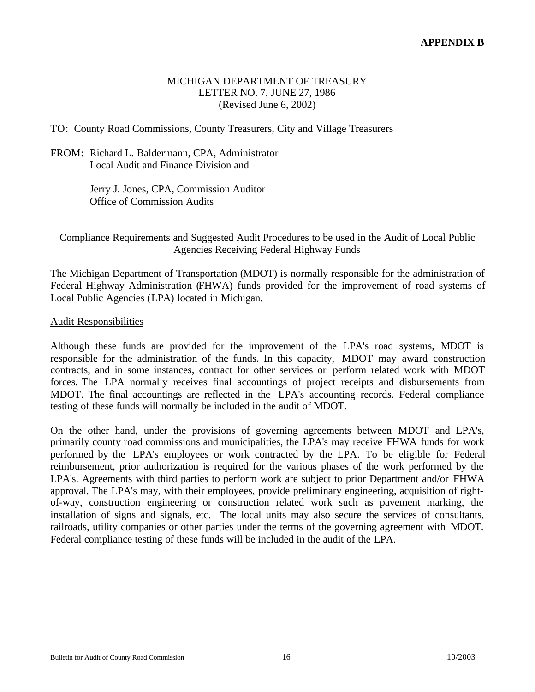## MICHIGAN DEPARTMENT OF TREASURY LETTER NO. 7, JUNE 27, 1986 (Revised June 6, 2002)

<span id="page-15-0"></span>TO: County Road Commissions, County Treasurers, City and Village Treasurers

## FROM: Richard L. Baldermann, CPA, Administrator Local Audit and Finance Division and

Jerry J. Jones, CPA, Commission Auditor Office of Commission Audits

Compliance Requirements and Suggested Audit Procedures to be used in the Audit of Local Public Agencies Receiving Federal Highway Funds

The Michigan Department of Transportation (MDOT) is normally responsible for the administration of Federal Highway Administration (FHWA) funds provided for the improvement of road systems of Local Public Agencies (LPA) located in Michigan.

## Audit Responsibilities

Although these funds are provided for the improvement of the LPA's road systems, MDOT is responsible for the administration of the funds. In this capacity, MDOT may award construction contracts, and in some instances, contract for other services or perform related work with MDOT forces. The LPA normally receives final accountings of project receipts and disbursements from MDOT. The final accountings are reflected in the LPA's accounting records. Federal compliance testing of these funds will normally be included in the audit of MDOT.

On the other hand, under the provisions of governing agreements between MDOT and LPA's, primarily county road commissions and municipalities, the LPA's may receive FHWA funds for work performed by the LPA's employees or work contracted by the LPA. To be eligible for Federal reimbursement, prior authorization is required for the various phases of the work performed by the LPA's. Agreements with third parties to perform work are subject to prior Department and/or FHWA approval. The LPA's may, with their employees, provide preliminary engineering, acquisition of rightof-way, construction engineering or construction related work such as pavement marking, the installation of signs and signals, etc. The local units may also secure the services of consultants, railroads, utility companies or other parties under the terms of the governing agreement with MDOT. Federal compliance testing of these funds will be included in the audit of the LPA.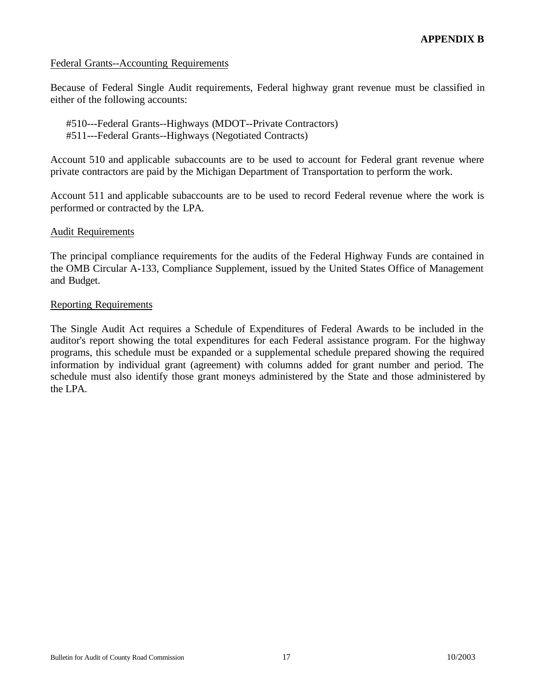## Federal Grants--Accounting Requirements

Because of Federal Single Audit requirements, Federal highway grant revenue must be classified in either of the following accounts:

#510---Federal Grants--Highways (MDOT--Private Contractors) #511---Federal Grants--Highways (Negotiated Contracts)

Account 510 and applicable subaccounts are to be used to account for Federal grant revenue where private contractors are paid by the Michigan Department of Transportation to perform the work.

Account 511 and applicable subaccounts are to be used to record Federal revenue where the work is performed or contracted by the LPA.

## Audit Requirements

The principal compliance requirements for the audits of the Federal Highway Funds are contained in the OMB Circular A-133, Compliance Supplement, issued by the United States Office of Management and Budget.

## Reporting Requirements

The Single Audit Act requires a Schedule of Expenditures of Federal Awards to be included in the auditor's report showing the total expenditures for each Federal assistance program. For the highway programs, this schedule must be expanded or a supplemental schedule prepared showing the required information by individual grant (agreement) with columns added for grant number and period. The schedule must also identify those grant moneys administered by the State and those administered by the LPA.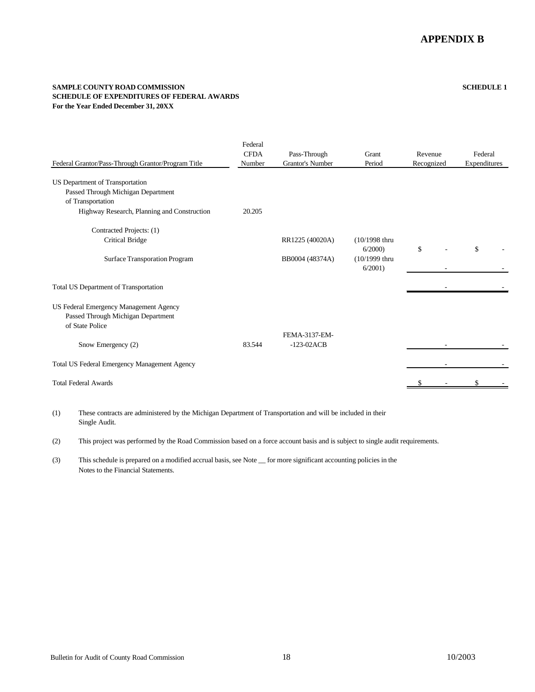#### **SAMPLE COUNTY ROAD COMMISSION SCHEDULE 1 SCHEDULE OF EXPENDITURES OF FEDERAL AWARDS For the Year Ended December 31, 20XX**

| Federal Grantor/Pass-Through Grantor/Program Title                                              | Federal<br><b>CFDA</b><br>Number | Pass-Through<br>Grantor's Number | Grant<br>Period                | Revenue<br>Recognized | Federal<br>Expenditures |
|-------------------------------------------------------------------------------------------------|----------------------------------|----------------------------------|--------------------------------|-----------------------|-------------------------|
| US Department of Transportation<br>Passed Through Michigan Department                           |                                  |                                  |                                |                       |                         |
| of Transportation                                                                               |                                  |                                  |                                |                       |                         |
| Highway Research, Planning and Construction                                                     | 20.205                           |                                  |                                |                       |                         |
| Contracted Projects: (1)                                                                        |                                  |                                  |                                |                       |                         |
| <b>Critical Bridge</b>                                                                          |                                  | RR1225 (40020A)                  | $(10/1998)$ thru<br>6/2000     | \$                    | \$                      |
| <b>Surface Transporation Program</b>                                                            |                                  | BB0004 (48374A)                  | $(10/1999)$ thru<br>$6/2001$ ) |                       |                         |
| Total US Department of Transportation                                                           |                                  |                                  |                                |                       |                         |
| US Federal Emergency Management Agency<br>Passed Through Michigan Department<br>of State Police |                                  |                                  |                                |                       |                         |
|                                                                                                 |                                  | FEMA-3137-EM-                    |                                |                       |                         |
| Snow Emergency (2)                                                                              | 83.544                           | $-123-02ACB$                     |                                |                       |                         |
| Total US Federal Emergency Management Agency                                                    |                                  |                                  |                                |                       |                         |
| <b>Total Federal Awards</b>                                                                     |                                  |                                  |                                |                       |                         |

(1) These contracts are administered by the Michigan Department of Transportation and will be included in their Single Audit.

(2) This project was performed by the Road Commission based on a force account basis and is subject to single audit requirements.

(3) This schedule is prepared on a modified accrual basis, see Note \_\_ for more significant accounting policies in the Notes to the Financial Statements.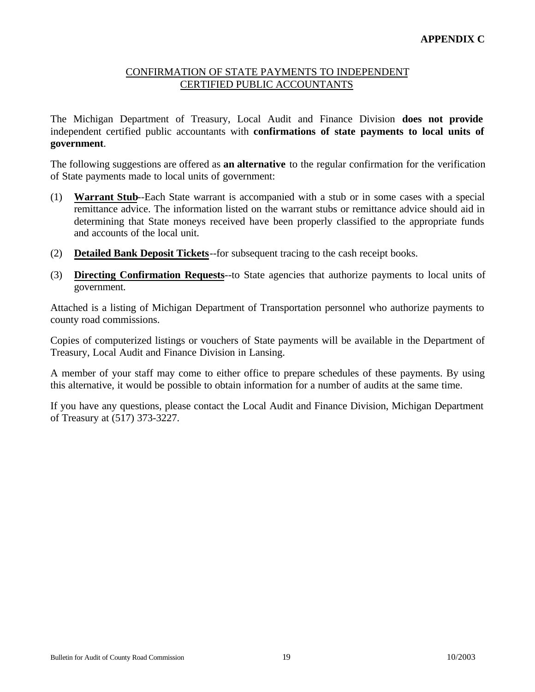## CONFIRMATION OF STATE PAYMENTS TO INDEPENDENT CERTIFIED PUBLIC ACCOUNTANTS

<span id="page-18-0"></span>The Michigan Department of Treasury, Local Audit and Finance Division **does not provide** independent certified public accountants with **confirmations of state payments to local units of government**.

The following suggestions are offered as **an alternative** to the regular confirmation for the verification of State payments made to local units of government:

- (1) **Warrant Stub**--Each State warrant is accompanied with a stub or in some cases with a special remittance advice. The information listed on the warrant stubs or remittance advice should aid in determining that State moneys received have been properly classified to the appropriate funds and accounts of the local unit.
- (2) **Detailed Bank Deposit Tickets**--for subsequent tracing to the cash receipt books.
- (3) **Directing Confirmation Requests**--to State agencies that authorize payments to local units of government.

Attached is a listing of Michigan Department of Transportation personnel who authorize payments to county road commissions.

Copies of computerized listings or vouchers of State payments will be available in the Department of Treasury, Local Audit and Finance Division in Lansing.

A member of your staff may come to either office to prepare schedules of these payments. By using this alternative, it would be possible to obtain information for a number of audits at the same time.

If you have any questions, please contact the Local Audit and Finance Division, Michigan Department of Treasury at (517) 373-3227.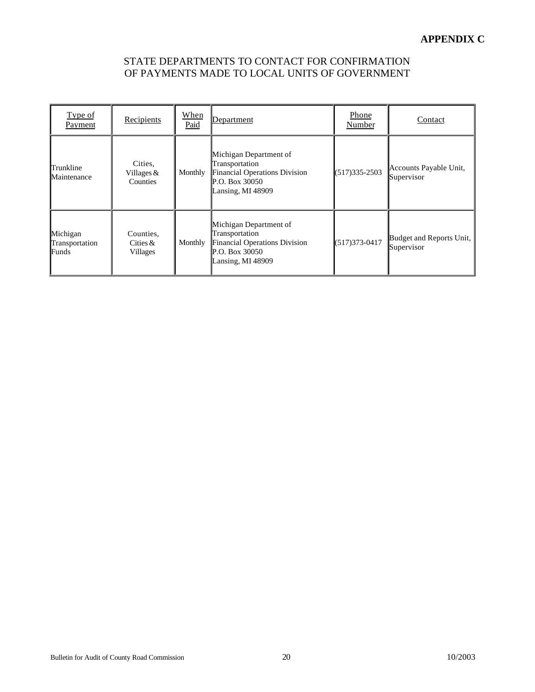## STATE DEPARTMENTS TO CONTACT FOR CONFIRMATION OF PAYMENTS MADE TO LOCAL UNITS OF GOVERNMENT

| Type of<br>Payment                  | Recipients                                 | When<br>Paid | Department                                                                                                         | Phone<br>Number   | Contact                                |
|-------------------------------------|--------------------------------------------|--------------|--------------------------------------------------------------------------------------------------------------------|-------------------|----------------------------------------|
| Trunkline<br>Maintenance            | Cities,<br>Villages $&$<br><b>Counties</b> | Monthly      | Michigan Department of<br>Transportation<br>Financial Operations Division<br>P.O. Box $30050$<br>Lansing, MI 48909 | $(517)335 - 2503$ | Accounts Payable Unit,<br>Supervisor   |
| Michigan<br>Transportation<br>Funds | Counties,<br>Cities $\&$<br>Villages       | Monthly      | Michigan Department of<br>Transportation<br>Financial Operations Division<br>P.O. Box 30050<br>Lansing, MI 48909   | $(517)373-0417$   | Budget and Reports Unit,<br>Supervisor |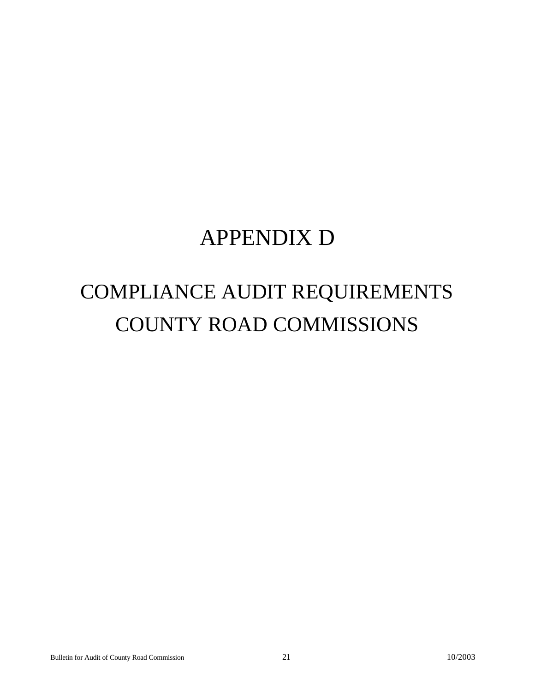# COMPLIANCE AUDIT REQUIREMENTS COUNTY ROAD COMMISSIONS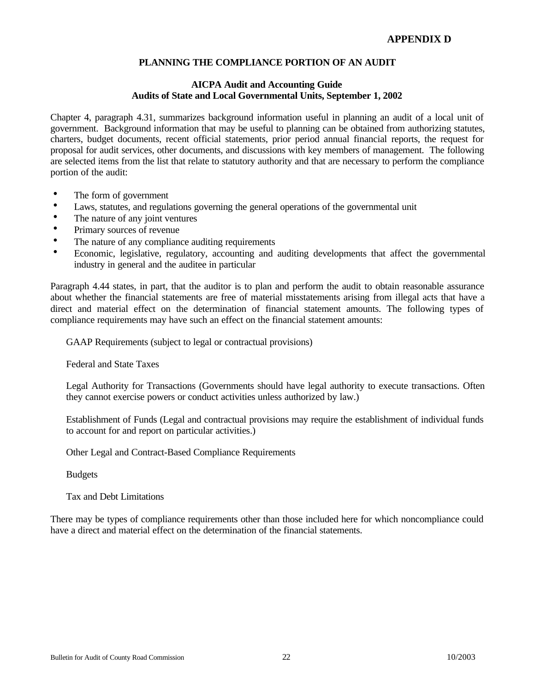## **AICPA Audit and Accounting Guide Audits of State and Local Governmental Units, September 1, 2002**

<span id="page-21-0"></span>Chapter 4, paragraph 4.31, summarizes background information useful in planning an audit of a local unit of government. Background information that may be useful to planning can be obtained from authorizing statutes, charters, budget documents, recent official statements, prior period annual financial reports, the request for proposal for audit services, other documents, and discussions with key members of management. The following are selected items from the list that relate to statutory authority and that are necessary to perform the compliance portion of the audit:

- The form of government
- Laws, statutes, and regulations governing the general operations of the governmental unit<br>• The nature of any joint ventures
- The nature of any joint ventures
- Primary sources of revenue
- The nature of any compliance auditing requirements
- h Economic, legislative, regulatory, accounting and auditing developments that affect the governmental industry in general and the auditee in particular

Paragraph 4.44 states, in part, that the auditor is to plan and perform the audit to obtain reasonable assurance about whether the financial statements are free of material misstatements arising from illegal acts that have a direct and material effect on the determination of financial statement amounts. The following types of compliance requirements may have such an effect on the financial statement amounts:

GAAP Requirements (subject to legal or contractual provisions)

Federal and State Taxes

Legal Authority for Transactions (Governments should have legal authority to execute transactions. Often they cannot exercise powers or conduct activities unless authorized by law.)

Establishment of Funds (Legal and contractual provisions may require the establishment of individual funds to account for and report on particular activities.)

Other Legal and Contract-Based Compliance Requirements

Budgets

Tax and Debt Limitations

There may be types of compliance requirements other than those included here for which noncompliance could have a direct and material effect on the determination of the financial statements.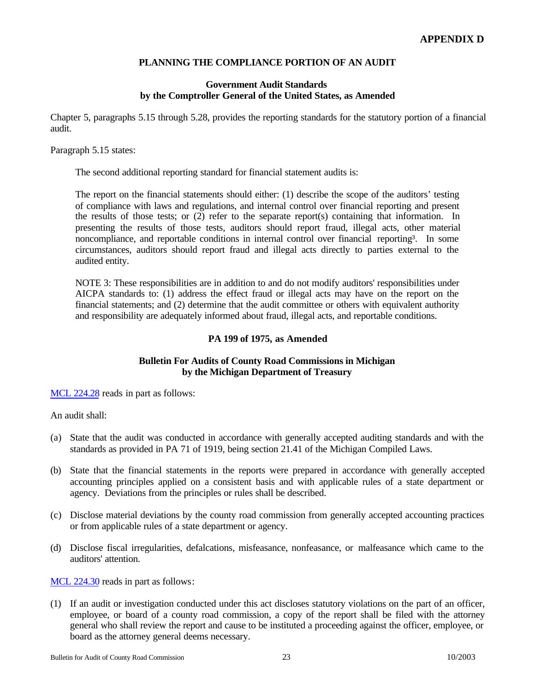## **Government Audit Standards by the Comptroller General of the United States, as Amended**

Chapter 5, paragraphs 5.15 through 5.28, provides the reporting standards for the statutory portion of a financial audit.

#### Paragraph 5.15 states:

The second additional reporting standard for financial statement audits is:

The report on the financial statements should either: (1) describe the scope of the auditors' testing of compliance with laws and regulations, and internal control over financial reporting and present the results of those tests; or (2) refer to the separate report(s) containing that information. In presenting the results of those tests, auditors should report fraud, illegal acts, other material noncompliance, and reportable conditions in internal control over financial reporting<sup>3</sup>. In some circumstances, auditors should report fraud and illegal acts directly to parties external to the audited entity.

NOTE 3: These responsibilities are in addition to and do not modify auditors' responsibilities under AICPA standards to: (1) address the effect fraud or illegal acts may have on the report on the financial statements; and (2) determine that the audit committee or others with equivalent authority and responsibility are adequately informed about fraud, illegal acts, and reportable conditions.

## **PA 199 of 1975, as Amended**

## **Bulletin For Audits of County Road Commissions in Michigan by the Michigan Department of Treasury**

[MCL 224.28 r](http://www.michiganlegislature.org/mileg.asp?page=getObject&objName=mcl-224-28)eads in part as follows:

An audit shall:

- (a) State that the audit was conducted in accordance with generally accepted auditing standards and with the standards as provided in PA 71 of 1919, being section 21.41 of the Michigan Compiled Laws.
- (b) State that the financial statements in the reports were prepared in accordance with generally accepted accounting principles applied on a consistent basis and with applicable rules of a state department or agency. Deviations from the principles or rules shall be described.
- (c) Disclose material deviations by the county road commission from generally accepted accounting practices or from applicable rules of a state department or agency.
- (d) Disclose fiscal irregularities, defalcations, misfeasance, nonfeasance, or malfeasance which came to the auditors' attention.

[MCL 224.30 re](http://www.michiganlegislature.org/mileg.asp?page=getObject&objName=mcl-224-30)ads in part as follows:

(1) If an audit or investigation conducted under this act discloses statutory violations on the part of an officer, employee, or board of a county road commission, a copy of the report shall be filed with the attorney general who shall review the report and cause to be instituted a proceeding against the officer, employee, or board as the attorney general deems necessary.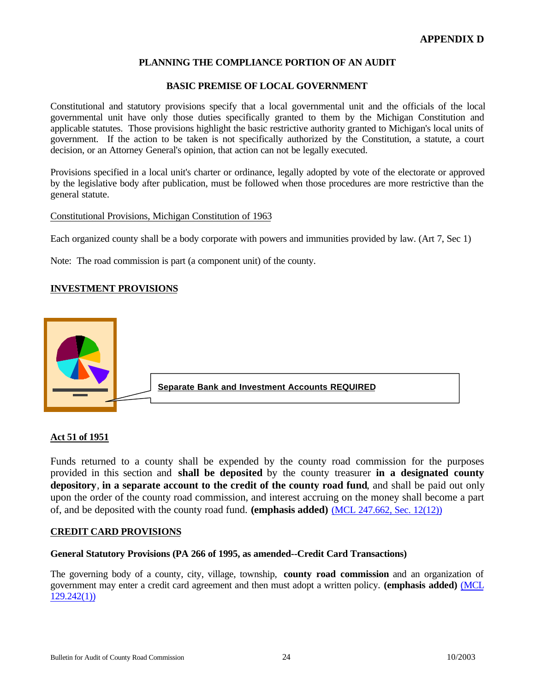## **BASIC PREMISE OF LOCAL GOVERNMENT**

Constitutional and statutory provisions specify that a local governmental unit and the officials of the local governmental unit have only those duties specifically granted to them by the Michigan Constitution and applicable statutes. Those provisions highlight the basic restrictive authority granted to Michigan's local units of government. If the action to be taken is not specifically authorized by the Constitution, a statute, a court decision, or an Attorney General's opinion, that action can not be legally executed.

Provisions specified in a local unit's charter or ordinance, legally adopted by vote of the electorate or approved by the legislative body after publication, must be followed when those procedures are more restrictive than the general statute.

#### Constitutional Provisions, Michigan Constitution of 1963

Each organized county shall be a body corporate with powers and immunities provided by law. (Art 7, Sec 1)

Note: The road commission is part (a component unit) of the county.

## **INVESTMENT PROVISIONS**



## **Act 51 of 1951**

Funds returned to a county shall be expended by the county road commission for the purposes provided in this section and **shall be deposited** by the county treasurer **in a designated county depository**, **in a separate account to the credit of the county road fund**, and shall be paid out only upon the order of the county road commission, and interest accruing on the money shall become a part of, and be deposited with the county road fund. **(emphasis added)** [\(MCL 247.662, Sec. 12\(12\)\)](http://www.michiganlegislature.org/mileg.asp?page=getObject&objName=mcl-247-662)

## **CREDIT CARD PROVISIONS**

## **General Statutory Provisions (PA 266 of 1995, as amended--Credit Card Transactions)**

The governing body of a county, city, village, township, **county road commission** and an organization of government may enter a credit card agreement and then must adopt a written policy. **(emphasis added)** [\(MCL](http://www.michiganlegislature.org/mileg.asp?page=getObject&objName=mcl-129-242) [129.242\(1\)\)](http://www.michiganlegislature.org/mileg.asp?page=getObject&objName=mcl-129-242)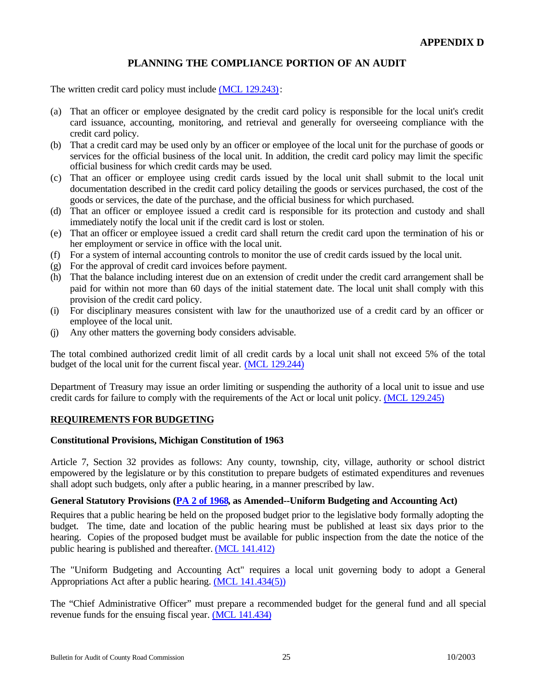The written credit card policy must include [\(MCL 129.243\):](http://www.michiganlegislature.org/mileg.asp?page=getObject&objName=mcl-129-243)

- (a) That an officer or employee designated by the credit card policy is responsible for the local unit's credit card issuance, accounting, monitoring, and retrieval and generally for overseeing compliance with the credit card policy.
- (b) That a credit card may be used only by an officer or employee of the local unit for the purchase of goods or services for the official business of the local unit. In addition, the credit card policy may limit the specific official business for which credit cards may be used.
- (c) That an officer or employee using credit cards issued by the local unit shall submit to the local unit documentation described in the credit card policy detailing the goods or services purchased, the cost of the goods or services, the date of the purchase, and the official business for which purchased.
- (d) That an officer or employee issued a credit card is responsible for its protection and custody and shall immediately notify the local unit if the credit card is lost or stolen.
- (e) That an officer or employee issued a credit card shall return the credit card upon the termination of his or her employment or service in office with the local unit.
- (f) For a system of internal accounting controls to monitor the use of credit cards issued by the local unit.
- (g) For the approval of credit card invoices before payment.
- (h) That the balance including interest due on an extension of credit under the credit card arrangement shall be paid for within not more than 60 days of the initial statement date. The local unit shall comply with this provision of the credit card policy.
- (i) For disciplinary measures consistent with law for the unauthorized use of a credit card by an officer or employee of the local unit.
- (j) Any other matters the governing body considers advisable.

The total combined authorized credit limit of all credit cards by a local unit shall not exceed 5% of the total budget of the local unit for the current fiscal year. [\(MCL 129.244\)](http://www.michiganlegislature.org/mileg.asp?page=getObject&objName=mcl-129-244)

Department of Treasury may issue an order limiting or suspending the authority of a local unit to issue and use credit cards for failure to comply with the requirements of the Act or local unit policy. [\(MCL 129.245\)](http://www.michiganlegislature.org/mileg.asp?page=getObject&objName=mcl-129-245)

## **REQUIREMENTS FOR BUDGETING**

## **Constitutional Provisions, Michigan Constitution of 1963**

Article 7, Section 32 provides as follows: Any county, township, city, village, authority or school district empowered by the legislature or by this constitution to prepare budgets of estimated expenditures and revenues shall adopt such budgets, only after a public hearing, in a manner prescribed by law.

## **General Statutory Provisions [\(PA 2 of 1968, a](http://www.michiganlegislature.org/mileg.asp?page=getObject&objName=mcl-Act-2-of-1968&queryid=4952060&highlight=)s Amended--Uniform Budgeting and Accounting Act)**

Requires that a public hearing be held on the proposed budget prior to the legislative body formally adopting the budget. The time, date and location of the public hearing must be published at least six days prior to the hearing. Copies of the proposed budget must be available for public inspection from the date the notice of the public hearing is published and thereafter. [\(MCL 141.412\)](http://www.michiganlegislature.org/mileg.asp?page=getObject&objName=mcl-141-412)

The "Uniform Budgeting and Accounting Act" requires a local unit governing body to adopt a General Appropriations Act after a public hearing. [\(MCL 141.434\(5\)\)](http://www.michiganlegislature.org/mileg.asp?page=getObject&objName=mcl-141-434)

The "Chief Administrative Officer" must prepare a recommended budget for the general fund and all special revenue funds for the ensuing fiscal year[. \(MCL 141.434\)](http://www.michiganlegislature.org/mileg.asp?page=getObject&objName=mcl-141-434)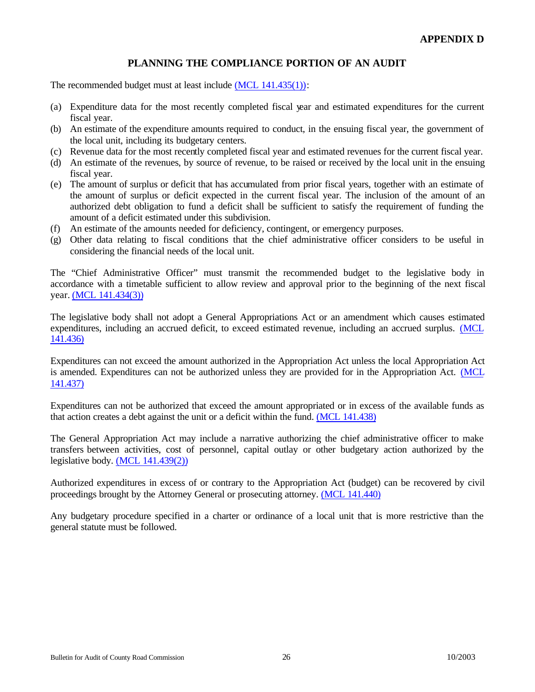The recommended budget must at least include [\(MCL 141.435\(1\)\):](http://www.michiganlegislature.org/mileg.asp?page=getObject&objName=mcl-141-435)

- (a) Expenditure data for the most recently completed fiscal year and estimated expenditures for the current fiscal year.
- (b) An estimate of the expenditure amounts required to conduct, in the ensuing fiscal year, the government of the local unit, including its budgetary centers.
- (c) Revenue data for the most recently completed fiscal year and estimated revenues for the current fiscal year.
- (d) An estimate of the revenues, by source of revenue, to be raised or received by the local unit in the ensuing fiscal year.
- (e) The amount of surplus or deficit that has accumulated from prior fiscal years, together with an estimate of the amount of surplus or deficit expected in the current fiscal year. The inclusion of the amount of an authorized debt obligation to fund a deficit shall be sufficient to satisfy the requirement of funding the amount of a deficit estimated under this subdivision.
- (f) An estimate of the amounts needed for deficiency, contingent, or emergency purposes.
- (g) Other data relating to fiscal conditions that the chief administrative officer considers to be useful in considering the financial needs of the local unit.

The "Chief Administrative Officer" must transmit the recommended budget to the legislative body in accordance with a timetable sufficient to allow review and approval prior to the beginning of the next fiscal year[. \(MCL 141.434\(3\)\)](http://www.michiganlegislature.org/mileg.asp?page=getObject&objName=mcl-141-434)

The legislative body shall not adopt a General Appropriations Act or an amendment which causes estimated expenditures, including an accrued deficit, to exceed estimated revenue, including an accrued surplus. [\(MCL](http://www.michiganlegislature.org/mileg.asp?page=getObject&objName=mcl-141-436) [141.436\)](http://www.michiganlegislature.org/mileg.asp?page=getObject&objName=mcl-141-436)

Expenditures can not exceed the amount authorized in the Appropriation Act unless the local Appropriation Act is amended. Expenditures can not be authorized unless they are provided for in the Appropriation Act. [\(MCL](http://www.michiganlegislature.org/mileg.asp?page=getObject&objName=mcl-141-437) [141.437\)](http://www.michiganlegislature.org/mileg.asp?page=getObject&objName=mcl-141-437)

Expenditures can not be authorized that exceed the amount appropriated or in excess of the available funds as that action creates a debt against the unit or a deficit within the fund[. \(MCL 141.438\)](http://www.michiganlegislature.org/mileg.asp?page=getObject&objName=mcl-141-438)

The General Appropriation Act may include a narrative authorizing the chief administrative officer to make transfers between activities, cost of personnel, capital outlay or other budgetary action authorized by the legislative body[. \(MCL 141.439\(2\)\)](http://www.michiganlegislature.org/mileg.asp?page=getObject&objName=mcl-141-439)

Authorized expenditures in excess of or contrary to the Appropriation Act (budget) can be recovered by civil proceedings brought by the Attorney General or prosecuting attorney[. \(MCL 141.440\)](http://www.michiganlegislature.org/mileg.asp?page=getObject&objName=mcl-141-440)

Any budgetary procedure specified in a charter or ordinance of a local unit that is more restrictive than the general statute must be followed.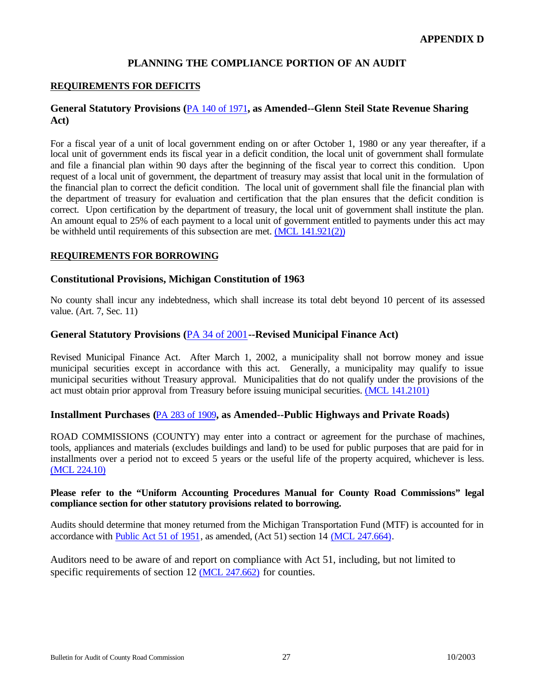## **REQUIREMENTS FOR DEFICITS**

## **General Statutory Provisions (**[PA 140 of 1971](http://www.michiganlegislature.org/mileg.asp?page=getObject&objName=mcl-Act-140-of-1971&queryid=4952157&highlight=)**, as Amended--Glenn Steil State Revenue Sharing Act)**

For a fiscal year of a unit of local government ending on or after October 1, 1980 or any year thereafter, if a local unit of government ends its fiscal year in a deficit condition, the local unit of government shall formulate and file a financial plan within 90 days after the beginning of the fiscal year to correct this condition. Upon request of a local unit of government, the department of treasury may assist that local unit in the formulation of the financial plan to correct the deficit condition. The local unit of government shall file the financial plan with the department of treasury for evaluation and certification that the plan ensures that the deficit condition is correct. Upon certification by the department of treasury, the local unit of government shall institute the plan. An amount equal to 25% of each payment to a local unit of government entitled to payments under this act may be withheld until requirements of this subsection are met[. \(MCL 141.921\(2\)\)](http://www.michiganlegislature.org/mileg.asp?page=getObject&objName=mcl-141-921)

#### **REQUIREMENTS FOR BORROWING**

## **Constitutional Provisions, Michigan Constitution of 1963**

No county shall incur any indebtedness, which shall increase its total debt beyond 10 percent of its assessed value. (Art. 7, Sec. 11)

## **General Statutory Provisions (**[PA 34 of 2001](http://www.michiganlegislature.org/mileg.asp?page=getObject&objName=mcl-Act-34-of-2001&queryid=4952175&highlight=)**--Revised Municipal Finance Act)**

Revised Municipal Finance Act. After March 1, 2002, a municipality shall not borrow money and issue municipal securities except in accordance with this act. Generally, a municipality may qualify to issue municipal securities without Treasury approval. Municipalities that do not qualify under the provisions of the act must obtain prior approval from Treasury before issuing municipal securities[. \(MCL 141.2101\)](http://www.michiganlegislature.org/mileg.asp?page=getObject&objName=mcl-141-2101)

## **Installment Purchases (**[PA 283 of 1909](http://www.michiganlegislature.org/mileg.asp?page=getObject&objName=mcl-Act-283-of-1909&queryid=4951314&highlight=)**, as Amended--Public Highways and Private Roads)**

ROAD COMMISSIONS (COUNTY) may enter into a contract or agreement for the purchase of machines, tools, appliances and materials (excludes buildings and land) to be used for public purposes that are paid for in installments over a period not to exceed 5 years or the useful life of the property acquired, whichever is less. [\(MCL 224.10\)](http://www.michiganlegislature.org/mileg.asp?page=getObject&objName=mcl-224-10)

#### **Please refer to the "Uniform Accounting Procedures Manual for County Road Commissions" legal compliance section for other statutory provisions related to borrowing.**

Audits should determine that money returned from the Michigan Transportation Fund (MTF) is accounted for in accordance with [Public Act 51 of 1951,](http://www.michiganlegislature.org/mileg.asp?page=getObject&objName=mcl-Act-51-of-1951&queryid=4951326&highlight=) as amended, (Act 51) section 14 [\(MCL 247.664\).](http://www.michiganlegislature.org/mileg.asp?page=getObject&objName=mcl-247-664)

Auditors need to be aware of and report on compliance with Act 51, including, but not limited to specific requirements of section 12 [\(MCL 247.662\)](http://www.michiganlegislature.org/mileg.asp?page=getObject&objName=mcl-247-662) for counties.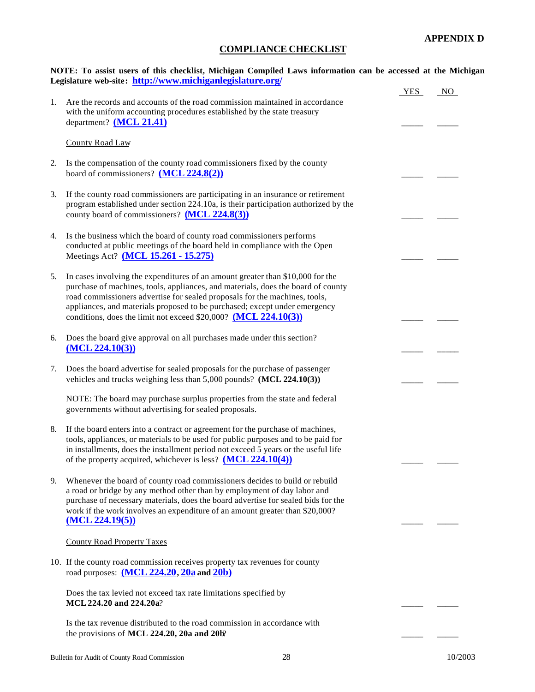## **COMPLIANCE CHECKLIST**

<span id="page-27-0"></span>

|    | NOTE: To assist users of this checklist, Michigan Compiled Laws information can be accessed at the Michigan<br>Legislature web-site: http://www.michiganlegislature.org/                                                                                                                                                                                                                             |            |    |
|----|------------------------------------------------------------------------------------------------------------------------------------------------------------------------------------------------------------------------------------------------------------------------------------------------------------------------------------------------------------------------------------------------------|------------|----|
| 1. | Are the records and accounts of the road commission maintained in accordance<br>with the uniform accounting procedures established by the state treasury<br>department? (MCL 21.41)                                                                                                                                                                                                                  | <b>YES</b> | NO |
|    | <b>County Road Law</b>                                                                                                                                                                                                                                                                                                                                                                               |            |    |
| 2. | Is the compensation of the county road commissioners fixed by the county<br>board of commissioners? $(MCL 224.8(2))$                                                                                                                                                                                                                                                                                 |            |    |
| 3. | If the county road commissioners are participating in an insurance or retirement<br>program established under section 224.10a, is their participation authorized by the<br>county board of commissioners? (MCL 224.8(3))                                                                                                                                                                             |            |    |
| 4. | Is the business which the board of county road commissioners performs<br>conducted at public meetings of the board held in compliance with the Open<br>Meetings Act? (MCL 15.261 - 15.275)                                                                                                                                                                                                           |            |    |
| 5. | In cases involving the expenditures of an amount greater than \$10,000 for the<br>purchase of machines, tools, appliances, and materials, does the board of county<br>road commissioners advertise for sealed proposals for the machines, tools,<br>appliances, and materials proposed to be purchased; except under emergency<br>conditions, does the limit not exceed \$20,000? (MCL $224.10(3)$ ) |            |    |
| 6. | Does the board give approval on all purchases made under this section?<br>(MCL 224.10(3))                                                                                                                                                                                                                                                                                                            |            |    |
| 7. | Does the board advertise for sealed proposals for the purchase of passenger<br>vehicles and trucks weighing less than 5,000 pounds? (MCL 224.10(3))                                                                                                                                                                                                                                                  |            |    |
|    | NOTE: The board may purchase surplus properties from the state and federal<br>governments without advertising for sealed proposals.                                                                                                                                                                                                                                                                  |            |    |
| 8. | If the board enters into a contract or agreement for the purchase of machines,<br>tools, appliances, or materials to be used for public purposes and to be paid for<br>in installments, does the installment period not exceed 5 years or the useful life<br>of the property acquired, whichever is less? $(MCL 224.10(4))$                                                                          |            |    |
| 9. | Whenever the board of county road commissioners decides to build or rebuild<br>a road or bridge by any method other than by employment of day labor and<br>purchase of necessary materials, does the board advertise for sealed bids for the<br>work if the work involves an expenditure of an amount greater than \$20,000?<br>(MCL 224.19(5))                                                      |            |    |
|    | <b>County Road Property Taxes</b>                                                                                                                                                                                                                                                                                                                                                                    |            |    |
|    | 10. If the county road commission receives property tax revenues for county<br>road purposes: $(MCL 224.20, 20a$ and $20b)$                                                                                                                                                                                                                                                                          |            |    |
|    | Does the tax levied not exceed tax rate limitations specified by<br>MCL 224.20 and 224.20a?                                                                                                                                                                                                                                                                                                          |            |    |
|    | Is the tax revenue distributed to the road commission in accordance with<br>the provisions of MCL 224.20, 20a and 20b?                                                                                                                                                                                                                                                                               |            |    |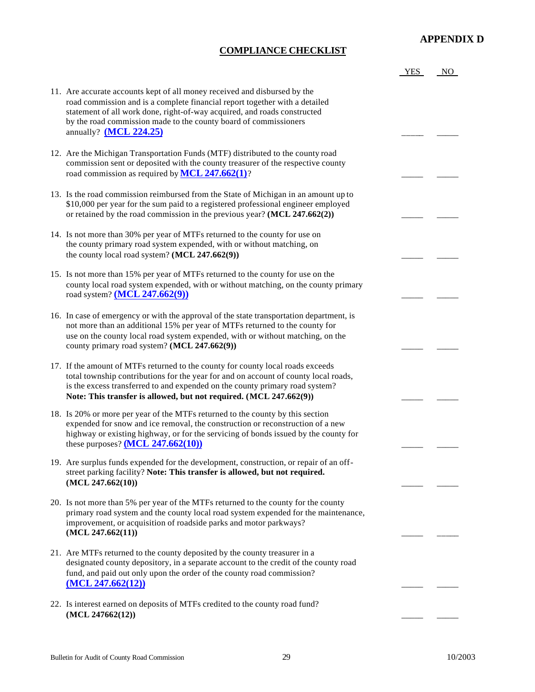## **COMPLIANCE CHECKLIST**

|                                                                                                                                                                                                                                                                                                                                      | <b>YES</b> | NO. |
|--------------------------------------------------------------------------------------------------------------------------------------------------------------------------------------------------------------------------------------------------------------------------------------------------------------------------------------|------------|-----|
| 11. Are accurate accounts kept of all money received and disbursed by the<br>road commission and is a complete financial report together with a detailed<br>statement of all work done, right-of-way acquired, and roads constructed<br>by the road commission made to the county board of commissioners<br>annually? $(MCL 224.25)$ |            |     |
| 12. Are the Michigan Transportation Funds (MTF) distributed to the county road<br>commission sent or deposited with the county treasurer of the respective county<br>road commission as required by $MCL$ 247.662(1)?                                                                                                                |            |     |
| 13. Is the road commission reimbursed from the State of Michigan in an amount up to<br>\$10,000 per year for the sum paid to a registered professional engineer employed<br>or retained by the road commission in the previous year? $(MCL 247.662(2))$                                                                              |            |     |
| 14. Is not more than 30% per year of MTFs returned to the county for use on<br>the county primary road system expended, with or without matching, on<br>the county local road system? (MCL 247.662(9))                                                                                                                               |            |     |
| 15. Is not more than 15% per year of MTFs returned to the county for use on the<br>county local road system expended, with or without matching, on the county primary<br>road system? $(MCL 247.662(9))$                                                                                                                             |            |     |
| 16. In case of emergency or with the approval of the state transportation department, is<br>not more than an additional 15% per year of MTFs returned to the county for<br>use on the county local road system expended, with or without matching, on the<br>county primary road system? (MCL 247.662(9))                            |            |     |
| 17. If the amount of MTFs returned to the county for county local roads exceeds<br>total township contributions for the year for and on account of county local roads,<br>is the excess transferred to and expended on the county primary road system?<br>Note: This transfer is allowed, but not required. (MCL 247.662(9))         |            |     |
| 18. Is 20% or more per year of the MTFs returned to the county by this section<br>expended for snow and ice removal, the construction or reconstruction of a new<br>highway or existing highway, or for the servicing of bonds issued by the county for<br>these purposes? $(MCL 247.662(10))$                                       |            |     |
| 19. Are surplus funds expended for the development, construction, or repair of an off-<br>street parking facility? Note: This transfer is allowed, but not required.<br>(MCL 247.662(10))                                                                                                                                            |            |     |
| 20. Is not more than 5% per year of the MTFs returned to the county for the county<br>primary road system and the county local road system expended for the maintenance,<br>improvement, or acquisition of roadside parks and motor parkways?<br>(MCL 247.662(11))                                                                   |            |     |
| 21. Are MTFs returned to the county deposited by the county treasurer in a<br>designated county depository, in a separate account to the credit of the county road<br>fund, and paid out only upon the order of the county road commission?<br>(MCL 247.662(12))                                                                     |            |     |
| 22. Is interest earned on deposits of MTFs credited to the county road fund?<br>(MCL 247662(12))                                                                                                                                                                                                                                     |            |     |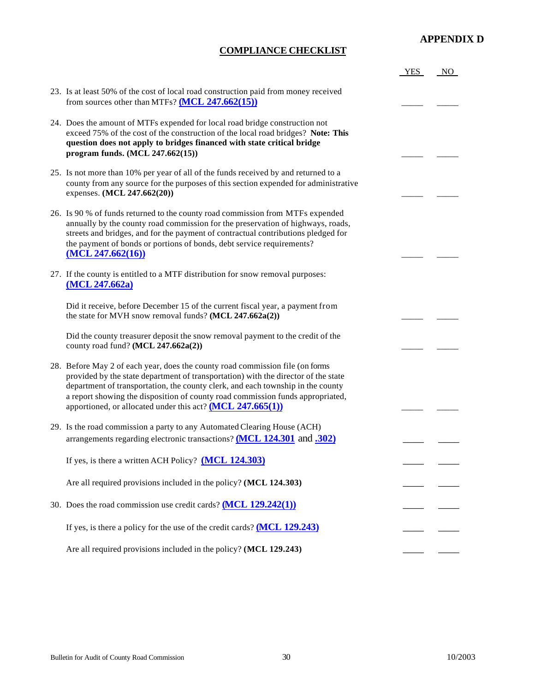## **COMPLIANCE CHECKLIST**

|                                                                                                                                                                                                                                                                                                                                                                                                          | <b>YES</b> | NO. |
|----------------------------------------------------------------------------------------------------------------------------------------------------------------------------------------------------------------------------------------------------------------------------------------------------------------------------------------------------------------------------------------------------------|------------|-----|
| 23. Is at least 50% of the cost of local road construction paid from money received<br>from sources other than MTFs? $(MCL 247.662(15))$                                                                                                                                                                                                                                                                 |            |     |
| 24. Does the amount of MTFs expended for local road bridge construction not<br>exceed 75% of the cost of the construction of the local road bridges? Note: This<br>question does not apply to bridges financed with state critical bridge<br>program funds. (MCL 247.662(15))                                                                                                                            |            |     |
| 25. Is not more than 10% per year of all of the funds received by and returned to a<br>county from any source for the purposes of this section expended for administrative<br>expenses. (MCL 247.662(20))                                                                                                                                                                                                |            |     |
| 26. Is 90 % of funds returned to the county road commission from MTFs expended<br>annually by the county road commission for the preservation of highways, roads,<br>streets and bridges, and for the payment of contractual contributions pledged for<br>the payment of bonds or portions of bonds, debt service requirements?<br>(MCL 247.662(16))                                                     |            |     |
| 27. If the county is entitled to a MTF distribution for snow removal purposes:<br>(MCL 247.662a)                                                                                                                                                                                                                                                                                                         |            |     |
| Did it receive, before December 15 of the current fiscal year, a payment from<br>the state for MVH snow removal funds? $(MCL 247.662a(2))$                                                                                                                                                                                                                                                               |            |     |
| Did the county treasurer deposit the snow removal payment to the credit of the<br>county road fund? (MCL 247.662a(2))                                                                                                                                                                                                                                                                                    |            |     |
| 28. Before May 2 of each year, does the county road commission file (on forms<br>provided by the state department of transportation) with the director of the state<br>department of transportation, the county clerk, and each township in the county<br>a report showing the disposition of county road commission funds appropriated,<br>apportioned, or allocated under this act? $(MCL 247.665(1))$ |            |     |
| 29. Is the road commission a party to any Automated Clearing House (ACH)<br>arrangements regarding electronic transactions? (MCL 124.301 and .302)                                                                                                                                                                                                                                                       |            |     |
| If yes, is there a written ACH Policy? (MCL 124.303)                                                                                                                                                                                                                                                                                                                                                     |            |     |
| Are all required provisions included in the policy? (MCL 124.303)                                                                                                                                                                                                                                                                                                                                        |            |     |
| 30. Does the road commission use credit cards? $(MCL 129.242(1))$                                                                                                                                                                                                                                                                                                                                        |            |     |
| If yes, is there a policy for the use of the credit cards? $(MCL 129.243)$                                                                                                                                                                                                                                                                                                                               |            |     |
| Are all required provisions included in the policy? (MCL 129.243)                                                                                                                                                                                                                                                                                                                                        |            |     |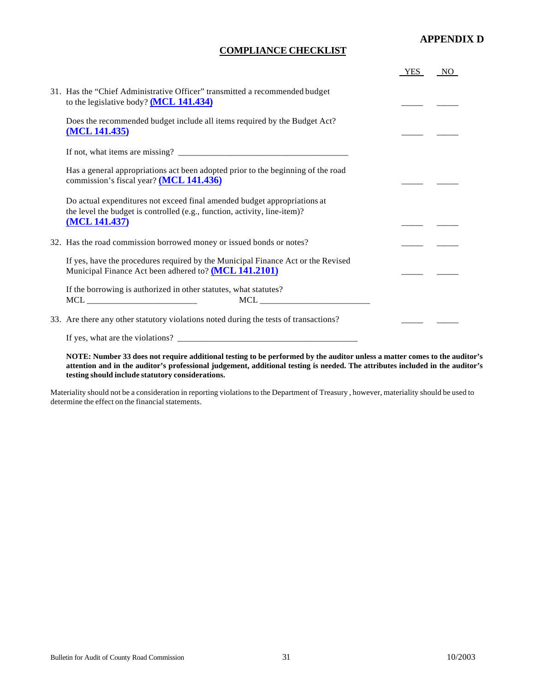## **COMPLIANCE CHECKLIST**

|                                                                                                                                                                        | YES | NO. |
|------------------------------------------------------------------------------------------------------------------------------------------------------------------------|-----|-----|
| 31. Has the "Chief Administrative Officer" transmitted a recommended budget<br>to the legislative body? $(MCL 141.434)$                                                |     |     |
| Does the recommended budget include all items required by the Budget Act?<br>(MCL 141.435)                                                                             |     |     |
|                                                                                                                                                                        |     |     |
| Has a general appropriations act been adopted prior to the beginning of the road<br>commission's fiscal year? (MCL 141.436)                                            |     |     |
| Do actual expenditures not exceed final amended budget appropriations at<br>the level the budget is controlled (e.g., function, activity, line-item)?<br>(MCL 141.437) |     |     |
| 32. Has the road commission borrowed money or issued bonds or notes?                                                                                                   |     |     |
| If yes, have the procedures required by the Municipal Finance Act or the Revised<br>Municipal Finance Act been adhered to? (MCL 141.2101)                              |     |     |
| If the borrowing is authorized in other statutes, what statutes?                                                                                                       |     |     |
| 33. Are there any other statutory violations noted during the tests of transactions?                                                                                   |     |     |
| If yes, what are the violations?                                                                                                                                       |     |     |

**NOTE: Number 33 does not require additional testing to be performed by the auditor unless a matter comes to the auditor's attention and in the auditor's professional judgement, additional testing is needed. The attributes included in the auditor's testing should include statutory considerations.**

Materiality should not be a consideration in reporting violations to the Department of Treasury , however, materiality should be used to determine the effect on the financial statements.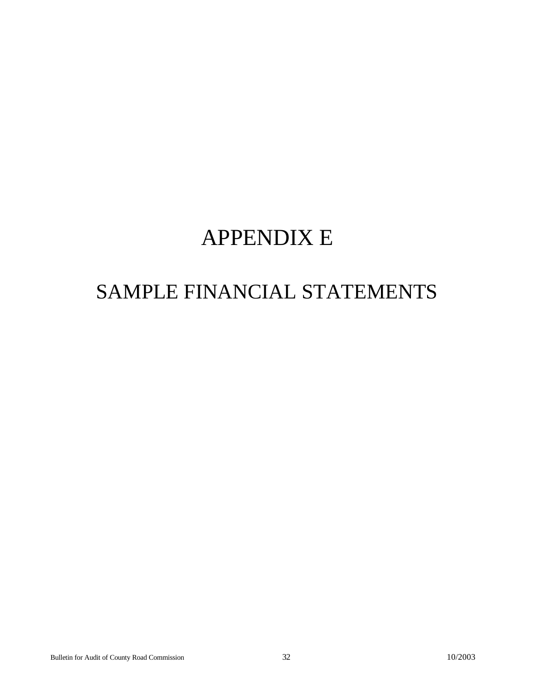## APPENDIX E

## SAMPLE FINANCIAL STATEMENTS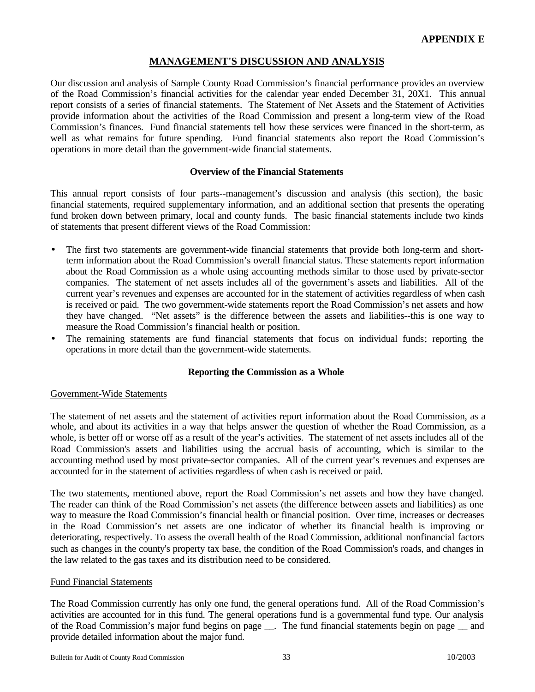## **MANAGEMENT'S DISCUSSION AND ANALYSIS**

<span id="page-32-0"></span>Our discussion and analysis of Sample County Road Commission's financial performance provides an overview of the Road Commission's financial activities for the calendar year ended December 31, 20X1. This annual report consists of a series of financial statements. The Statement of Net Assets and the Statement of Activities provide information about the activities of the Road Commission and present a long-term view of the Road Commission's finances. Fund financial statements tell how these services were financed in the short-term, as well as what remains for future spending. Fund financial statements also report the Road Commission's operations in more detail than the government-wide financial statements.

#### **Overview of the Financial Statements**

This annual report consists of four parts--management's discussion and analysis (this section), the basic financial statements, required supplementary information, and an additional section that presents the operating fund broken down between primary, local and county funds. The basic financial statements include two kinds of statements that present different views of the Road Commission:

- The first two statements are government-wide financial statements that provide both long-term and shortterm information about the Road Commission's overall financial status. These statements report information about the Road Commission as a whole using accounting methods similar to those used by private-sector companies. The statement of net assets includes all of the government's assets and liabilities. All of the current year's revenues and expenses are accounted for in the statement of activities regardless of when cash is received or paid. The two government-wide statements report the Road Commission's net assets and how they have changed. "Net assets" is the difference between the assets and liabilities--this is one way to measure the Road Commission's financial health or position.
- The remaining statements are fund financial statements that focus on individual funds; reporting the operations in more detail than the government-wide statements.

## **Reporting the Commission as a Whole**

#### Government-Wide Statements

The statement of net assets and the statement of activities report information about the Road Commission, as a whole, and about its activities in a way that helps answer the question of whether the Road Commission, as a whole, is better off or worse off as a result of the year's activities. The statement of net assets includes all of the Road Commission's assets and liabilities using the accrual basis of accounting, which is similar to the accounting method used by most private-sector companies. All of the current year's revenues and expenses are accounted for in the statement of activities regardless of when cash is received or paid.

The two statements, mentioned above, report the Road Commission's net assets and how they have changed. The reader can think of the Road Commission's net assets (the difference between assets and liabilities) as one way to measure the Road Commission's financial health or financial position. Over time, increases or decreases in the Road Commission's net assets are one indicator of whether its financial health is improving or deteriorating, respectively. To assess the overall health of the Road Commission, additional nonfinancial factors such as changes in the county's property tax base, the condition of the Road Commission's roads, and changes in the law related to the gas taxes and its distribution need to be considered.

#### Fund Financial Statements

The Road Commission currently has only one fund, the general operations fund. All of the Road Commission's activities are accounted for in this fund. The general operations fund is a governmental fund type. Our analysis of the Road Commission's major fund begins on page \_\_. The fund financial statements begin on page \_\_ and provide detailed information about the major fund.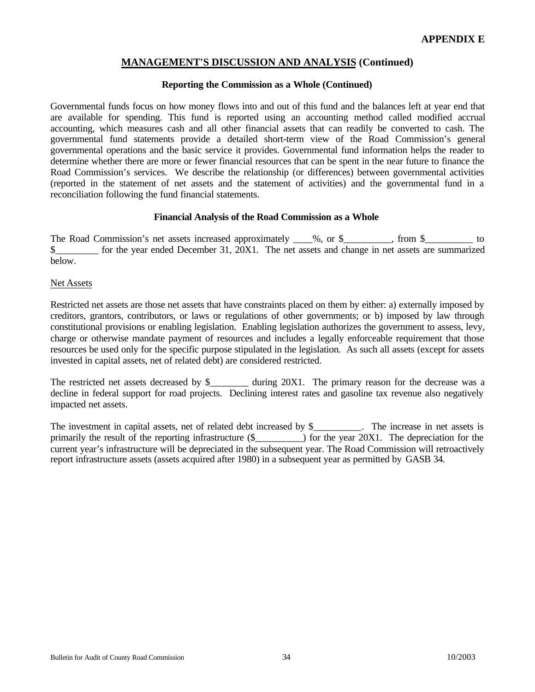## **MANAGEMENT'S DISCUSSION AND ANALYSIS (Continued)**

#### **Reporting the Commission as a Whole (Continued)**

Governmental funds focus on how money flows into and out of this fund and the balances left at year end that are available for spending. This fund is reported using an accounting method called modified accrual accounting, which measures cash and all other financial assets that can readily be converted to cash. The governmental fund statements provide a detailed short-term view of the Road Commission's general governmental operations and the basic service it provides. Governmental fund information helps the reader to determine whether there are more or fewer financial resources that can be spent in the near future to finance the Road Commission's services. We describe the relationship (or differences) between governmental activities (reported in the statement of net assets and the statement of activities) and the governmental fund in a reconciliation following the fund financial statements.

## **Financial Analysis of the Road Commission as a Whole**

The Road Commission's net assets increased approximately 1%, or \$\_\_\_\_\_\_, from \$\_\_\_\_\_\_\_\_\_\_ to \$ below.

#### Net Assets

Restricted net assets are those net assets that have constraints placed on them by either: a) externally imposed by creditors, grantors, contributors, or laws or regulations of other governments; or b) imposed by law through constitutional provisions or enabling legislation. Enabling legislation authorizes the government to assess, levy, charge or otherwise mandate payment of resources and includes a legally enforceable requirement that those resources be used only for the specific purpose stipulated in the legislation. As such all assets (except for assets invested in capital assets, net of related debt) are considered restricted.

The restricted net assets decreased by  $\frac{1}{2}$  during 20X1. The primary reason for the decrease was a decline in federal support for road projects. Declining interest rates and gasoline tax revenue also negatively impacted net assets.

The investment in capital assets, net of related debt increased by \$\_\_\_\_\_\_\_\_\_. The increase in net assets is primarily the result of the reporting infrastructure  $(\$$   $)$  for the year 20X1. The depreciation for the current year's infrastructure will be depreciated in the subsequent year. The Road Commission will retroactively report infrastructure assets (assets acquired after 1980) in a subsequent year as permitted by GASB 34.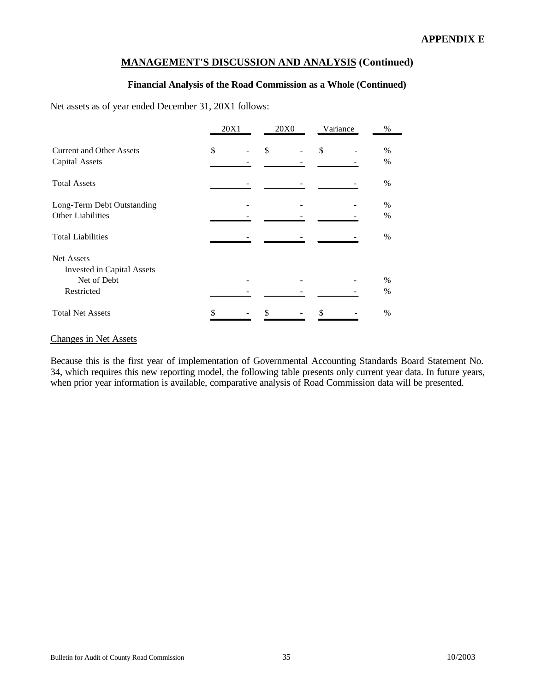## **MANAGEMENT'S DISCUSSION AND ANALYSIS (Continued)**

## **Financial Analysis of the Road Commission as a Whole (Continued)**

Net assets as of year ended December 31, 20X1 follows:

|                                 | 20X1 | <b>20X0</b> | Variance | $\%$ |
|---------------------------------|------|-------------|----------|------|
| <b>Current and Other Assets</b> | \$   | \$          | \$       | $\%$ |
| <b>Capital Assets</b>           |      |             |          | $\%$ |
| <b>Total Assets</b>             |      |             |          | $\%$ |
| Long-Term Debt Outstanding      |      |             |          | $\%$ |
| Other Liabilities               |      |             |          | $\%$ |
| <b>Total Liabilities</b>        |      |             |          | $\%$ |
| Net Assets                      |      |             |          |      |
| Invested in Capital Assets      |      |             |          |      |
| Net of Debt                     |      |             |          | $\%$ |
| Restricted                      |      |             |          | $\%$ |
| <b>Total Net Assets</b>         |      |             |          | $\%$ |

## Changes in Net Assets

Because this is the first year of implementation of Governmental Accounting Standards Board Statement No. 34, which requires this new reporting model, the following table presents only current year data. In future years, when prior year information is available, comparative analysis of Road Commission data will be presented.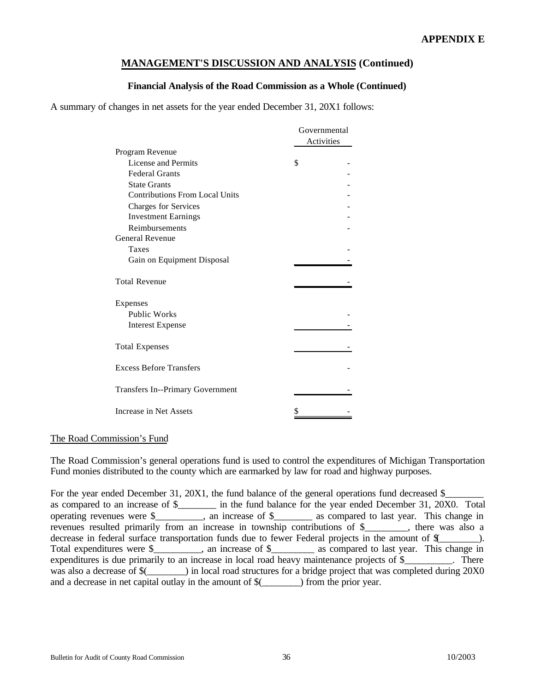## **MANAGEMENT'S DISCUSSION AND ANALYSIS (Continued)**

## **Financial Analysis of the Road Commission as a Whole (Continued)**

A summary of changes in net assets for the year ended December 31, 20X1 follows:

|                                       | Governmental<br>Activities |
|---------------------------------------|----------------------------|
| Program Revenue                       |                            |
| License and Permits                   | \$                         |
| <b>Federal Grants</b>                 |                            |
| <b>State Grants</b>                   |                            |
| <b>Contributions From Local Units</b> |                            |
| <b>Charges for Services</b>           |                            |
| <b>Investment Earnings</b>            |                            |
| Reimbursements                        |                            |
| <b>General Revenue</b>                |                            |
| <b>Taxes</b>                          |                            |
| Gain on Equipment Disposal            |                            |
| <b>Total Revenue</b>                  |                            |
| Expenses                              |                            |
| <b>Public Works</b>                   |                            |
| <b>Interest Expense</b>               |                            |
| <b>Total Expenses</b>                 |                            |
| <b>Excess Before Transfers</b>        |                            |
| Transfers In--Primary Government      |                            |
| Increase in Net Assets                | \$                         |

#### The Road Commission's Fund

The Road Commission's general operations fund is used to control the expenditures of Michigan Transportation Fund monies distributed to the county which are earmarked by law for road and highway purposes.

For the year ended December 31, 20X1, the fund balance of the general operations fund decreased \$\_ as compared to an increase of \$\_\_\_\_\_\_\_\_ in the fund balance for the year ended December 31, 20X0. Total operating revenues were \$ an increase of \$ as compared to last year. This change in revenues resulted primarily from an increase in township contributions of \$\_\_\_\_\_\_\_\_\_, there was also a decrease in federal surface transportation funds due to fewer Federal projects in the amount of  $\frac{1}{2}$ . Total expenditures were \$\_\_\_\_\_\_\_, an increase of \$\_\_\_\_\_\_\_\_ as compared to last year. This change in expenditures is due primarily to an increase in local road heavy maintenance projects of \$ There was also a decrease of  $%$  \_\_\_\_\_\_\_) in local road structures for a bridge project that was completed during 20X0 and a decrease in net capital outlay in the amount of  $\frac{1}{2}$  (from the prior year.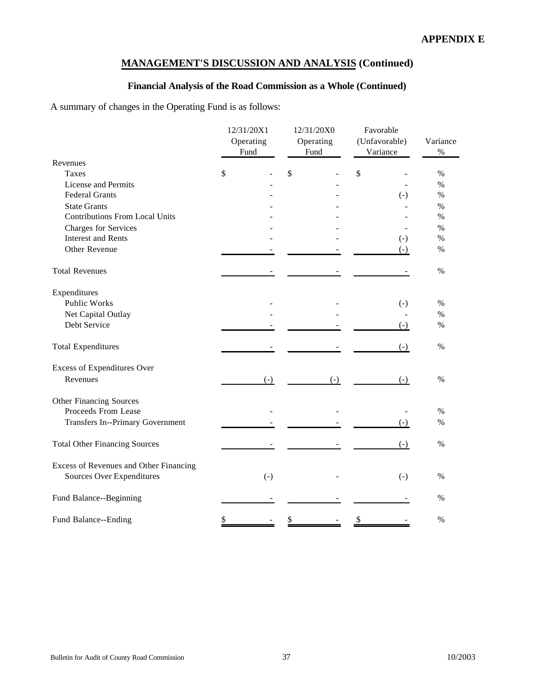# **Financial Analysis of the Road Commission as a Whole (Continued)**

A summary of changes in the Operating Fund is as follows:

|                                                                     | 12/31/20X1<br>Operating<br>Fund | 12/31/20X0<br>Operating<br>Fund | Favorable<br>(Unfavorable)<br>Variance | Variance<br>$\%$ |
|---------------------------------------------------------------------|---------------------------------|---------------------------------|----------------------------------------|------------------|
| Revenues                                                            |                                 |                                 |                                        |                  |
| <b>Taxes</b>                                                        | \$                              | \$                              | \$                                     | $\%$             |
| License and Permits                                                 |                                 |                                 |                                        | $\%$             |
| <b>Federal Grants</b>                                               |                                 |                                 | $(-)$                                  | $\%$             |
| <b>State Grants</b>                                                 |                                 |                                 |                                        | $\%$             |
| <b>Contributions From Local Units</b>                               |                                 |                                 |                                        | $\%$             |
| Charges for Services                                                |                                 |                                 |                                        | $\%$             |
| <b>Interest and Rents</b>                                           |                                 |                                 | $(-)$                                  | $\%$             |
| Other Revenue                                                       |                                 |                                 | $(-)$                                  | $\%$             |
| <b>Total Revenues</b>                                               |                                 |                                 |                                        | %                |
| Expenditures                                                        |                                 |                                 |                                        |                  |
| Public Works                                                        |                                 |                                 | $(-)$                                  | $\%$             |
| Net Capital Outlay                                                  |                                 |                                 |                                        | $\%$             |
| Debt Service                                                        |                                 |                                 | $(-)$                                  | $\%$             |
| <b>Total Expenditures</b>                                           |                                 |                                 | $(-)$                                  | %                |
| <b>Excess of Expenditures Over</b>                                  |                                 |                                 |                                        |                  |
| Revenues                                                            | $(-)$                           | $(-)$                           | $(-)$                                  | $\%$             |
| Other Financing Sources                                             |                                 |                                 |                                        |                  |
| Proceeds From Lease                                                 |                                 |                                 |                                        | $\%$             |
| Transfers In--Primary Government                                    |                                 |                                 | $(-)$                                  | $\frac{0}{0}$    |
| <b>Total Other Financing Sources</b>                                |                                 |                                 | $(-)$                                  | $\frac{0}{0}$    |
| Excess of Revenues and Other Financing<br>Sources Over Expenditures | $(-)$                           |                                 | $(-)$                                  | $\%$             |
| Fund Balance--Beginning                                             |                                 |                                 |                                        | $\%$             |
| Fund Balance--Ending                                                | \$                              |                                 | \$                                     | %                |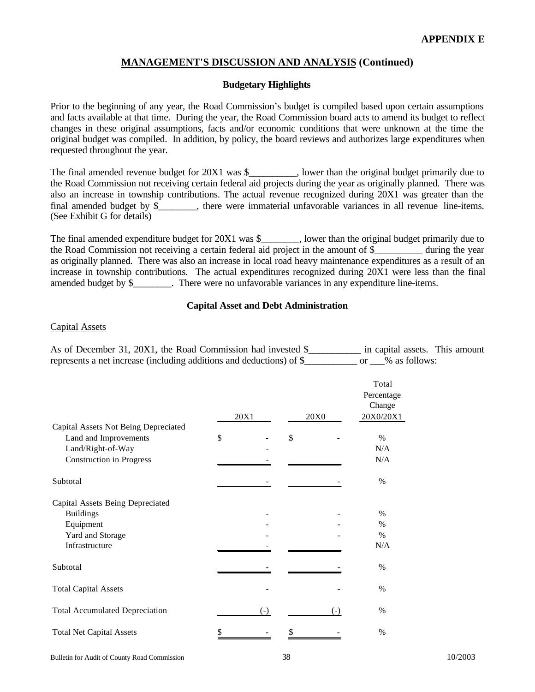#### **Budgetary Highlights**

Prior to the beginning of any year, the Road Commission's budget is compiled based upon certain assumptions and facts available at that time. During the year, the Road Commission board acts to amend its budget to reflect changes in these original assumptions, facts and/or economic conditions that were unknown at the time the original budget was compiled. In addition, by policy, the board reviews and authorizes large expenditures when requested throughout the year.

The final amended revenue budget for  $20X1$  was \$, lower than the original budget primarily due to the Road Commission not receiving certain federal aid projects during the year as originally planned. There was also an increase in township contributions. The actual revenue recognized during 20X1 was greater than the final amended budget by  $\frac{1}{2}$ , there were immaterial unfavorable variances in all revenue line-items. (See Exhibit G for details)

The final amended expenditure budget for 20X1 was \$\_\_\_\_\_\_\_, lower than the original budget primarily due to the Road Commission not receiving a certain federal aid project in the amount of \$\_\_\_\_\_\_\_\_\_\_ during the year as originally planned. There was also an increase in local road heavy maintenance expenditures as a result of an increase in township contributions. The actual expenditures recognized during 20X1 were less than the final amended budget by \$ There were no unfavorable variances in any expenditure line-items.

#### **Capital Asset and Debt Administration**

#### Capital Assets

As of December 31, 20X1, the Road Commission had invested \$\_\_\_\_\_\_\_\_\_\_\_ in capital assets. This amount represents a net increase (including additions and deductions) of \$\_\_\_\_\_\_\_\_\_\_\_ or \_\_\_% as follows:

|                                       | 20X1  | 20X0  | Total<br>Percentage<br>Change<br>20X0/20X1 |
|---------------------------------------|-------|-------|--------------------------------------------|
| Capital Assets Not Being Depreciated  |       |       |                                            |
| Land and Improvements                 | \$    | \$    | %                                          |
| Land/Right-of-Way                     |       |       | N/A                                        |
| <b>Construction in Progress</b>       |       |       | N/A                                        |
| Subtotal                              |       |       | $\%$                                       |
| Capital Assets Being Depreciated      |       |       |                                            |
| <b>Buildings</b>                      |       |       | $\%$                                       |
| Equipment                             |       |       | $\%$                                       |
| Yard and Storage                      |       |       | $\%$                                       |
| Infrastructure                        |       |       | N/A                                        |
| Subtotal                              |       |       | $\%$                                       |
| <b>Total Capital Assets</b>           |       |       | $\%$                                       |
| <b>Total Accumulated Depreciation</b> | $(-)$ | $(-)$ | $\%$                                       |
| <b>Total Net Capital Assets</b>       |       |       | $\%$                                       |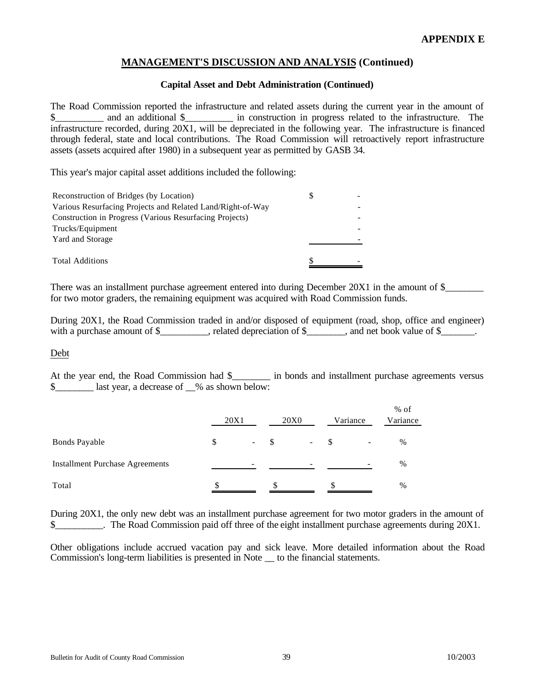#### **Capital Asset and Debt Administration (Continued)**

The Road Commission reported the infrastructure and related assets during the current year in the amount of  $\$\$  and an additional  $\$\$  in construction in progress related to the infrastructure. The infrastructure recorded, during 20X1, will be depreciated in the following year. The infrastructure is financed through federal, state and local contributions. The Road Commission will retroactively report infrastructure assets (assets acquired after 1980) in a subsequent year as permitted by GASB 34.

This year's major capital asset additions included the following:

| Reconstruction of Bridges (by Location)<br>S               |  |
|------------------------------------------------------------|--|
| Various Resurfacing Projects and Related Land/Right-of-Way |  |
| Construction in Progress (Various Resurfacing Projects)    |  |
| Trucks/Equipment                                           |  |
| Yard and Storage                                           |  |
|                                                            |  |
| <b>Total Additions</b>                                     |  |

There was an installment purchase agreement entered into during December 20X1 in the amount of \$\_\_\_\_\_\_\_\_ for two motor graders, the remaining equipment was acquired with Road Commission funds.

During 20X1, the Road Commission traded in and/or disposed of equipment (road, shop, office and engineer) with a purchase amount of  $\frac{1}{2}$ , related depreciation of  $\frac{1}{2}$ , and net book value of  $\frac{1}{2}$ .

Debt

At the year end, the Road Commission had \$\_\_\_\_\_\_\_\_ in bonds and installment purchase agreements versus \$ last year, a decrease of  $\%$  as shown below:

|                                        | 20X1 |                          | <b>20X0</b> |                          | Variance |   | $%$ of<br>Variance |
|----------------------------------------|------|--------------------------|-------------|--------------------------|----------|---|--------------------|
| <b>Bonds Payable</b>                   | \$   | $\overline{\phantom{a}}$ |             | $\overline{\phantom{a}}$ | -\$      | - | $\%$               |
| <b>Installment Purchase Agreements</b> |      | -                        |             | -                        |          |   | $\%$               |
| Total                                  |      |                          |             |                          |          |   | $\%$               |

During 20X1, the only new debt was an installment purchase agreement for two motor graders in the amount of \$ The Road Commission paid off three of the eight installment purchase agreements during 20X1.

Other obligations include accrued vacation pay and sick leave. More detailed information about the Road Commission's long-term liabilities is presented in Note \_\_ to the financial statements.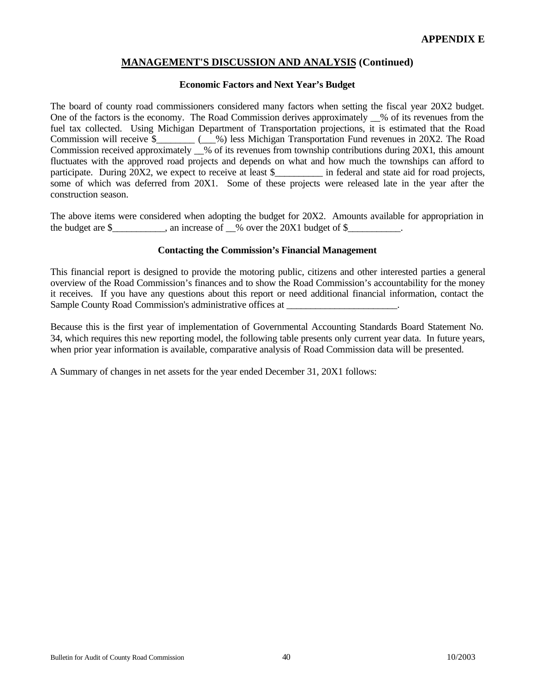#### **Economic Factors and Next Year's Budget**

The board of county road commissioners considered many factors when setting the fiscal year 20X2 budget. One of the factors is the economy. The Road Commission derives approximately  $\%$  of its revenues from the fuel tax collected. Using Michigan Department of Transportation projections, it is estimated that the Road Commission will receive \$\_\_\_\_\_\_\_\_ (\_\_\_%) less Michigan Transportation Fund revenues in 20X2. The Road Commission received approximately  $\%$  of its revenues from township contributions during 20X1, this amount fluctuates with the approved road projects and depends on what and how much the townships can afford to participate. During 20X2, we expect to receive at least \$  $\ldots$  in federal and state aid for road projects, some of which was deferred from 20X1. Some of these projects were released late in the year after the construction season.

The above items were considered when adopting the budget for 20X2. Amounts available for appropriation in the budget are  $\frac{1}{2}$  an increase of  $\frac{1}{2}$  over the 20X1 budget of  $\frac{1}{2}$ .

#### **Contacting the Commission's Financial Management**

This financial report is designed to provide the motoring public, citizens and other interested parties a general overview of the Road Commission's finances and to show the Road Commission's accountability for the money it receives. If you have any questions about this report or need additional financial information, contact the Sample County Road Commission's administrative offices at

Because this is the first year of implementation of Governmental Accounting Standards Board Statement No. 34, which requires this new reporting model, the following table presents only current year data. In future years, when prior year information is available, comparative analysis of Road Commission data will be presented.

A Summary of changes in net assets for the year ended December 31, 20X1 follows: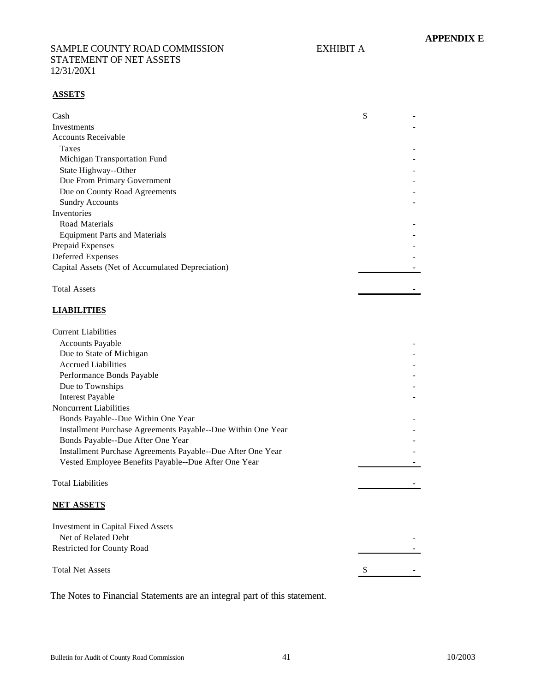#### SAMPLE COUNTY ROAD COMMISSION EXHIBIT A STATEMENT OF NET ASSETS 12/31/20X1

#### **ASSETS**

| Cash                                             | \$ |
|--------------------------------------------------|----|
| Investments                                      |    |
| <b>Accounts Receivable</b>                       |    |
| <b>Taxes</b>                                     |    |
| Michigan Transportation Fund                     |    |
| State Highway--Other                             |    |
| Due From Primary Government                      |    |
| Due on County Road Agreements                    |    |
| <b>Sundry Accounts</b>                           |    |
| Inventories                                      |    |
| Road Materials                                   |    |
| <b>Equipment Parts and Materials</b>             |    |
| Prepaid Expenses                                 |    |
| Deferred Expenses                                |    |
| Capital Assets (Net of Accumulated Depreciation) |    |
|                                                  |    |

# Total Assets and the set of the set of the set of the set of the set of the set of the set of the set of the set of the set of the set of the set of the set of the set of the set of the set of the set of the set of the set

# **LIABILITIES**

| <b>Current Liabilities</b>                                       |  |
|------------------------------------------------------------------|--|
| <b>Accounts Payable</b>                                          |  |
| Due to State of Michigan                                         |  |
| <b>Accrued Liabilities</b>                                       |  |
| Performance Bonds Payable                                        |  |
| Due to Townships                                                 |  |
| <b>Interest Payable</b>                                          |  |
| Noncurrent Liabilities                                           |  |
| Bonds Payable--Due Within One Year                               |  |
| Installment Purchase Agreements Payable--Due Within One Year     |  |
| Bonds Payable--Due After One Year                                |  |
| Installment Purchase Agreements Payable--Due After One Year      |  |
| Vested Employee Benefits Payable--Due After One Year             |  |
|                                                                  |  |
| <b>Total Liabilities</b>                                         |  |
|                                                                  |  |
| <b>NET ASSETS</b>                                                |  |
|                                                                  |  |
| <b>Investment in Capital Fixed Assets</b><br>Net of Related Debt |  |
|                                                                  |  |
| <b>Restricted for County Road</b>                                |  |
| <b>Total Net Assets</b>                                          |  |
|                                                                  |  |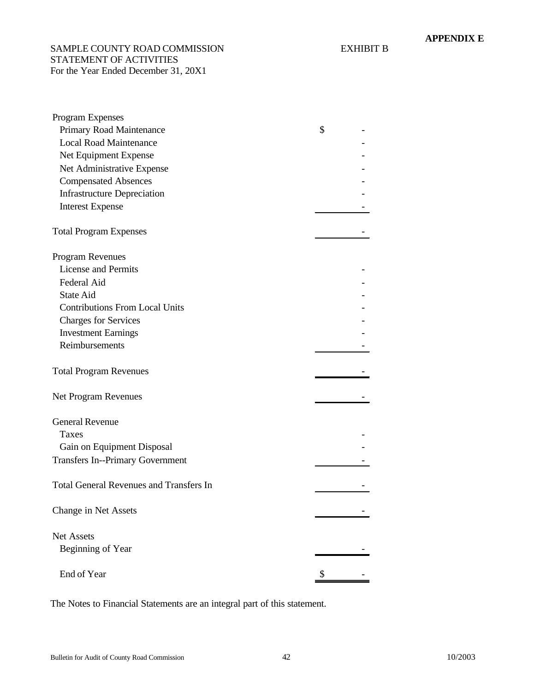SAMPLE COUNTY ROAD COMMISSION EXHIBIT B STATEMENT OF ACTIVITIES For the Year Ended December 31, 20X1

| Program Expenses                               |    |
|------------------------------------------------|----|
| Primary Road Maintenance                       | \$ |
| <b>Local Road Maintenance</b>                  |    |
| Net Equipment Expense                          |    |
| Net Administrative Expense                     |    |
| <b>Compensated Absences</b>                    |    |
| <b>Infrastructure Depreciation</b>             |    |
| <b>Interest Expense</b>                        |    |
| <b>Total Program Expenses</b>                  |    |
| Program Revenues                               |    |
| <b>License and Permits</b>                     |    |
| Federal Aid                                    |    |
| <b>State Aid</b>                               |    |
| <b>Contributions From Local Units</b>          |    |
| <b>Charges for Services</b>                    |    |
| <b>Investment Earnings</b>                     |    |
| Reimbursements                                 |    |
|                                                |    |
|                                                |    |
| <b>Total Program Revenues</b>                  |    |
|                                                |    |
| Net Program Revenues                           |    |
| <b>General Revenue</b>                         |    |
| Taxes                                          |    |
|                                                |    |
| Gain on Equipment Disposal                     |    |
| <b>Transfers In--Primary Government</b>        |    |
| <b>Total General Revenues and Transfers In</b> |    |
|                                                |    |
|                                                |    |
| Change in Net Assets                           |    |
| Net Assets                                     |    |
| Beginning of Year                              |    |
|                                                |    |
| End of Year                                    |    |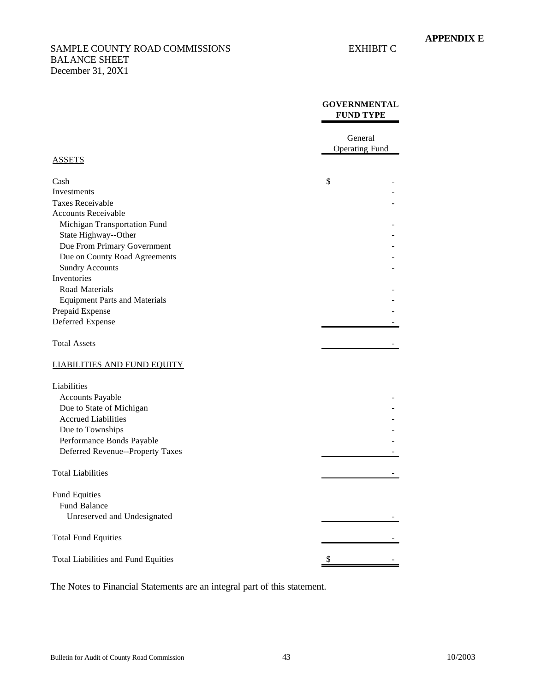#### SAMPLE COUNTY ROAD COMMISSIONS EXHIBIT C BALANCE SHEET December 31, 20X1

#### **GOVERNMENTAL FUND TYPE**

|                                      | General               |  |
|--------------------------------------|-----------------------|--|
| <b>ASSETS</b>                        | <b>Operating Fund</b> |  |
|                                      |                       |  |
| Cash                                 | \$                    |  |
| Investments                          |                       |  |
| Taxes Receivable                     |                       |  |
| <b>Accounts Receivable</b>           |                       |  |
| Michigan Transportation Fund         |                       |  |
| State Highway--Other                 |                       |  |
| Due From Primary Government          |                       |  |
| Due on County Road Agreements        |                       |  |
| <b>Sundry Accounts</b>               |                       |  |
| Inventories                          |                       |  |
| Road Materials                       |                       |  |
| <b>Equipment Parts and Materials</b> |                       |  |
| Prepaid Expense                      |                       |  |
| Deferred Expense                     |                       |  |
| <b>Total Assets</b>                  |                       |  |
| <b>LIABILITIES AND FUND EQUITY</b>   |                       |  |
| Liabilities                          |                       |  |
| <b>Accounts Payable</b>              |                       |  |
| Due to State of Michigan             |                       |  |
| <b>Accrued Liabilities</b>           |                       |  |
| Due to Townships                     |                       |  |
| Performance Bonds Payable            |                       |  |
| Deferred Revenue--Property Taxes     |                       |  |
|                                      |                       |  |
| <b>Total Liabilities</b>             |                       |  |
|                                      |                       |  |
| <b>Fund Equities</b>                 |                       |  |
| Fund Balance                         |                       |  |
| Unreserved and Undesignated          |                       |  |
| <b>Total Fund Equities</b>           |                       |  |
| Total Liabilities and Fund Equities  | \$                    |  |
|                                      |                       |  |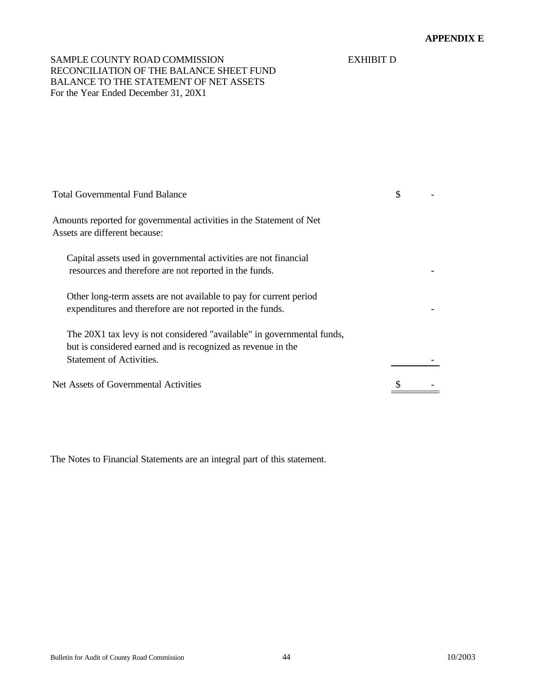# SAMPLE COUNTY ROAD COMMISSION EXHIBIT D RECONCILIATION OF THE BALANCE SHEET FUND BALANCE TO THE STATEMENT OF NET ASSETS For the Year Ended December 31, 20X1

| <b>Total Governmental Fund Balance</b>                                                                                                                                    | \$ |
|---------------------------------------------------------------------------------------------------------------------------------------------------------------------------|----|
| Amounts reported for governmental activities in the Statement of Net<br>Assets are different because:                                                                     |    |
| Capital assets used in governmental activities are not financial<br>resources and therefore are not reported in the funds.                                                |    |
| Other long-term assets are not available to pay for current period<br>expenditures and therefore are not reported in the funds.                                           |    |
| The 20X1 tax levy is not considered "available" in governmental funds,<br>but is considered earned and is recognized as revenue in the<br><b>Statement of Activities.</b> |    |
| Net Assets of Governmental Activities                                                                                                                                     |    |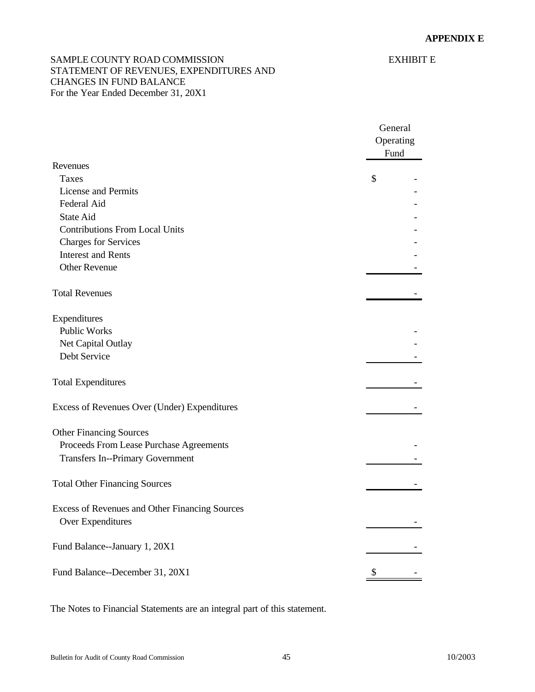# SAMPLE COUNTY ROAD COMMISSION EXHIBIT E STATEMENT OF REVENUES, EXPENDITURES AND CHANGES IN FUND BALANCE For the Year Ended December 31, 20X1

|                                                                     | General   |
|---------------------------------------------------------------------|-----------|
|                                                                     | Operating |
|                                                                     | Fund      |
| Revenues                                                            |           |
| <b>Taxes</b>                                                        | \$        |
| License and Permits                                                 |           |
| Federal Aid                                                         |           |
| State Aid                                                           |           |
| <b>Contributions From Local Units</b>                               |           |
| <b>Charges for Services</b>                                         |           |
| <b>Interest and Rents</b>                                           |           |
| <b>Other Revenue</b>                                                |           |
| <b>Total Revenues</b>                                               |           |
| Expenditures                                                        |           |
| <b>Public Works</b>                                                 |           |
| Net Capital Outlay                                                  |           |
| Debt Service                                                        |           |
| <b>Total Expenditures</b>                                           |           |
| Excess of Revenues Over (Under) Expenditures                        |           |
| <b>Other Financing Sources</b>                                      |           |
| Proceeds From Lease Purchase Agreements                             |           |
| <b>Transfers In--Primary Government</b>                             |           |
| <b>Total Other Financing Sources</b>                                |           |
| Excess of Revenues and Other Financing Sources<br>Over Expenditures |           |
| Fund Balance--January 1, 20X1                                       |           |
| Fund Balance--December 31, 20X1                                     | \$        |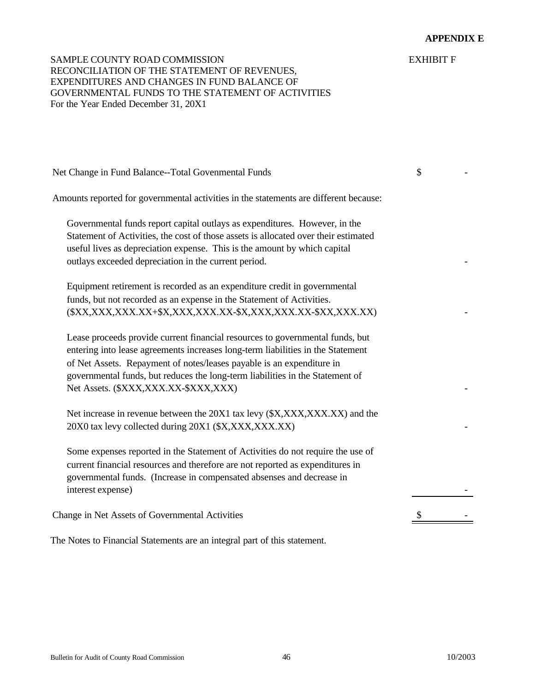# SAMPLE COUNTY ROAD COMMISSION EXHIBIT F RECONCILIATION OF THE STATEMENT OF REVENUES, EXPENDITURES AND CHANGES IN FUND BALANCE OF GOVERNMENTAL FUNDS TO THE STATEMENT OF ACTIVITIES For the Year Ended December 31, 20X1

| Amounts reported for governmental activities in the statements are different because:                                                                                                                                                                                                                                                                              |  |
|--------------------------------------------------------------------------------------------------------------------------------------------------------------------------------------------------------------------------------------------------------------------------------------------------------------------------------------------------------------------|--|
| Governmental funds report capital outlays as expenditures. However, in the<br>Statement of Activities, the cost of those assets is allocated over their estimated<br>useful lives as depreciation expense. This is the amount by which capital<br>outlays exceeded depreciation in the current period.                                                             |  |
| Equipment retirement is recorded as an expenditure credit in governmental<br>funds, but not recorded as an expense in the Statement of Activities.<br>(\$XX,XXX,XXX.XX+\$X,XXX,XXX.XX-\$X,XXX,XXX.XX-\$XX,XXX.XX.                                                                                                                                                  |  |
| Lease proceeds provide current financial resources to governmental funds, but<br>entering into lease agreements increases long-term liabilities in the Statement<br>of Net Assets. Repayment of notes/leases payable is an expenditure in<br>governmental funds, but reduces the long-term liabilities in the Statement of<br>Net Assets. (\$XXX,XXX.XX-\$XXX,XXX) |  |
| Net increase in revenue between the 20X1 tax levy (\$X,XXX,XXX,XX) and the<br>20X0 tax levy collected during 20X1 (\$X,XXX,XXX.XX)                                                                                                                                                                                                                                 |  |
| Some expenses reported in the Statement of Activities do not require the use of<br>current financial resources and therefore are not reported as expenditures in<br>governmental funds. (Increase in compensated absenses and decrease in<br>interest expense)                                                                                                     |  |
| Change in Net Assets of Governmental Activities                                                                                                                                                                                                                                                                                                                    |  |

Net Change in Fund Balance--Total Govenmental Funds \$ 5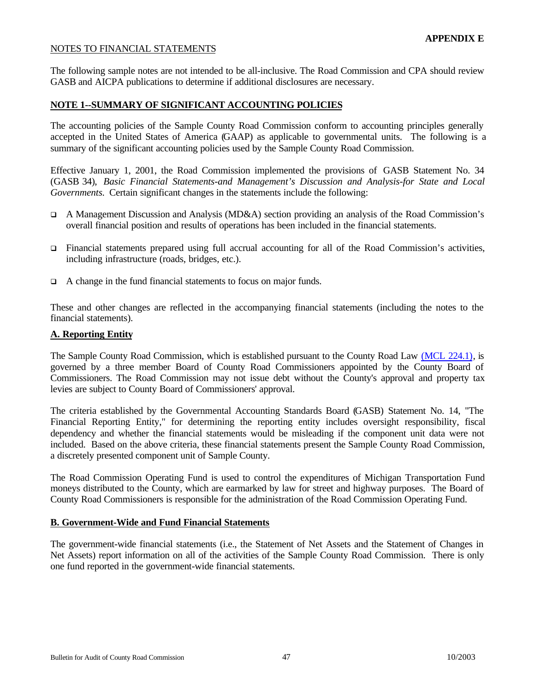## <span id="page-46-0"></span>NOTES TO FINANCIAL STATEMENTS

The following sample notes are not intended to be all-inclusive. The Road Commission and CPA should review GASB and AICPA publications to determine if additional disclosures are necessary.

#### **NOTE 1--SUMMARY OF SIGNIFICANT ACCOUNTING POLICIES**

The accounting policies of the Sample County Road Commission conform to accounting principles generally accepted in the United States of America (GAAP) as applicable to governmental units. The following is a summary of the significant accounting policies used by the Sample County Road Commission.

Effective January 1, 2001, the Road Commission implemented the provisions of GASB Statement No. 34 (GASB 34), *Basic Financial Statements-and Management's Discussion and Analysis-for State and Local Governments.* Certain significant changes in the statements include the following:

- $\Box$  A Management Discussion and Analysis (MD&A) section providing an analysis of the Road Commission's overall financial position and results of operations has been included in the financial statements.
- $\Box$  Financial statements prepared using full accrual accounting for all of the Road Commission's activities, including infrastructure (roads, bridges, etc.).
- $\Box$  A change in the fund financial statements to focus on major funds.

These and other changes are reflected in the accompanying financial statements (including the notes to the financial statements).

#### **A. Reporting Entity**

The Sample County Road Commission, which is established pursuant to the County Road Law [\(MCL 224.1\), i](http://www.michiganlegislature.org/mileg.asp?page=getObject&objName=mcl-224-1)s governed by a three member Board of County Road Commissioners appointed by the County Board of Commissioners. The Road Commission may not issue debt without the County's approval and property tax levies are subject to County Board of Commissioners' approval.

The criteria established by the Governmental Accounting Standards Board (GASB) Statement No. 14, "The Financial Reporting Entity," for determining the reporting entity includes oversight responsibility, fiscal dependency and whether the financial statements would be misleading if the component unit data were not included. Based on the above criteria, these financial statements present the Sample County Road Commission, a discretely presented component unit of Sample County.

The Road Commission Operating Fund is used to control the expenditures of Michigan Transportation Fund moneys distributed to the County, which are earmarked by law for street and highway purposes. The Board of County Road Commissioners is responsible for the administration of the Road Commission Operating Fund.

#### **B. Government-Wide and Fund Financial Statements**

The government-wide financial statements (i.e., the Statement of Net Assets and the Statement of Changes in Net Assets) report information on all of the activities of the Sample County Road Commission. There is only one fund reported in the government-wide financial statements.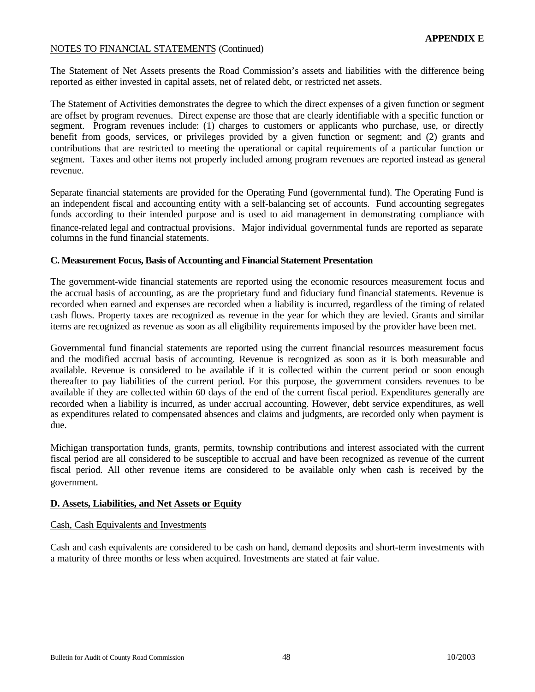The Statement of Net Assets presents the Road Commission's assets and liabilities with the difference being reported as either invested in capital assets, net of related debt, or restricted net assets.

The Statement of Activities demonstrates the degree to which the direct expenses of a given function or segment are offset by program revenues. Direct expense are those that are clearly identifiable with a specific function or segment. Program revenues include: (1) charges to customers or applicants who purchase, use, or directly benefit from goods, services, or privileges provided by a given function or segment; and (2) grants and contributions that are restricted to meeting the operational or capital requirements of a particular function or segment. Taxes and other items not properly included among program revenues are reported instead as general revenue.

Separate financial statements are provided for the Operating Fund (governmental fund). The Operating Fund is an independent fiscal and accounting entity with a self-balancing set of accounts. Fund accounting segregates funds according to their intended purpose and is used to aid management in demonstrating compliance with finance-related legal and contractual provisions. Major individual governmental funds are reported as separate columns in the fund financial statements.

#### **C. Measurement Focus, Basis of Accounting and Financial Statement Presentation**

The government-wide financial statements are reported using the economic resources measurement focus and the accrual basis of accounting, as are the proprietary fund and fiduciary fund financial statements. Revenue is recorded when earned and expenses are recorded when a liability is incurred, regardless of the timing of related cash flows. Property taxes are recognized as revenue in the year for which they are levied. Grants and similar items are recognized as revenue as soon as all eligibility requirements imposed by the provider have been met.

Governmental fund financial statements are reported using the current financial resources measurement focus and the modified accrual basis of accounting. Revenue is recognized as soon as it is both measurable and available. Revenue is considered to be available if it is collected within the current period or soon enough thereafter to pay liabilities of the current period. For this purpose, the government considers revenues to be available if they are collected within 60 days of the end of the current fiscal period. Expenditures generally are recorded when a liability is incurred, as under accrual accounting. However, debt service expenditures, as well as expenditures related to compensated absences and claims and judgments, are recorded only when payment is due.

Michigan transportation funds, grants, permits, township contributions and interest associated with the current fiscal period are all considered to be susceptible to accrual and have been recognized as revenue of the current fiscal period. All other revenue items are considered to be available only when cash is received by the government.

#### **D. Assets, Liabilities, and Net Assets or Equity**

#### Cash, Cash Equivalents and Investments

Cash and cash equivalents are considered to be cash on hand, demand deposits and short-term investments with a maturity of three months or less when acquired. Investments are stated at fair value.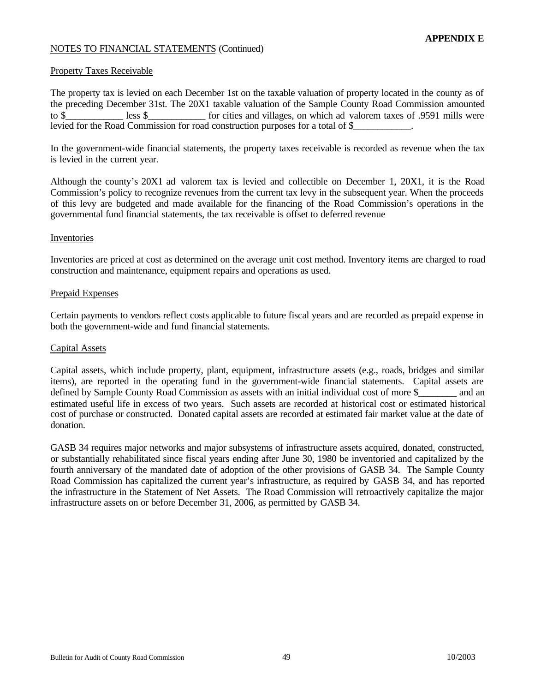#### Property Taxes Receivable

The property tax is levied on each December 1st on the taxable valuation of property located in the county as of the preceding December 31st. The 20X1 taxable valuation of the Sample County Road Commission amounted to \$ less \$ for cities and villages, on which ad valorem taxes of .9591 mills were levied for the Road Commission for road construction purposes for a total of \$\_\_\_\_\_\_\_\_\_\_\_\_.

In the government-wide financial statements, the property taxes receivable is recorded as revenue when the tax is levied in the current year.

Although the county's 20X1 ad valorem tax is levied and collectible on December 1, 20X1, it is the Road Commission's policy to recognize revenues from the current tax levy in the subsequent year. When the proceeds of this levy are budgeted and made available for the financing of the Road Commission's operations in the governmental fund financial statements, the tax receivable is offset to deferred revenue

#### Inventories

Inventories are priced at cost as determined on the average unit cost method. Inventory items are charged to road construction and maintenance, equipment repairs and operations as used.

#### Prepaid Expenses

Certain payments to vendors reflect costs applicable to future fiscal years and are recorded as prepaid expense in both the government-wide and fund financial statements.

#### Capital Assets

Capital assets, which include property, plant, equipment, infrastructure assets (e.g., roads, bridges and similar items), are reported in the operating fund in the government-wide financial statements. Capital assets are defined by Sample County Road Commission as assets with an initial individual cost of more \$ \_\_\_\_\_\_ and an estimated useful life in excess of two years. Such assets are recorded at historical cost or estimated historical cost of purchase or constructed. Donated capital assets are recorded at estimated fair market value at the date of donation.

GASB 34 requires major networks and major subsystems of infrastructure assets acquired, donated, constructed, or substantially rehabilitated since fiscal years ending after June 30, 1980 be inventoried and capitalized by the fourth anniversary of the mandated date of adoption of the other provisions of GASB 34. The Sample County Road Commission has capitalized the current year's infrastructure, as required by GASB 34, and has reported the infrastructure in the Statement of Net Assets. The Road Commission will retroactively capitalize the major infrastructure assets on or before December 31, 2006, as permitted by GASB 34.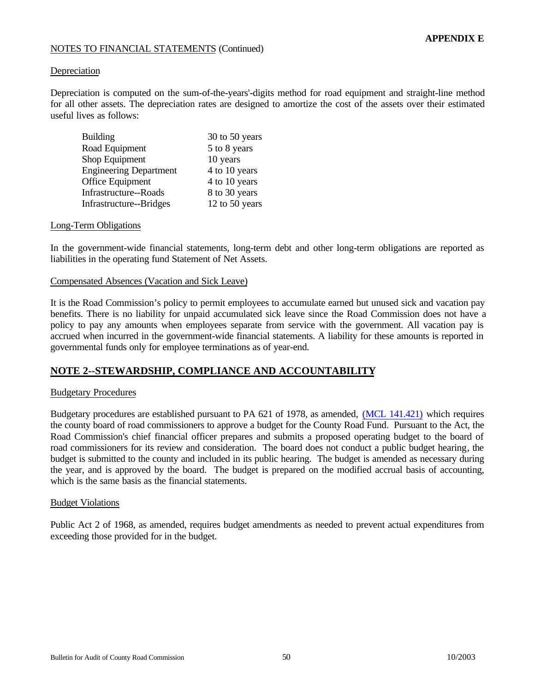#### Depreciation

Depreciation is computed on the sum-of-the-years'-digits method for road equipment and straight-line method for all other assets. The depreciation rates are designed to amortize the cost of the assets over their estimated useful lives as follows:

| <b>Building</b>               | 30 to 50 years |
|-------------------------------|----------------|
| Road Equipment                | 5 to 8 years   |
| Shop Equipment                | 10 years       |
| <b>Engineering Department</b> | 4 to 10 years  |
| Office Equipment              | 4 to 10 years  |
| Infrastructure--Roads         | 8 to 30 years  |
| Infrastructure--Bridges       | 12 to 50 years |

#### Long-Term Obligations

In the government-wide financial statements, long-term debt and other long-term obligations are reported as liabilities in the operating fund Statement of Net Assets.

#### Compensated Absences (Vacation and Sick Leave)

It is the Road Commission's policy to permit employees to accumulate earned but unused sick and vacation pay benefits. There is no liability for unpaid accumulated sick leave since the Road Commission does not have a policy to pay any amounts when employees separate from service with the government. All vacation pay is accrued when incurred in the government-wide financial statements. A liability for these amounts is reported in governmental funds only for employee terminations as of year-end.

# **NOTE 2--STEWARDSHIP, COMPLIANCE AND ACCOUNTABILITY**

#### Budgetary Procedures

Budgetary procedures are established pursuant to PA 621 of 1978, as amended[, \(MCL 141.421\) w](http://www.michiganlegislature.org/mileg.asp?page=getObject&objName=mcl-141-421)hich requires the county board of road commissioners to approve a budget for the County Road Fund. Pursuant to the Act, the Road Commission's chief financial officer prepares and submits a proposed operating budget to the board of road commissioners for its review and consideration. The board does not conduct a public budget hearing, the budget is submitted to the county and included in its public hearing. The budget is amended as necessary during the year, and is approved by the board. The budget is prepared on the modified accrual basis of accounting, which is the same basis as the financial statements.

#### Budget Violations

Public Act 2 of 1968, as amended, requires budget amendments as needed to prevent actual expenditures from exceeding those provided for in the budget.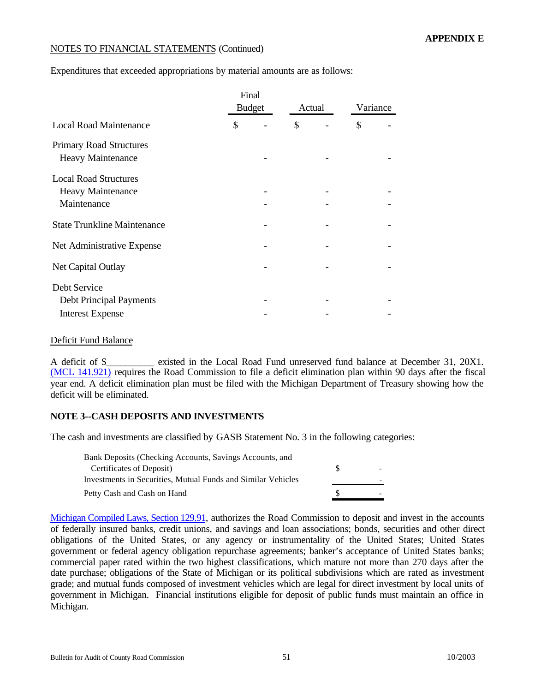Expenditures that exceeded appropriations by material amounts are as follows:

|                                                                           | Final         |        |  |          |  |
|---------------------------------------------------------------------------|---------------|--------|--|----------|--|
|                                                                           | <b>Budget</b> | Actual |  | Variance |  |
| <b>Local Road Maintenance</b>                                             | \$            | \$     |  | \$       |  |
| <b>Primary Road Structures</b><br><b>Heavy Maintenance</b>                |               |        |  |          |  |
| <b>Local Road Structures</b><br>Heavy Maintenance<br>Maintenance          |               |        |  |          |  |
| <b>State Trunkline Maintenance</b>                                        |               |        |  |          |  |
| Net Administrative Expense                                                |               |        |  |          |  |
| Net Capital Outlay                                                        |               |        |  |          |  |
| Debt Service<br><b>Debt Principal Payments</b><br><b>Interest Expense</b> |               |        |  |          |  |
|                                                                           |               |        |  |          |  |

#### Deficit Fund Balance

A deficit of \$ existed in the Local Road Fund unreserved fund balance at December 31, 20X1. [\(MCL 141.921\)](http://www.michiganlegislature.org/mileg.asp?page=getObject&objName=mcl-141-921) requires the Road Commission to file a deficit elimination plan within 90 days after the fiscal year end. A deficit elimination plan must be filed with the Michigan Department of Treasury showing how the deficit will be eliminated.

# **NOTE 3--CASH DEPOSITS AND INVESTMENTS**

The cash and investments are classified by GASB Statement No. 3 in the following categories:

| Bank Deposits (Checking Accounts, Savings Accounts, and      |                          |
|--------------------------------------------------------------|--------------------------|
| Certificates of Deposit)                                     | $\overline{\phantom{a}}$ |
| Investments in Securities, Mutual Funds and Similar Vehicles |                          |
| Petty Cash and Cash on Hand                                  |                          |

[Michigan Compiled Laws, Section 129.91,](http://www.michiganlegislature.org/mileg.asp?page=getObject&objName=mcl-129-91) authorizes the Road Commission to deposit and invest in the accounts of federally insured banks, credit unions, and savings and loan associations; bonds, securities and other direct obligations of the United States, or any agency or instrumentality of the United States; United States government or federal agency obligation repurchase agreements; banker's acceptance of United States banks; commercial paper rated within the two highest classifications, which mature not more than 270 days after the date purchase; obligations of the State of Michigan or its political subdivisions which are rated as investment grade; and mutual funds composed of investment vehicles which are legal for direct investment by local units of government in Michigan. Financial institutions eligible for deposit of public funds must maintain an office in Michigan.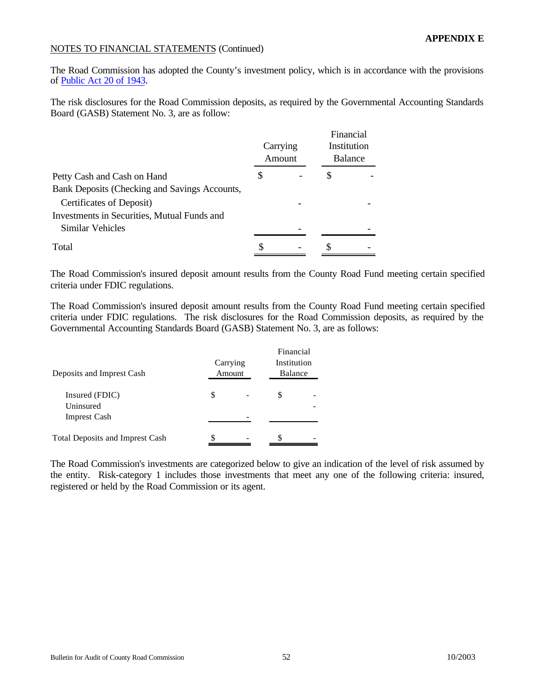The Road Commission has adopted the County's investment policy, which is in accordance with the provisions of [Public Act 20 of 1943.](http://www.michiganlegislature.org/mileg.asp?page=getObject&objName=mcl-Act-20-of-1943&queryid=4952662&highlight=)

The risk disclosures for the Road Commission deposits, as required by the Governmental Accounting Standards Board (GASB) Statement No. 3, are as follow:

|                                               |   | Carrying<br>Amount | Financial<br>Institution<br><b>Balance</b> |  |
|-----------------------------------------------|---|--------------------|--------------------------------------------|--|
| Petty Cash and Cash on Hand                   | S |                    | \$                                         |  |
| Bank Deposits (Checking and Savings Accounts, |   |                    |                                            |  |
| Certificates of Deposit)                      |   |                    |                                            |  |
| Investments in Securities, Mutual Funds and   |   |                    |                                            |  |
| Similar Vehicles                              |   |                    |                                            |  |
| Total                                         | S |                    |                                            |  |

The Road Commission's insured deposit amount results from the County Road Fund meeting certain specified criteria under FDIC regulations.

The Road Commission's insured deposit amount results from the County Road Fund meeting certain specified criteria under FDIC regulations. The risk disclosures for the Road Commission deposits, as required by the Governmental Accounting Standards Board (GASB) Statement No. 3, are as follows:

| Deposits and Imprest Cash<br>Insured (FDIC)<br>Uninsured<br><b>Imprest Cash</b> |   | Financial<br>Institution<br>Carrying<br>Amount<br>Balance |   |  |  |  |  |  |  |
|---------------------------------------------------------------------------------|---|-----------------------------------------------------------|---|--|--|--|--|--|--|
|                                                                                 | S |                                                           | S |  |  |  |  |  |  |
| <b>Total Deposits and Imprest Cash</b>                                          |   |                                                           |   |  |  |  |  |  |  |

The Road Commission's investments are categorized below to give an indication of the level of risk assumed by the entity. Risk-category 1 includes those investments that meet any one of the following criteria: insured, registered or held by the Road Commission or its agent.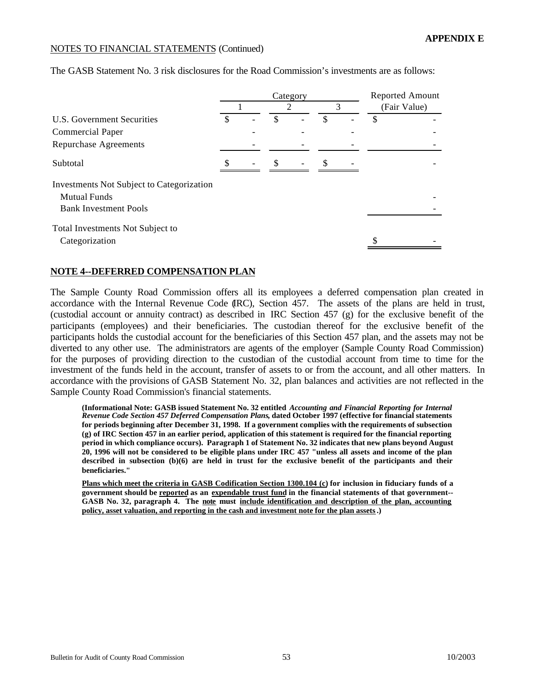|                                                                         | Category |  |    |  |     |  | Reported Amount |              |  |
|-------------------------------------------------------------------------|----------|--|----|--|-----|--|-----------------|--------------|--|
|                                                                         |          |  | 2  |  | 3   |  |                 | (Fair Value) |  |
| U.S. Government Securities                                              | \$       |  | \$ |  | \$. |  | \$              |              |  |
| <b>Commercial Paper</b>                                                 |          |  |    |  |     |  |                 |              |  |
| <b>Repurchase Agreements</b>                                            |          |  |    |  |     |  |                 |              |  |
| Subtotal                                                                |          |  |    |  | S   |  |                 |              |  |
| <b>Investments Not Subject to Categorization</b><br><b>Mutual Funds</b> |          |  |    |  |     |  |                 |              |  |
| <b>Bank Investment Pools</b>                                            |          |  |    |  |     |  |                 |              |  |
| Total Investments Not Subject to                                        |          |  |    |  |     |  |                 |              |  |
| Categorization                                                          |          |  |    |  |     |  |                 |              |  |

The GASB Statement No. 3 risk disclosures for the Road Commission's investments are as follows:

#### **NOTE 4--DEFERRED COMPENSATION PLAN**

The Sample County Road Commission offers all its employees a deferred compensation plan created in accordance with the Internal Revenue Code (IRC), Section 457. The assets of the plans are held in trust, (custodial account or annuity contract) as described in IRC Section 457 (g) for the exclusive benefit of the participants (employees) and their beneficiaries. The custodian thereof for the exclusive benefit of the participants holds the custodial account for the beneficiaries of this Section 457 plan, and the assets may not be diverted to any other use. The administrators are agents of the employer (Sample County Road Commission) for the purposes of providing direction to the custodian of the custodial account from time to time for the investment of the funds held in the account, transfer of assets to or from the account, and all other matters. In accordance with the provisions of GASB Statement No. 32, plan balances and activities are not reflected in the Sample County Road Commission's financial statements.

**(Informational Note: GASB issued Statement No. 32 entitled** *Accounting and Financial Reporting for Internal Revenue Code Section 457 Deferred Compensation Plans***, dated October 1997 (effective for financial statements for periods beginning after December 31, 1998. If a government complies with the requirements of subsection (g) of IRC Section 457 in an earlier period, application of this statement is required for the financial reporting period in which compliance occurs). Paragraph 1 of Statement No. 32 indicates that new plans beyond August 20, 1996 will not be considered to be eligible plans under IRC 457 "unless all assets and income of the plan described in subsection (b)(6) are held in trust for the exclusive benefit of the participants and their beneficiaries."**

**Plans which meet the criteria in GASB Codification Section 1300.104 (c) for inclusion in fiduciary funds of a government should be reported as an expendable trust fund in the financial statements of that government-- GASB No. 32, paragraph 4. The note must include identification and description of the plan, accounting policy, asset valuation, and reporting in the cash and investment note for the plan assets.)**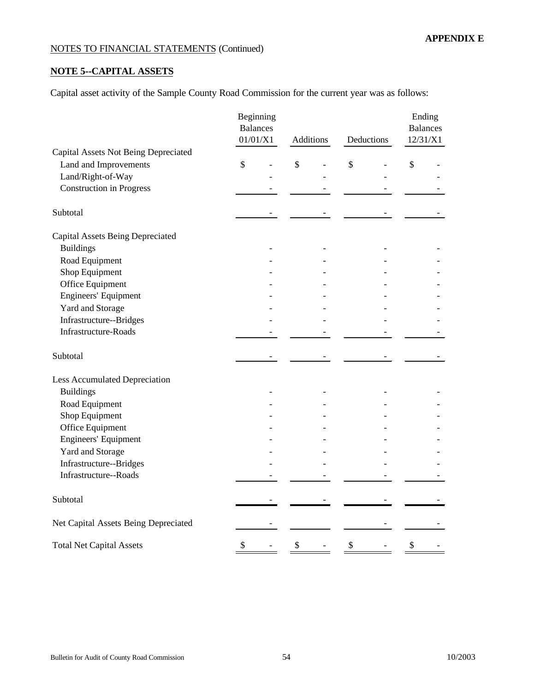# **NOTE 5--CAPITAL ASSETS**

Capital asset activity of the Sample County Road Commission for the current year was as follows:

|                                         | Beginning<br><b>Balances</b><br>01/01/X1 |               | Additions<br>Deductions |               |  | Ending<br><b>Balances</b><br>12/31/X1 |  |  |
|-----------------------------------------|------------------------------------------|---------------|-------------------------|---------------|--|---------------------------------------|--|--|
| Capital Assets Not Being Depreciated    |                                          |               |                         |               |  |                                       |  |  |
| Land and Improvements                   | \$                                       | $\mathsf{\$}$ |                         | $\mathsf{\$}$ |  | $\boldsymbol{\mathsf{S}}$             |  |  |
| Land/Right-of-Way                       |                                          |               |                         |               |  |                                       |  |  |
| <b>Construction in Progress</b>         |                                          |               |                         |               |  |                                       |  |  |
| Subtotal                                |                                          |               |                         |               |  |                                       |  |  |
| <b>Capital Assets Being Depreciated</b> |                                          |               |                         |               |  |                                       |  |  |
| <b>Buildings</b>                        |                                          |               |                         |               |  |                                       |  |  |
| Road Equipment                          |                                          |               |                         |               |  |                                       |  |  |
| Shop Equipment                          |                                          |               |                         |               |  |                                       |  |  |
| Office Equipment                        |                                          |               |                         |               |  |                                       |  |  |
| Engineers' Equipment                    |                                          |               |                         |               |  |                                       |  |  |
| Yard and Storage                        |                                          |               |                         |               |  |                                       |  |  |
| Infrastructure--Bridges                 |                                          |               |                         |               |  |                                       |  |  |
| <b>Infrastructure-Roads</b>             |                                          |               |                         |               |  |                                       |  |  |
| Subtotal                                |                                          |               |                         |               |  |                                       |  |  |
| <b>Less Accumulated Depreciation</b>    |                                          |               |                         |               |  |                                       |  |  |
| <b>Buildings</b>                        |                                          |               |                         |               |  |                                       |  |  |
| Road Equipment                          |                                          |               |                         |               |  |                                       |  |  |
| Shop Equipment                          |                                          |               |                         |               |  |                                       |  |  |
| Office Equipment                        |                                          |               |                         |               |  |                                       |  |  |
| Engineers' Equipment                    |                                          |               |                         |               |  |                                       |  |  |
| Yard and Storage                        |                                          |               |                         |               |  |                                       |  |  |
| Infrastructure--Bridges                 |                                          |               |                         |               |  |                                       |  |  |
| Infrastructure--Roads                   |                                          |               |                         |               |  |                                       |  |  |
| Subtotal                                |                                          |               |                         |               |  |                                       |  |  |
| Net Capital Assets Being Depreciated    |                                          |               |                         |               |  |                                       |  |  |
| <b>Total Net Capital Assets</b>         | \$                                       | \$            |                         | \$            |  | \$                                    |  |  |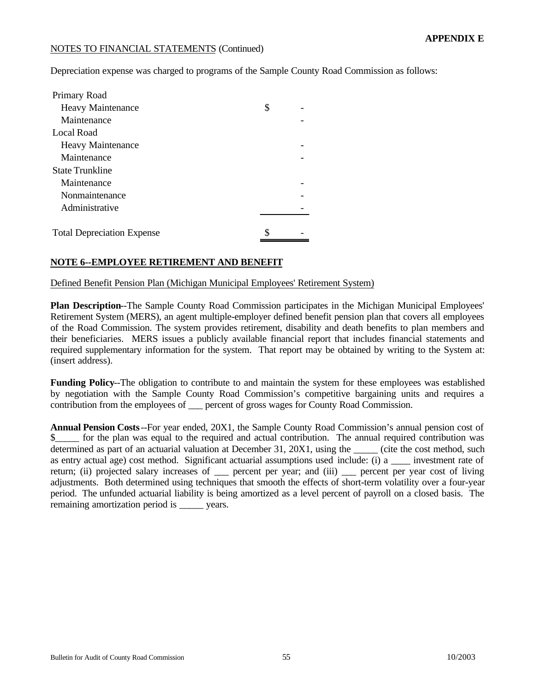Depreciation expense was charged to programs of the Sample County Road Commission as follows:

| Primary Road                      |    |
|-----------------------------------|----|
| <b>Heavy Maintenance</b>          | \$ |
| Maintenance                       |    |
| Local Road                        |    |
| <b>Heavy Maintenance</b>          |    |
| Maintenance                       |    |
| <b>State Trunkline</b>            |    |
| Maintenance                       |    |
| Nonmaintenance                    |    |
| Administrative                    |    |
|                                   |    |
| <b>Total Depreciation Expense</b> | \$ |

# **NOTE 6--EMPLOYEE RETIREMENT AND BENEFIT**

Defined Benefit Pension Plan (Michigan Municipal Employees' Retirement System)

**Plan Description**--The Sample County Road Commission participates in the Michigan Municipal Employees' Retirement System (MERS), an agent multiple-employer defined benefit pension plan that covers all employees of the Road Commission. The system provides retirement, disability and death benefits to plan members and their beneficiaries. MERS issues a publicly available financial report that includes financial statements and required supplementary information for the system. That report may be obtained by writing to the System at: (insert address).

**Funding Policy**--The obligation to contribute to and maintain the system for these employees was established by negotiation with the Sample County Road Commission's competitive bargaining units and requires a contribution from the employees of **a** percent of gross wages for County Road Commission.

**Annual Pension Costs**--For year ended, 20X1, the Sample County Road Commission's annual pension cost of \$\_\_\_\_\_ for the plan was equal to the required and actual contribution. The annual required contribution was determined as part of an actuarial valuation at December 31, 20X1, using the (cite the cost method, such as entry actual age) cost method. Significant actuarial assumptions used include: (i) a \_\_\_\_ investment rate of return; (ii) projected salary increases of \_\_\_ percent per year; and (iii) \_\_\_ percent per year cost of living adjustments. Both determined using techniques that smooth the effects of short-term volatility over a four-year period. The unfunded actuarial liability is being amortized as a level percent of payroll on a closed basis. The remaining amortization period is \_\_\_\_\_\_ years.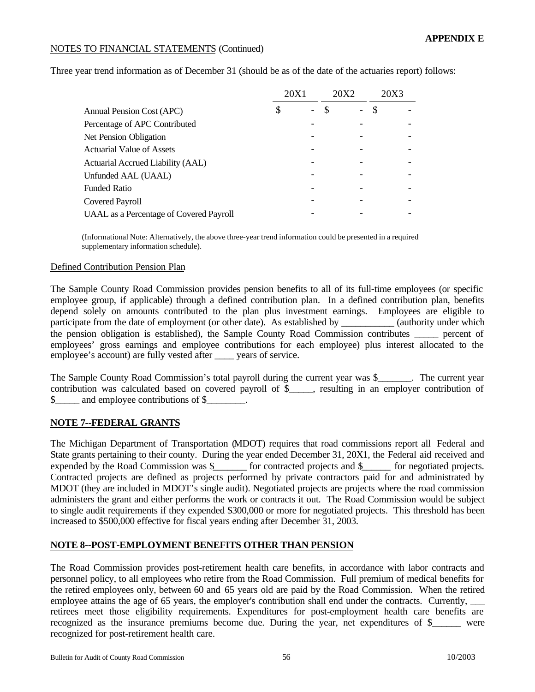Three year trend information as of December 31 (should be as of the date of the actuaries report) follows:

|                                                | 20X1 |  | 20X2 | 20X3 |  |
|------------------------------------------------|------|--|------|------|--|
| <b>Annual Pension Cost (APC)</b>               | \$   |  |      | \$   |  |
| Percentage of APC Contributed                  |      |  |      |      |  |
| <b>Net Pension Obligation</b>                  |      |  |      |      |  |
| <b>Actuarial Value of Assets</b>               |      |  |      |      |  |
| <b>Actuarial Accrued Liability (AAL)</b>       |      |  |      |      |  |
| Unfunded AAL (UAAL)                            |      |  |      |      |  |
| Funded Ratio                                   |      |  |      |      |  |
| <b>Covered Payroll</b>                         |      |  |      |      |  |
| <b>UAAL</b> as a Percentage of Covered Payroll |      |  |      |      |  |

(Informational Note: Alternatively, the above three-year trend information could be presented in a required supplementary information schedule).

#### Defined Contribution Pension Plan

The Sample County Road Commission provides pension benefits to all of its full-time employees (or specific employee group, if applicable) through a defined contribution plan. In a defined contribution plan, benefits depend solely on amounts contributed to the plan plus investment earnings. Employees are eligible to participate from the date of employment (or other date). As established by (authority under which the pension obligation is established), the Sample County Road Commission contributes percent of employees' gross earnings and employee contributions for each employee) plus interest allocated to the employee's account) are fully vested after \_\_\_\_ years of service.

The Sample County Road Commission's total payroll during the current year was \$ The current year. contribution was calculated based on covered payroll of \$\_\_\_\_\_, resulting in an employer contribution of \$ and employee contributions of \$.

# **NOTE 7--FEDERAL GRANTS**

The Michigan Department of Transportation (MDOT) requires that road commissions report all Federal and State grants pertaining to their county. During the year ended December 31, 20X1, the Federal aid received and expended by the Road Commission was \$\_\_\_\_\_\_ for contracted projects and \$\_\_\_\_\_ for negotiated projects. Contracted projects are defined as projects performed by private contractors paid for and administrated by MDOT (they are included in MDOT's single audit). Negotiated projects are projects where the road commission administers the grant and either performs the work or contracts it out. The Road Commission would be subject to single audit requirements if they expended \$300,000 or more for negotiated projects. This threshold has been increased to \$500,000 effective for fiscal years ending after December 31, 2003.

# **NOTE 8--POST-EMPLOYMENT BENEFITS OTHER THAN PENSION**

The Road Commission provides post-retirement health care benefits, in accordance with labor contracts and personnel policy, to all employees who retire from the Road Commission. Full premium of medical benefits for the retired employees only, between 60 and 65 years old are paid by the Road Commission. When the retired employee attains the age of 65 years, the employer's contribution shall end under the contracts. Currently, retirees meet those eligibility requirements. Expenditures for post-employment health care benefits are recognized as the insurance premiums become due. During the year, net expenditures of \$\_\_\_\_\_\_ were recognized for post-retirement health care.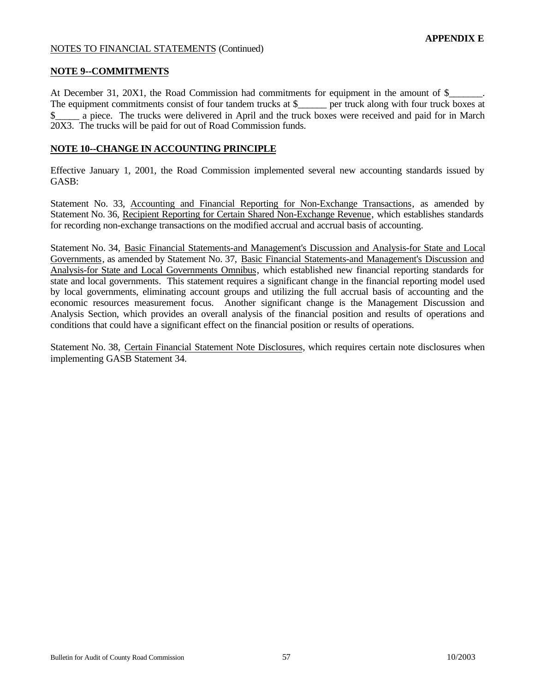#### **NOTE 9--COMMITMENTS**

At December 31, 20X1, the Road Commission had commitments for equipment in the amount of  $\$$ The equipment commitments consist of four tandem trucks at \$ \_\_\_\_\_ per truck along with four truck boxes at  $\frac{1}{2}$  s a piece. The trucks were delivered in April and the truck boxes were received and paid for in March 20X3. The trucks will be paid for out of Road Commission funds.

#### **NOTE 10--CHANGE IN ACCOUNTING PRINCIPLE**

Effective January 1, 2001, the Road Commission implemented several new accounting standards issued by GASB:

Statement No. 33, Accounting and Financial Reporting for Non-Exchange Transactions, as amended by Statement No. 36, Recipient Reporting for Certain Shared Non-Exchange Revenue, which establishes standards for recording non-exchange transactions on the modified accrual and accrual basis of accounting.

Statement No. 34, Basic Financial Statements-and Management's Discussion and Analysis-for State and Local Governments, as amended by Statement No. 37, Basic Financial Statements-and Management's Discussion and Analysis-for State and Local Governments Omnibus, which established new financial reporting standards for state and local governments. This statement requires a significant change in the financial reporting model used by local governments, eliminating account groups and utilizing the full accrual basis of accounting and the economic resources measurement focus. Another significant change is the Management Discussion and Analysis Section, which provides an overall analysis of the financial position and results of operations and conditions that could have a significant effect on the financial position or results of operations.

Statement No. 38, Certain Financial Statement Note Disclosures, which requires certain note disclosures when implementing GASB Statement 34.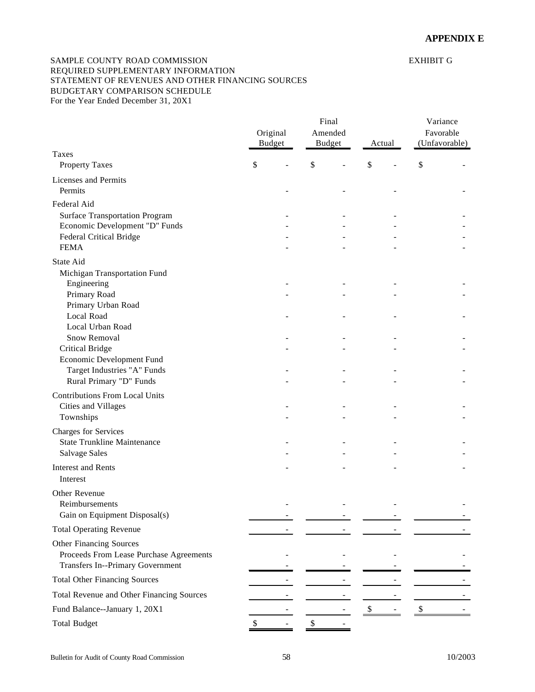#### <span id="page-57-0"></span>SAMPLE COUNTY ROAD COMMISSION EXHIBIT G REQUIRED SUPPLEMENTARY INFORMATION STATEMENT OF REVENUES AND OTHER FINANCING SOURCES BUDGETARY COMPARISON SCHEDULE For the Year Ended December 31, 20X1

|                                                                                    | Original<br><b>Budget</b> |        | Final<br>Amended<br><b>Budget</b><br>Actual |                           |  | Variance<br>Favorable<br>(Unfavorable) |  |
|------------------------------------------------------------------------------------|---------------------------|--------|---------------------------------------------|---------------------------|--|----------------------------------------|--|
| Taxes                                                                              |                           |        |                                             |                           |  |                                        |  |
| <b>Property Taxes</b>                                                              | \$                        | \$     |                                             | \$                        |  | \$                                     |  |
| Licenses and Permits<br>Permits                                                    |                           |        |                                             |                           |  |                                        |  |
| Federal Aid                                                                        |                           |        |                                             |                           |  |                                        |  |
| <b>Surface Transportation Program</b>                                              |                           |        |                                             |                           |  |                                        |  |
| Economic Development "D" Funds<br><b>Federal Critical Bridge</b>                   |                           |        |                                             |                           |  |                                        |  |
| <b>FEMA</b>                                                                        |                           |        |                                             |                           |  |                                        |  |
| State Aid                                                                          |                           |        |                                             |                           |  |                                        |  |
| Michigan Transportation Fund                                                       |                           |        |                                             |                           |  |                                        |  |
| Engineering                                                                        |                           |        |                                             |                           |  |                                        |  |
| Primary Road                                                                       |                           |        |                                             |                           |  |                                        |  |
| Primary Urban Road                                                                 |                           |        |                                             |                           |  |                                        |  |
| <b>Local Road</b><br>Local Urban Road                                              |                           |        |                                             |                           |  |                                        |  |
| Snow Removal                                                                       |                           |        |                                             |                           |  |                                        |  |
| <b>Critical Bridge</b>                                                             |                           |        |                                             |                           |  |                                        |  |
| Economic Development Fund                                                          |                           |        |                                             |                           |  |                                        |  |
| Target Industries "A" Funds                                                        |                           |        |                                             |                           |  |                                        |  |
| Rural Primary "D" Funds                                                            |                           |        |                                             |                           |  |                                        |  |
| <b>Contributions From Local Units</b>                                              |                           |        |                                             |                           |  |                                        |  |
| Cities and Villages<br>Townships                                                   |                           |        |                                             |                           |  |                                        |  |
| Charges for Services                                                               |                           |        |                                             |                           |  |                                        |  |
| <b>State Trunkline Maintenance</b>                                                 |                           |        |                                             |                           |  |                                        |  |
| <b>Salvage Sales</b>                                                               |                           |        |                                             |                           |  |                                        |  |
| <b>Interest and Rents</b>                                                          |                           |        |                                             |                           |  |                                        |  |
| Interest                                                                           |                           |        |                                             |                           |  |                                        |  |
| Other Revenue                                                                      |                           |        |                                             |                           |  |                                        |  |
| Reimbursements                                                                     |                           |        |                                             |                           |  |                                        |  |
| Gain on Equipment Disposal(s)                                                      |                           |        |                                             |                           |  |                                        |  |
| <b>Total Operating Revenue</b>                                                     |                           |        |                                             |                           |  |                                        |  |
| Other Financing Sources                                                            |                           |        |                                             |                           |  |                                        |  |
| Proceeds From Lease Purchase Agreements<br><b>Transfers In--Primary Government</b> |                           |        |                                             |                           |  |                                        |  |
| <b>Total Other Financing Sources</b>                                               |                           |        |                                             |                           |  |                                        |  |
| Total Revenue and Other Financing Sources                                          |                           |        |                                             |                           |  |                                        |  |
| Fund Balance--January 1, 20X1                                                      |                           |        |                                             | $\boldsymbol{\mathsf{S}}$ |  | $\frac{1}{2}$                          |  |
| <b>Total Budget</b>                                                                | \$                        | $\$\,$ |                                             |                           |  |                                        |  |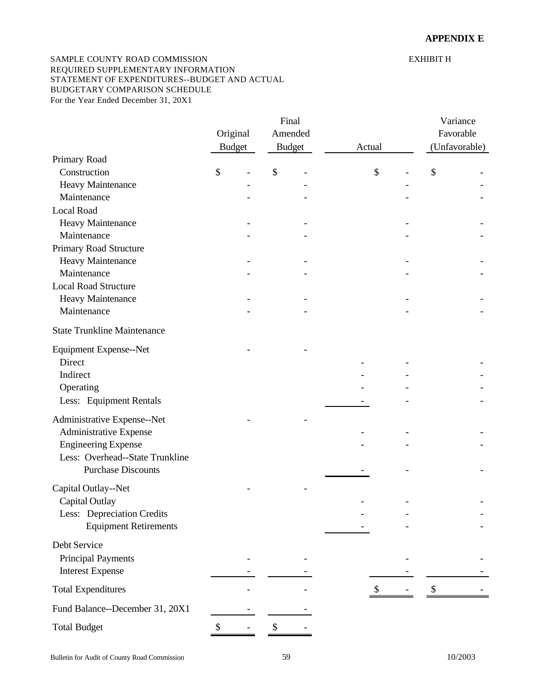#### SAMPLE COUNTY ROAD COMMISSION EXHIBIT H REQUIRED SUPPLEMENTARY INFORMATION STATEMENT OF EXPENDITURES--BUDGET AND ACTUAL BUDGETARY COMPARISON SCHEDULE For the Year Ended December 31, 20X1

|                                    |               | Final |               |        |  |    | Variance      |  |  |
|------------------------------------|---------------|-------|---------------|--------|--|----|---------------|--|--|
|                                    | Original      |       | Amended       |        |  |    | Favorable     |  |  |
|                                    | <b>Budget</b> |       | <b>Budget</b> | Actual |  |    | (Unfavorable) |  |  |
| Primary Road                       |               |       |               |        |  |    |               |  |  |
| Construction                       | \$            | \$    |               | \$     |  | \$ |               |  |  |
| Heavy Maintenance                  |               |       |               |        |  |    |               |  |  |
| Maintenance                        |               |       |               |        |  |    |               |  |  |
| <b>Local Road</b>                  |               |       |               |        |  |    |               |  |  |
| Heavy Maintenance                  |               |       |               |        |  |    |               |  |  |
| Maintenance                        |               |       |               |        |  |    |               |  |  |
| Primary Road Structure             |               |       |               |        |  |    |               |  |  |
| Heavy Maintenance                  |               |       |               |        |  |    |               |  |  |
| Maintenance                        |               |       |               |        |  |    |               |  |  |
| <b>Local Road Structure</b>        |               |       |               |        |  |    |               |  |  |
| Heavy Maintenance                  |               |       |               |        |  |    |               |  |  |
| Maintenance                        |               |       |               |        |  |    |               |  |  |
| <b>State Trunkline Maintenance</b> |               |       |               |        |  |    |               |  |  |
| Equipment Expense--Net             |               |       |               |        |  |    |               |  |  |
| Direct                             |               |       |               |        |  |    |               |  |  |
| Indirect                           |               |       |               |        |  |    |               |  |  |
| Operating                          |               |       |               |        |  |    |               |  |  |
| Less: Equipment Rentals            |               |       |               |        |  |    |               |  |  |
|                                    |               |       |               |        |  |    |               |  |  |
| Administrative Expense--Net        |               |       |               |        |  |    |               |  |  |
| Administrative Expense             |               |       |               |        |  |    |               |  |  |
| <b>Engineering Expense</b>         |               |       |               |        |  |    |               |  |  |
| Less: Overhead--State Trunkline    |               |       |               |        |  |    |               |  |  |
| <b>Purchase Discounts</b>          |               |       |               |        |  |    |               |  |  |
| Capital Outlay--Net                |               |       |               |        |  |    |               |  |  |
| Capital Outlay                     |               |       |               |        |  |    |               |  |  |
| Less: Depreciation Credits         |               |       |               |        |  |    |               |  |  |
| <b>Equipment Retirements</b>       |               |       |               |        |  |    |               |  |  |
| Debt Service                       |               |       |               |        |  |    |               |  |  |
|                                    |               |       |               |        |  |    |               |  |  |
| <b>Principal Payments</b>          |               |       |               |        |  |    |               |  |  |
| <b>Interest Expense</b>            |               |       |               |        |  |    |               |  |  |
| <b>Total Expenditures</b>          |               |       |               | \$     |  | \$ |               |  |  |
| Fund Balance--December 31, 20X1    |               |       |               |        |  |    |               |  |  |
| <b>Total Budget</b>                | \$            | \$    |               |        |  |    |               |  |  |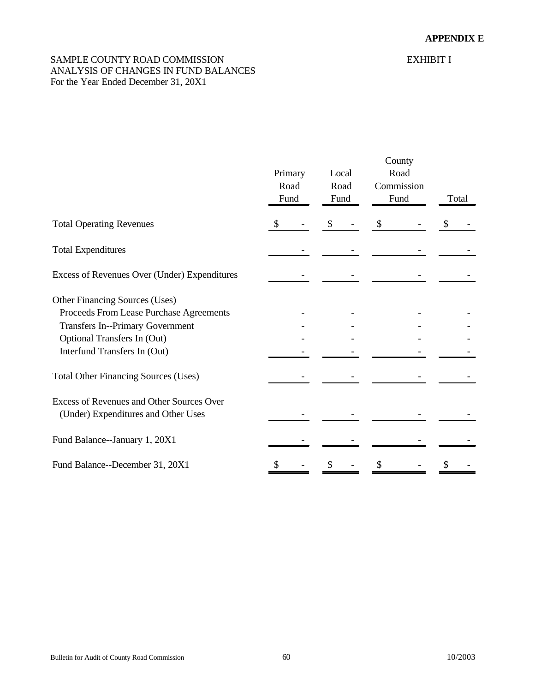# <span id="page-59-0"></span>SAMPLE COUNTY ROAD COMMISSION EXHIBIT I ANALYSIS OF CHANGES IN FUND BALANCES For the Year Ended December 31, 20X1

|                                                                                  | Primary<br>Road<br>Fund | Local<br>Road<br>Fund | County<br>Road<br>Commission<br>Fund | Total |
|----------------------------------------------------------------------------------|-------------------------|-----------------------|--------------------------------------|-------|
| <b>Total Operating Revenues</b>                                                  | \$                      | \$                    | \$                                   |       |
| <b>Total Expenditures</b>                                                        |                         |                       |                                      |       |
| Excess of Revenues Over (Under) Expenditures                                     |                         |                       |                                      |       |
| Other Financing Sources (Uses)                                                   |                         |                       |                                      |       |
| Proceeds From Lease Purchase Agreements                                          |                         |                       |                                      |       |
| <b>Transfers In--Primary Government</b>                                          |                         |                       |                                      |       |
| Optional Transfers In (Out)                                                      |                         |                       |                                      |       |
| Interfund Transfers In (Out)                                                     |                         |                       |                                      |       |
| <b>Total Other Financing Sources (Uses)</b>                                      |                         |                       |                                      |       |
| Excess of Revenues and Other Sources Over<br>(Under) Expenditures and Other Uses |                         |                       |                                      |       |
| Fund Balance--January 1, 20X1                                                    |                         |                       |                                      |       |
| Fund Balance--December 31, 20X1                                                  | \$                      |                       |                                      |       |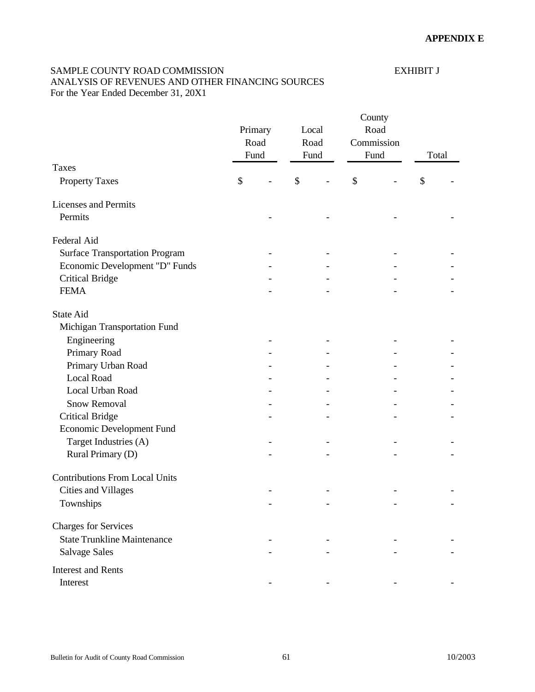# <span id="page-60-0"></span>SAMPLE COUNTY ROAD COMMISSION EXHIBIT J ANALYSIS OF REVENUES AND OTHER FINANCING SOURCES

For the Year Ended December 31, 20X1

|                                       | Primary<br>Road<br>Fund | Local<br>Road<br>Fund |               | County<br>Road<br>Commission<br>Fund |    | Total |  |
|---------------------------------------|-------------------------|-----------------------|---------------|--------------------------------------|----|-------|--|
| Taxes                                 |                         |                       |               |                                      |    |       |  |
| <b>Property Taxes</b>                 | \$                      | $\mathcal{S}$         | $\mathcal{S}$ |                                      | \$ |       |  |
| <b>Licenses and Permits</b>           |                         |                       |               |                                      |    |       |  |
| Permits                               |                         |                       |               |                                      |    |       |  |
| Federal Aid                           |                         |                       |               |                                      |    |       |  |
| <b>Surface Transportation Program</b> |                         |                       |               |                                      |    |       |  |
| Economic Development "D" Funds        |                         |                       |               |                                      |    |       |  |
| <b>Critical Bridge</b>                |                         |                       |               |                                      |    |       |  |
| <b>FEMA</b>                           |                         |                       |               |                                      |    |       |  |
| <b>State Aid</b>                      |                         |                       |               |                                      |    |       |  |
| Michigan Transportation Fund          |                         |                       |               |                                      |    |       |  |
| Engineering                           |                         |                       |               |                                      |    |       |  |
| Primary Road                          |                         |                       |               |                                      |    |       |  |
| Primary Urban Road                    |                         |                       |               |                                      |    |       |  |
| <b>Local Road</b>                     |                         |                       |               |                                      |    |       |  |
| Local Urban Road                      |                         |                       |               |                                      |    |       |  |
| <b>Snow Removal</b>                   |                         |                       |               |                                      |    |       |  |
| <b>Critical Bridge</b>                |                         |                       |               |                                      |    |       |  |
| <b>Economic Development Fund</b>      |                         |                       |               |                                      |    |       |  |
| Target Industries (A)                 |                         |                       |               |                                      |    |       |  |
| Rural Primary (D)                     |                         |                       |               |                                      |    |       |  |
| <b>Contributions From Local Units</b> |                         |                       |               |                                      |    |       |  |
| <b>Cities and Villages</b>            |                         |                       |               |                                      |    |       |  |
| Townships                             |                         |                       |               |                                      |    |       |  |
| <b>Charges for Services</b>           |                         |                       |               |                                      |    |       |  |
| <b>State Trunkline Maintenance</b>    |                         |                       |               |                                      |    |       |  |
| <b>Salvage Sales</b>                  |                         |                       |               |                                      |    |       |  |
| <b>Interest and Rents</b>             |                         |                       |               |                                      |    |       |  |
| Interest                              |                         |                       |               |                                      |    |       |  |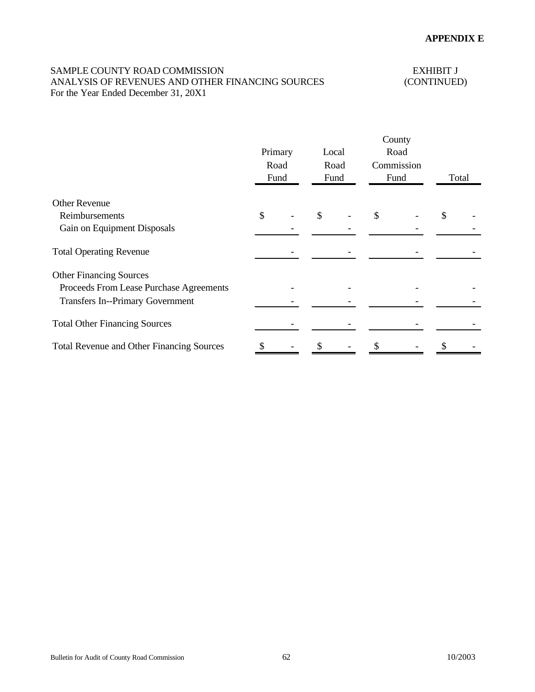# SAMPLE COUNTY ROAD COMMISSION EXHIBIT J<br>ANALYSIS OF REVENUES AND OTHER FINANCING SOURCES (CONTINUED) ANALYSIS OF REVENUES AND OTHER FINANCING SOURCES For the Year Ended December 31, 20X1

|                                                  | Primary | Road<br>Fund | Local | Road<br>Fund | County<br>Road<br>Commission<br>Fund | Total |  |
|--------------------------------------------------|---------|--------------|-------|--------------|--------------------------------------|-------|--|
| <b>Other Revenue</b>                             |         |              |       |              |                                      |       |  |
| Reimbursements                                   | \$      |              | \$    |              | \$                                   | \$    |  |
| Gain on Equipment Disposals                      |         |              |       |              |                                      |       |  |
| <b>Total Operating Revenue</b>                   |         |              |       |              |                                      |       |  |
| <b>Other Financing Sources</b>                   |         |              |       |              |                                      |       |  |
| Proceeds From Lease Purchase Agreements          |         |              |       |              |                                      |       |  |
| <b>Transfers In--Primary Government</b>          |         |              |       |              |                                      |       |  |
| <b>Total Other Financing Sources</b>             |         |              |       |              |                                      |       |  |
| <b>Total Revenue and Other Financing Sources</b> |         |              |       |              |                                      |       |  |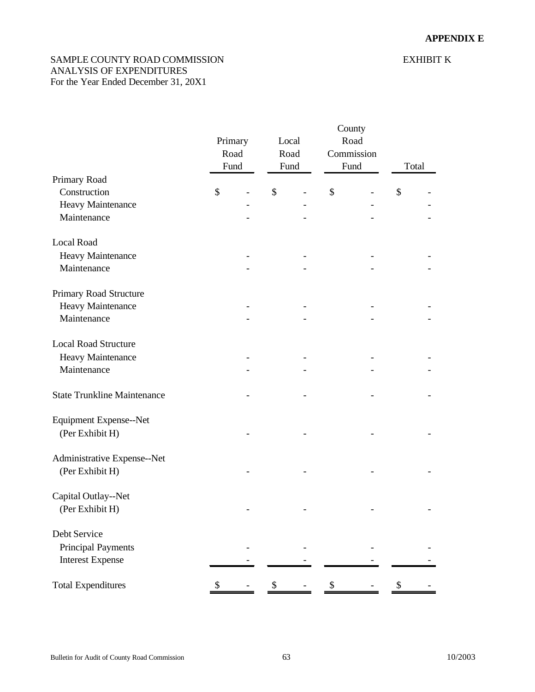# <span id="page-62-0"></span>SAMPLE COUNTY ROAD COMMISSION EXHIBIT K ANALYSIS OF EXPENDITURES For the Year Ended December 31, 20X1

|                                    | Primary<br>Road<br>Fund | Local<br>Road<br>Fund | County<br>Fund | Road<br>Commission | Total |
|------------------------------------|-------------------------|-----------------------|----------------|--------------------|-------|
| Primary Road                       |                         |                       |                |                    |       |
| Construction                       | \$                      | \$                    | \$             |                    | \$    |
| Heavy Maintenance                  |                         |                       |                |                    |       |
| Maintenance                        |                         |                       |                |                    |       |
| <b>Local Road</b>                  |                         |                       |                |                    |       |
| Heavy Maintenance                  |                         |                       |                |                    |       |
| Maintenance                        |                         |                       |                |                    |       |
| Primary Road Structure             |                         |                       |                |                    |       |
| Heavy Maintenance                  |                         |                       |                |                    |       |
| Maintenance                        |                         |                       |                |                    |       |
| <b>Local Road Structure</b>        |                         |                       |                |                    |       |
| Heavy Maintenance                  |                         |                       |                |                    |       |
| Maintenance                        |                         |                       |                |                    |       |
| <b>State Trunkline Maintenance</b> |                         |                       |                |                    |       |
| Equipment Expense--Net             |                         |                       |                |                    |       |
| (Per Exhibit H)                    |                         |                       |                |                    |       |
| Administrative Expense--Net        |                         |                       |                |                    |       |
| (Per Exhibit H)                    |                         |                       |                |                    |       |
| Capital Outlay--Net                |                         |                       |                |                    |       |
| (Per Exhibit H)                    |                         |                       |                |                    |       |
| Debt Service                       |                         |                       |                |                    |       |
| <b>Principal Payments</b>          |                         |                       |                |                    |       |
| <b>Interest Expense</b>            |                         |                       |                |                    |       |
| <b>Total Expenditures</b>          | \$                      | \$                    | \$             |                    | \$    |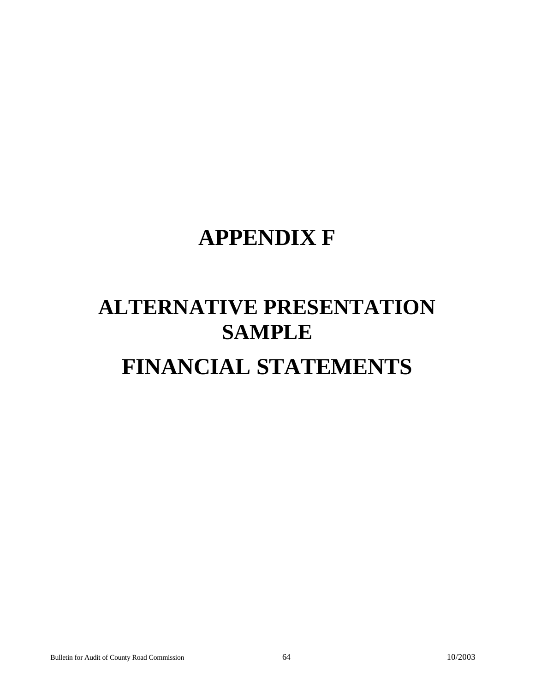# **APPENDIX F**

# **ALTERNATIVE PRESENTATION SAMPLE FINANCIAL STATEMENTS**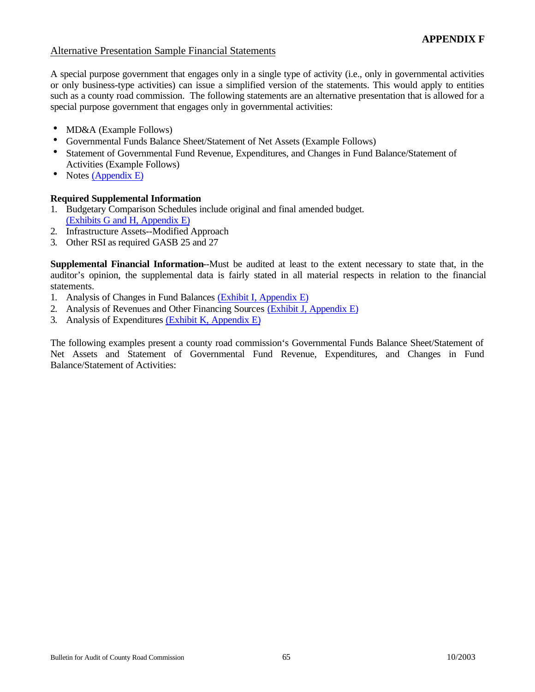# Alternative Presentation Sample Financial Statements

A special purpose government that engages only in a single type of activity (i.e., only in governmental activities or only business-type activities) can issue a simplified version of the statements. This would apply to entities such as a county road commission. The following statements are an alternative presentation that is allowed for a special purpose government that engages only in governmental activities:

- MD&A (Example Follows)
- Governmental Funds Balance Sheet/Statement of Net Assets (Example Follows)
- Statement of Governmental Fund Revenue, Expenditures, and Changes in Fund Balance/Statement of Activities (Example Follows)
- Notes  $(Appendix E)$

# **Required Supplemental Information**

- 1. Budgetary Comparison Schedules include original and final amended budget. [\(Exhibits G and H, Appendix E\)](#page-57-0)
- 2. Infrastructure Assets--Modified Approach
- 3. Other RSI as required GASB 25 and 27

**Supplemental Financial Information**--Must be audited at least to the extent necessary to state that, in the auditor's opinion, the supplemental data is fairly stated in all material respects in relation to the financial statements.

- 1. Analysis of Changes in Fund Balances [\(Exhibit I, Appendix E\)](#page-59-0)
- 2. Analysis of Revenues and Other Financing Sources [\(Exhibit J, Appendix E\)](#page-60-0)
- 3. Analysis of Expenditures [\(Exhibit K, Appendix E\)](#page-62-0)

The following examples present a county road commission's Governmental Funds Balance Sheet/Statement of Net Assets and Statement of Governmental Fund Revenue, Expenditures, and Changes in Fund Balance/Statement of Activities: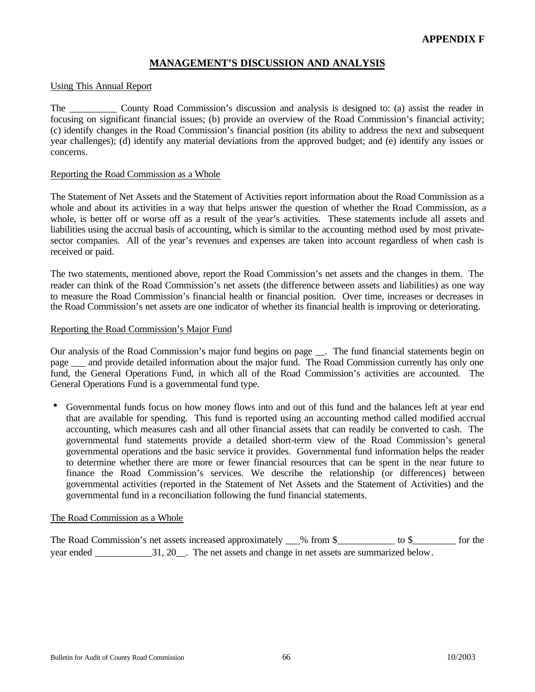# **MANAGEMENT'S DISCUSSION AND ANALYSIS**

#### Using This Annual Report

The County Road Commission's discussion and analysis is designed to: (a) assist the reader in focusing on significant financial issues; (b) provide an overview of the Road Commission's financial activity; (c) identify changes in the Road Commission's financial position (its ability to address the next and subsequent year challenges); (d) identify any material deviations from the approved budget; and (e) identify any issues or concerns.

#### Reporting the Road Commission as a Whole

The Statement of Net Assets and the Statement of Activities report information about the Road Commission as a whole and about its activities in a way that helps answer the question of whether the Road Commission, as a whole, is better off or worse off as a result of the year's activities. These statements include all assets and liabilities using the accrual basis of accounting, which is similar to the accounting method used by most privatesector companies. All of the year's revenues and expenses are taken into account regardless of when cash is received or paid.

The two statements, mentioned above, report the Road Commission's net assets and the changes in them. The reader can think of the Road Commission's net assets (the difference between assets and liabilities) as one way to measure the Road Commission's financial health or financial position. Over time, increases or decreases in the Road Commission's net assets are one indicator of whether its financial health is improving or deteriorating.

#### Reporting the Road Commission's Major Fund

Our analysis of the Road Commission's major fund begins on page \_\_. The fund financial statements begin on page and provide detailed information about the major fund. The Road Commission currently has only one fund, the General Operations Fund, in which all of the Road Commission's activities are accounted. The General Operations Fund is a governmental fund type.

• Governmental funds focus on how money flows into and out of this fund and the balances left at year end that are available for spending. This fund is reported using an accounting method called modified accrual accounting, which measures cash and all other financial assets that can readily be converted to cash. The governmental fund statements provide a detailed short-term view of the Road Commission's general governmental operations and the basic service it provides. Governmental fund information helps the reader to determine whether there are more or fewer financial resources that can be spent in the near future to finance the Road Commission's services. We describe the relationship (or differences) between governmental activities (reported in the Statement of Net Assets and the Statement of Activities) and the governmental fund in a reconciliation following the fund financial statements.

#### The Road Commission as a Whole

The Road Commission's net assets increased approximately 6 from \$\_\_\_\_\_\_\_\_\_\_\_\_ to \$\_\_\_\_\_\_\_\_\_\_ for the year ended \_\_\_\_\_\_\_\_\_\_\_\_31, 20\_\_. The net assets and change in net assets are summarized below.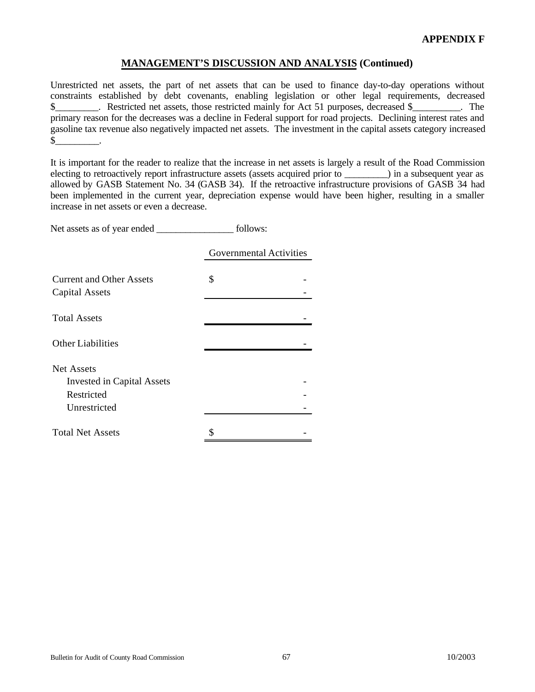Unrestricted net assets, the part of net assets that can be used to finance day-to-day operations without constraints established by debt covenants, enabling legislation or other legal requirements, decreased \$\_\_\_\_\_\_\_\_\_\_. Restricted net assets, those restricted mainly for Act 51 purposes, decreased \$\_\_\_\_\_\_\_\_\_. The primary reason for the decreases was a decline in Federal support for road projects. Declining interest rates and gasoline tax revenue also negatively impacted net assets. The investment in the capital assets category increased  $\mathbb{S}$  .

It is important for the reader to realize that the increase in net assets is largely a result of the Road Commission electing to retroactively report infrastructure assets (assets acquired prior to  $\qquad$ ) in a subsequent year as allowed by GASB Statement No. 34 (GASB 34). If the retroactive infrastructure provisions of GASB 34 had been implemented in the current year, depreciation expense would have been higher, resulting in a smaller increase in net assets or even a decrease.

Net assets as of year ended \_\_\_\_\_\_\_\_\_\_\_\_\_\_\_\_\_\_\_ follows:

|                                                                               | <b>Governmental Activities</b> |  |  |  |
|-------------------------------------------------------------------------------|--------------------------------|--|--|--|
| <b>Current and Other Assets</b><br><b>Capital Assets</b>                      | \$                             |  |  |  |
| <b>Total Assets</b>                                                           |                                |  |  |  |
| <b>Other Liabilities</b>                                                      |                                |  |  |  |
| Net Assets<br><b>Invested in Capital Assets</b><br>Restricted<br>Unrestricted |                                |  |  |  |
| <b>Total Net Assets</b>                                                       |                                |  |  |  |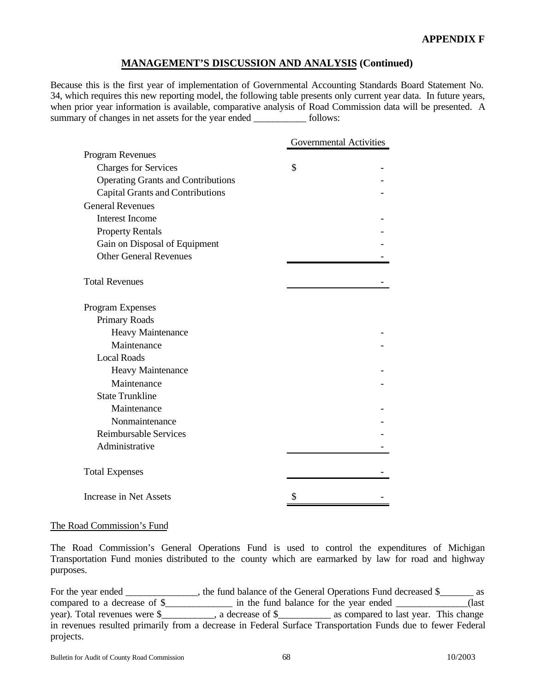Because this is the first year of implementation of Governmental Accounting Standards Board Statement No. 34, which requires this new reporting model, the following table presents only current year data. In future years, when prior year information is available, comparative analysis of Road Commission data will be presented. A summary of changes in net assets for the year ended \_\_\_\_\_\_\_\_\_\_\_\_\_ follows:

|                                           | <b>Governmental Activities</b> |
|-------------------------------------------|--------------------------------|
| Program Revenues                          |                                |
| <b>Charges for Services</b>               | \$                             |
| <b>Operating Grants and Contributions</b> |                                |
| <b>Capital Grants and Contributions</b>   |                                |
| <b>General Revenues</b>                   |                                |
| <b>Interest Income</b>                    |                                |
| <b>Property Rentals</b>                   |                                |
| Gain on Disposal of Equipment             |                                |
| <b>Other General Revenues</b>             |                                |
|                                           |                                |
| <b>Total Revenues</b>                     |                                |
|                                           |                                |
| Program Expenses                          |                                |
| Primary Roads                             |                                |
| Heavy Maintenance                         |                                |
| Maintenance                               |                                |
| <b>Local Roads</b>                        |                                |
| Heavy Maintenance                         |                                |
| Maintenance                               |                                |
| <b>State Trunkline</b>                    |                                |
| Maintenance                               |                                |
| Nonmaintenance                            |                                |
| <b>Reimbursable Services</b>              |                                |
| Administrative                            |                                |
|                                           |                                |
| <b>Total Expenses</b>                     |                                |
| <b>Increase in Net Assets</b>             | \$                             |

#### The Road Commission's Fund

The Road Commission's General Operations Fund is used to control the expenditures of Michigan Transportation Fund monies distributed to the county which are earmarked by law for road and highway purposes.

For the year ended \_\_\_\_\_\_\_\_\_\_\_\_, the fund balance of the General Operations Fund decreased \$\_\_\_\_\_\_\_ as compared to a decrease of \$\_\_\_\_\_\_\_\_\_\_\_\_\_\_\_\_ in the fund balance for the year ended \_\_\_\_\_\_\_\_\_\_\_\_\_\_\_(last year). Total revenues were \$\_\_\_\_\_\_\_\_\_\_\_, a decrease of \$\_\_\_\_\_\_\_\_\_\_\_ as compared to last year. This change in revenues resulted primarily from a decrease in Federal Surface Transportation Funds due to fewer Federal projects.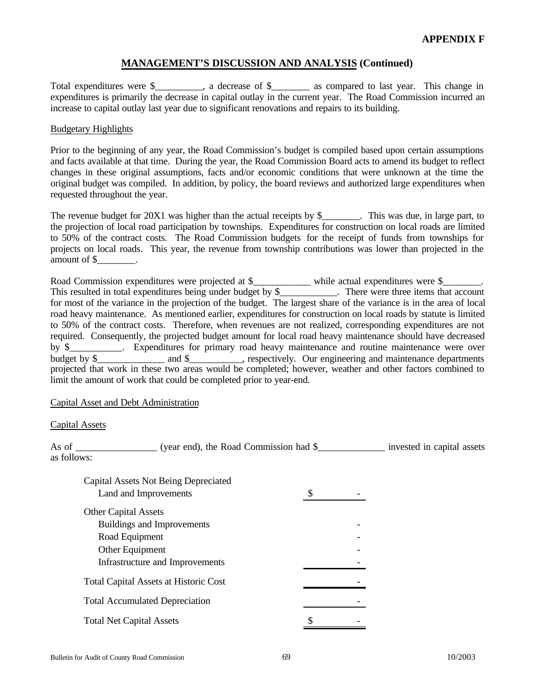Total expenditures were \$\_\_\_\_\_\_\_, a decrease of \$\_\_\_\_\_\_ as compared to last year. This change in expenditures is primarily the decrease in capital outlay in the current year. The Road Commission incurred an increase to capital outlay last year due to significant renovations and repairs to its building.

#### Budgetary Highlights

Prior to the beginning of any year, the Road Commission's budget is compiled based upon certain assumptions and facts available at that time. During the year, the Road Commission Board acts to amend its budget to reflect changes in these original assumptions, facts and/or economic conditions that were unknown at the time the original budget was compiled. In addition, by policy, the board reviews and authorized large expenditures when requested throughout the year.

The revenue budget for 20X1 was higher than the actual receipts by \$\_\_\_\_\_\_\_. This was due, in large part, to the projection of local road participation by townships. Expenditures for construction on local roads are limited to 50% of the contract costs. The Road Commission budgets for the receipt of funds from townships for projects on local roads. This year, the revenue from township contributions was lower than projected in the amount of \$\_\_\_\_\_\_\_\_.

Road Commission expenditures were projected at \$\_\_\_\_\_\_\_\_\_\_\_\_ while actual expenditures were \$\_\_\_\_\_\_\_. This resulted in total expenditures being under budget by \$\_\_\_\_\_\_\_\_\_\_\_. There were three items that account for most of the variance in the projection of the budget. The largest share of the variance is in the area of local road heavy maintenance. As mentioned earlier, expenditures for construction on local roads by statute is limited to 50% of the contract costs. Therefore, when revenues are not realized, corresponding expenditures are not required. Consequently, the projected budget amount for local road heavy maintenance should have decreased by \$ Fxpenditures for primary road heavy maintenance and routine maintenance were over budget by \$\_\_\_\_\_\_\_\_\_\_\_\_\_\_ and \$\_\_\_\_\_\_\_\_\_, respectively. Our engineering and maintenance departments projected that work in these two areas would be completed; however, weather and other factors combined to limit the amount of work that could be completed prior to year-end.

#### Capital Asset and Debt Administration

#### Capital Assets

As of \_\_\_\_\_\_\_\_\_\_\_\_\_\_\_\_\_\_ (year end), the Road Commission had \$\_\_\_\_\_\_\_\_\_\_\_\_\_\_\_\_\_ invested in capital assets as follows:

| <b>Capital Assets Not Being Depreciated</b>  |  |
|----------------------------------------------|--|
| Land and Improvements                        |  |
| <b>Other Capital Assets</b>                  |  |
| Buildings and Improvements                   |  |
| Road Equipment                               |  |
| Other Equipment                              |  |
| Infrastructure and Improvements              |  |
| <b>Total Capital Assets at Historic Cost</b> |  |
| <b>Total Accumulated Depreciation</b>        |  |
| <b>Total Net Capital Assets</b>              |  |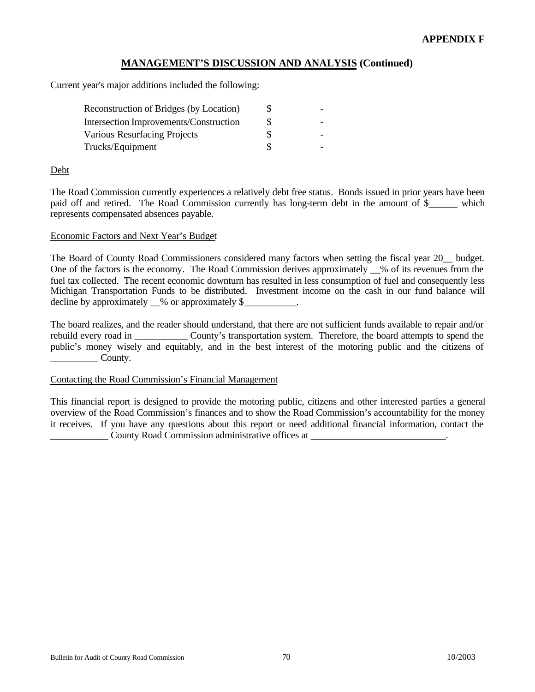Current year's major additions included the following:

| <b>Reconstruction of Bridges (by Location)</b> |  |
|------------------------------------------------|--|
| <b>Intersection Improvements/Construction</b>  |  |
| <b>Various Resurfacing Projects</b>            |  |
| Trucks/Equipment                               |  |

#### Debt

The Road Commission currently experiences a relatively debt free status. Bonds issued in prior years have been paid off and retired. The Road Commission currently has long-term debt in the amount of \$ which represents compensated absences payable.

#### Economic Factors and Next Year's Budget

The Board of County Road Commissioners considered many factors when setting the fiscal year 20\_\_ budget. One of the factors is the economy. The Road Commission derives approximately \_\_% of its revenues from the fuel tax collected. The recent economic downturn has resulted in less consumption of fuel and consequently less Michigan Transportation Funds to be distributed. Investment income on the cash in our fund balance will decline by approximately  $\_\%$  or approximately \$

The board realizes, and the reader should understand, that there are not sufficient funds available to repair and/or rebuild every road in \_\_\_\_\_\_\_\_\_\_\_ County's transportation system. Therefore, the board attempts to spend the public's money wisely and equitably, and in the best interest of the motoring public and the citizens of  $\sim$  County.

#### Contacting the Road Commission's Financial Management

This financial report is designed to provide the motoring public, citizens and other interested parties a general overview of the Road Commission's finances and to show the Road Commission's accountability for the money it receives. If you have any questions about this report or need additional financial information, contact the County Road Commission administrative offices at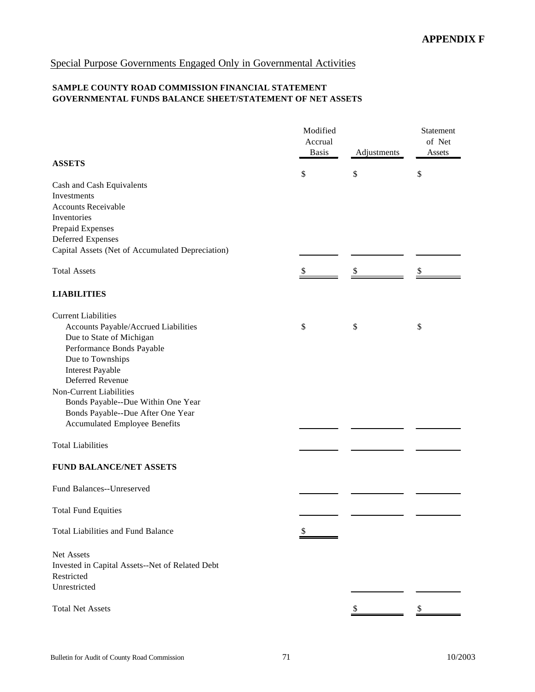# Special Purpose Governments Engaged Only in Governmental Activities

# **SAMPLE COUNTY ROAD COMMISSION FINANCIAL STATEMENT GOVERNMENTAL FUNDS BALANCE SHEET/STATEMENT OF NET ASSETS**

|                                                  | Modified     |             | Statement |
|--------------------------------------------------|--------------|-------------|-----------|
|                                                  | Accrual      |             | of Net    |
|                                                  | <b>Basis</b> | Adjustments | Assets    |
| <b>ASSETS</b>                                    |              |             |           |
|                                                  | \$           | \$          | \$        |
| Cash and Cash Equivalents                        |              |             |           |
| Investments                                      |              |             |           |
| <b>Accounts Receivable</b>                       |              |             |           |
| Inventories                                      |              |             |           |
| Prepaid Expenses                                 |              |             |           |
| Deferred Expenses                                |              |             |           |
| Capital Assets (Net of Accumulated Depreciation) |              |             |           |
| <b>Total Assets</b>                              | \$           | \$          | \$        |
|                                                  |              |             |           |
| <b>LIABILITIES</b>                               |              |             |           |
| <b>Current Liabilities</b>                       |              |             |           |
| Accounts Payable/Accrued Liabilities             | \$           | \$          | \$        |
| Due to State of Michigan                         |              |             |           |
| Performance Bonds Payable                        |              |             |           |
| Due to Townships                                 |              |             |           |
| <b>Interest Payable</b>                          |              |             |           |
| Deferred Revenue                                 |              |             |           |
| Non-Current Liabilities                          |              |             |           |
| Bonds Payable--Due Within One Year               |              |             |           |
| Bonds Payable--Due After One Year                |              |             |           |
| <b>Accumulated Employee Benefits</b>             |              |             |           |
| <b>Total Liabilities</b>                         |              |             |           |
|                                                  |              |             |           |
| <b>FUND BALANCE/NET ASSETS</b>                   |              |             |           |
| Fund Balances--Unreserved                        |              |             |           |
|                                                  |              |             |           |
| <b>Total Fund Equities</b>                       |              |             |           |
| <b>Total Liabilities and Fund Balance</b>        |              |             |           |
| Net Assets                                       |              |             |           |
| Invested in Capital Assets--Net of Related Debt  |              |             |           |
| Restricted                                       |              |             |           |
| Unrestricted                                     |              |             |           |
|                                                  |              |             |           |
| <b>Total Net Assets</b>                          |              |             | \$        |
|                                                  |              |             |           |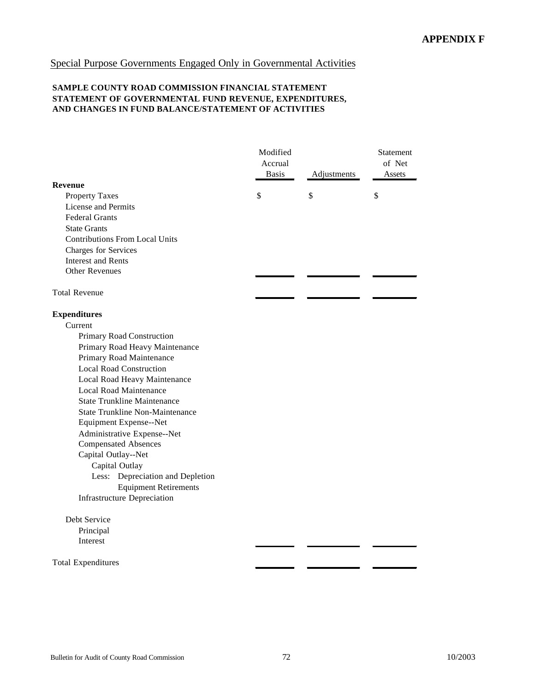# Special Purpose Governments Engaged Only in Governmental Activities

#### **SAMPLE COUNTY ROAD COMMISSION FINANCIAL STATEMENT STATEMENT OF GOVERNMENTAL FUND REVENUE, EXPENDITURES, AND CHANGES IN FUND BALANCE/STATEMENT OF ACTIVITIES**

|                                        | Modified<br>Accrual<br><b>Basis</b> | Adjustments | Statement<br>of Net<br>Assets |
|----------------------------------------|-------------------------------------|-------------|-------------------------------|
| <b>Revenue</b>                         |                                     |             |                               |
| <b>Property Taxes</b>                  | \$                                  | \$          | \$                            |
| License and Permits                    |                                     |             |                               |
| <b>Federal Grants</b>                  |                                     |             |                               |
| <b>State Grants</b>                    |                                     |             |                               |
| <b>Contributions From Local Units</b>  |                                     |             |                               |
| Charges for Services                   |                                     |             |                               |
| <b>Interest and Rents</b>              |                                     |             |                               |
| <b>Other Revenues</b>                  |                                     |             |                               |
| <b>Total Revenue</b>                   |                                     |             |                               |
| <b>Expenditures</b>                    |                                     |             |                               |
| Current                                |                                     |             |                               |
| Primary Road Construction              |                                     |             |                               |
| Primary Road Heavy Maintenance         |                                     |             |                               |
| Primary Road Maintenance               |                                     |             |                               |
| <b>Local Road Construction</b>         |                                     |             |                               |
| Local Road Heavy Maintenance           |                                     |             |                               |
| <b>Local Road Maintenance</b>          |                                     |             |                               |
| <b>State Trunkline Maintenance</b>     |                                     |             |                               |
| <b>State Trunkline Non-Maintenance</b> |                                     |             |                               |
| Equipment Expense--Net                 |                                     |             |                               |
| Administrative Expense--Net            |                                     |             |                               |
| <b>Compensated Absences</b>            |                                     |             |                               |
| Capital Outlay--Net                    |                                     |             |                               |
| Capital Outlay                         |                                     |             |                               |
| Less: Depreciation and Depletion       |                                     |             |                               |
| <b>Equipment Retirements</b>           |                                     |             |                               |
| <b>Infrastructure Depreciation</b>     |                                     |             |                               |
| Debt Service                           |                                     |             |                               |
| Principal                              |                                     |             |                               |
| Interest                               |                                     |             |                               |
|                                        |                                     |             |                               |

Total Expenditures